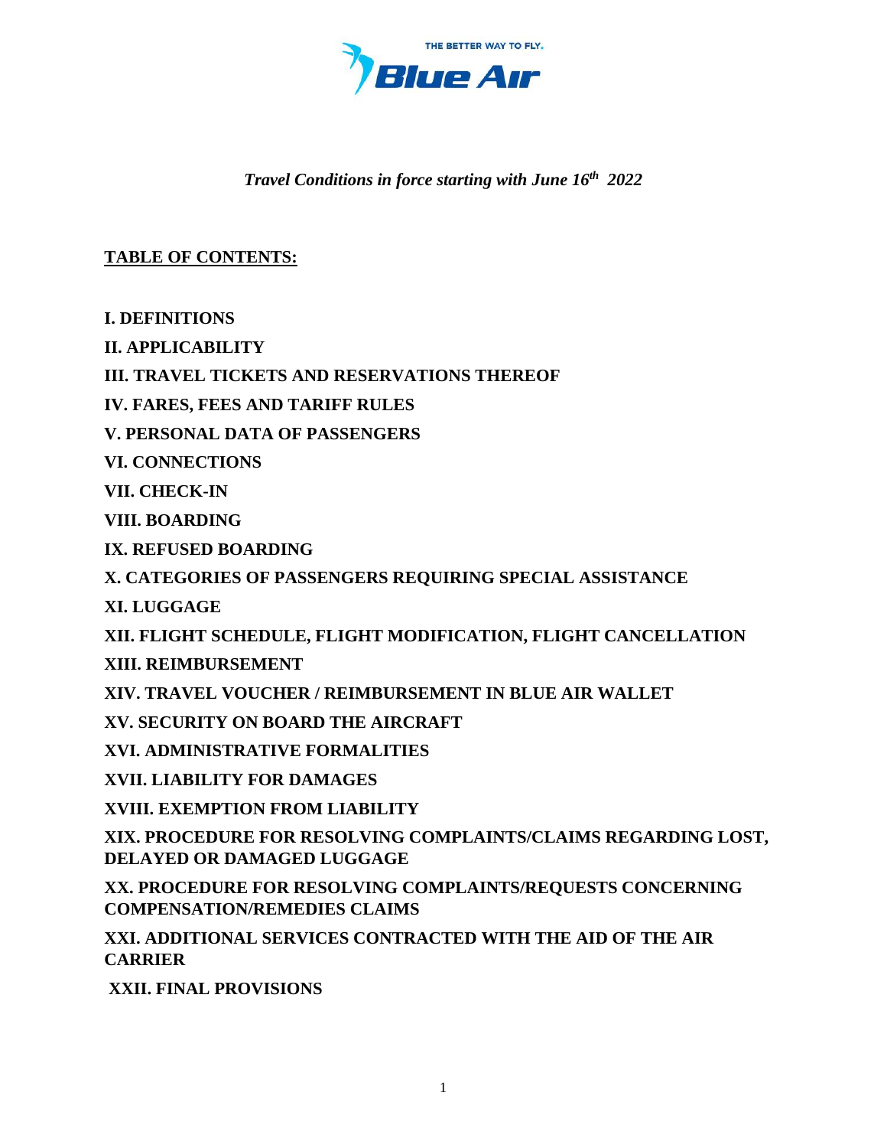

## *Travel Conditions in force starting with June 16th 2022*

# **TABLE OF CONTENTS:**

**[I. DEFINITIONS](#page-1-0)**

**[II. APPLICABILITY](#page-9-0)**

**[III. TRAVEL TICKETS AND RESERVATIONS THEREOF](#page-11-0)**

**[IV. FARES, FEES AND TARIFF RULES](#page-16-0)**

**[V. PERSONAL DATA OF PASSENGERS](#page-21-0)**

**[VI. CONNECTIONS](#page-22-0)**

**[VII. CHECK-IN](#page-23-0)**

**[VIII. BOARDING](#page-27-0)**

**[IX. REFUSED BOARDING](#page-28-0)**

**[X. CATEGORIES OF PASSENGERS REQUIRING SPECIAL ASSISTANCE](#page-30-0)**

**[XI. LUGGAGE](#page-35-0)**

**[XII. FLIGHT SCHEDULE, FLIGHT MODIFICATION, FLIGHT CANCELLATION](#page-48-0)**

**[XIII. REIMBURSEMENT](#page-50-0)**

**[XIV. TRAVEL VOUCHER / REIMBURSEMENT IN BLUE AIR WALLET](#page-51-0)**

**[XV. SECURITY ON BOARD THE AIRCRAFT](#page-52-0)**

**[XVI. ADMINISTRATIVE FORMALITIES](#page-53-0)**

**[XVII. LIABILITY FOR DAMAGES](#page-56-0)**

**[XVIII. EXEMPTION FROM LIABILITY](#page-60-0)**

**[XIX. PROCEDURE FOR RESOLVING COMPLAINTS/CLAIMS REGARDING LOST,](#page-60-1)  [DELAYED OR DAMAGED LUGGAGE](#page-60-1)**

**[XX. PROCEDURE FOR RESOLVING COMPLAINTS/REQUESTS CONCERNING](#page-62-0)  [COMPENSATION/REMEDIES CLAIMS](#page-62-0)**

**[XXI. ADDITIONAL SERVICES CONTRACTED WITH THE AID OF THE AIR](#page-66-0)  [CARRIER](#page-66-0)**

**[XXII. FINAL PROVISIONS](#page-67-0)**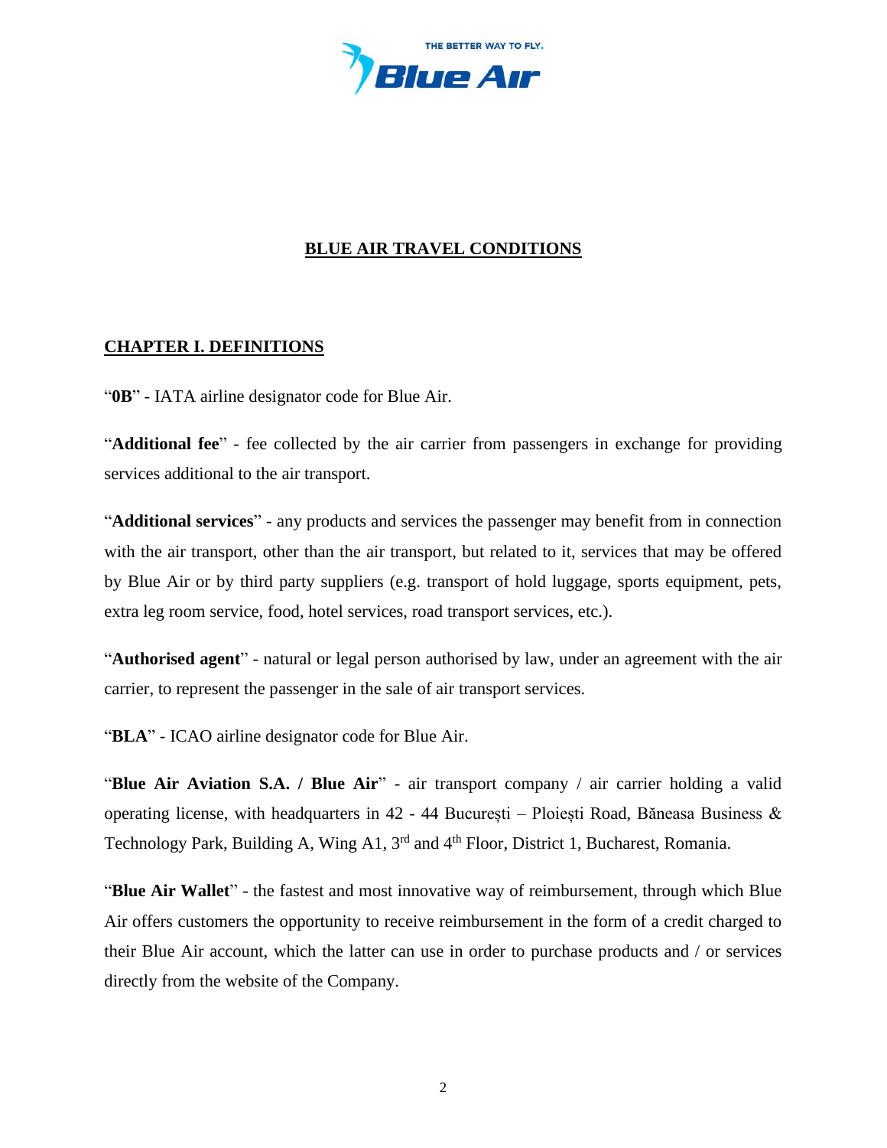

## **BLUE AIR TRAVEL CONDITIONS**

### <span id="page-1-0"></span>**CHAPTER I. DEFINITIONS**

"**0B**" - IATA airline designator code for Blue Air.

"**Additional fee**" - fee collected by the air carrier from passengers in exchange for providing services additional to the air transport.

"**Additional services**" - any products and services the passenger may benefit from in connection with the air transport, other than the air transport, but related to it, services that may be offered by Blue Air or by third party suppliers (e.g. transport of hold luggage, sports equipment, pets, extra leg room service, food, hotel services, road transport services, etc.).

"**Authorised agent**" - natural or legal person authorised by law, under an agreement with the air carrier, to represent the passenger in the sale of air transport services.

"**BLA**" - ICAO airline designator code for Blue Air.

"**Blue Air Aviation S.A. / Blue Air**" - air transport company / air carrier holding a valid operating license, with headquarters in 42 - 44 București – Ploiești Road, Băneasa Business & Technology Park, Building A, Wing A1, 3<sup>rd</sup> and 4<sup>th</sup> Floor, District 1, Bucharest, Romania.

"**Blue Air Wallet**" - the fastest and most innovative way of reimbursement, through which Blue Air offers customers the opportunity to receive reimbursement in the form of a credit charged to their Blue Air account, which the latter can use in order to purchase products and / or services directly from the website of the Company.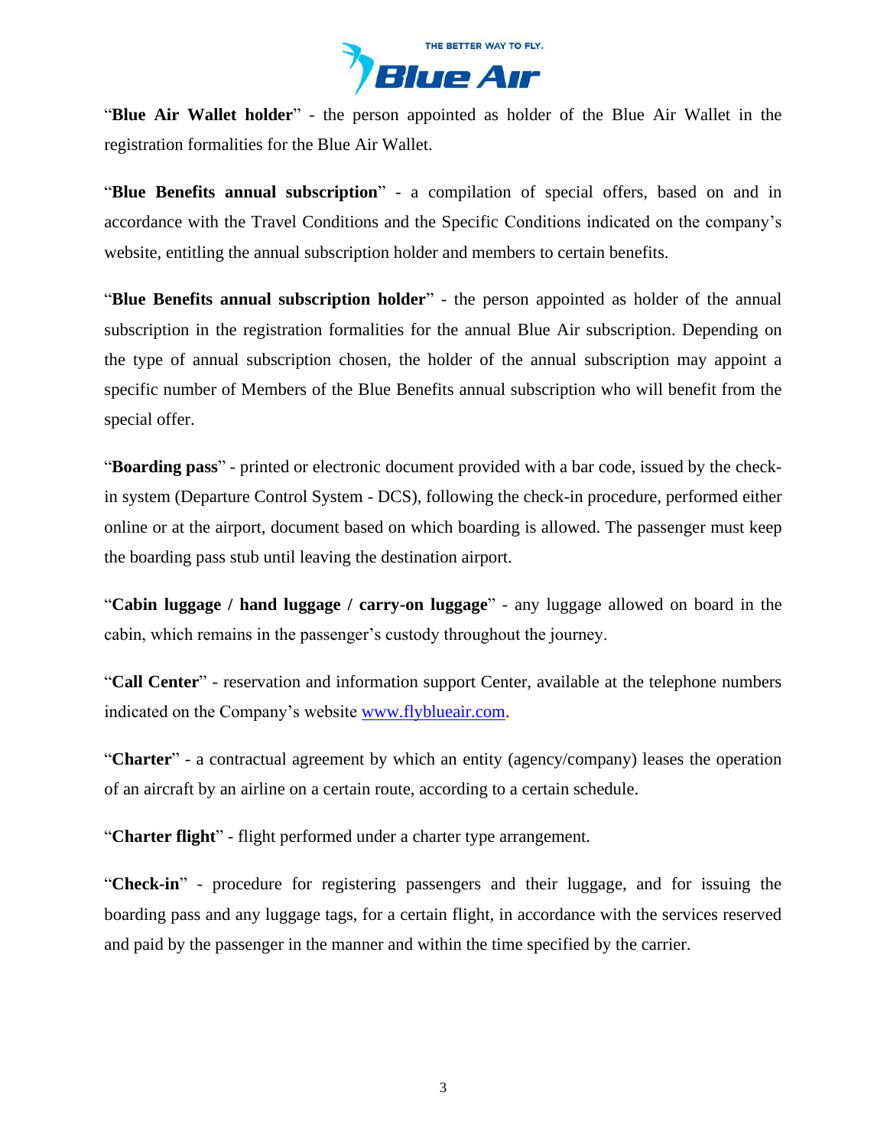

"**Blue Air Wallet holder**" - the person appointed as holder of the Blue Air Wallet in the registration formalities for the Blue Air Wallet.

"**Blue Benefits annual subscription**" - a compilation of special offers, based on and in accordance with the Travel Conditions and the Specific Conditions indicated on the company's website, entitling the annual subscription holder and members to certain benefits.

"**Blue Benefits annual subscription holder**" - the person appointed as holder of the annual subscription in the registration formalities for the annual Blue Air subscription. Depending on the type of annual subscription chosen, the holder of the annual subscription may appoint a specific number of Members of the Blue Benefits annual subscription who will benefit from the special offer.

"**Boarding pass**" - printed or electronic document provided with a bar code, issued by the checkin system (Departure Control System - DCS), following the check-in procedure, performed either online or at the airport, document based on which boarding is allowed. The passenger must keep the boarding pass stub until leaving the destination airport.

"**Cabin luggage / hand luggage / carry-on luggage**" - any luggage allowed on board in the cabin, which remains in the passenger's custody throughout the journey.

"**Call Center**" - reservation and information support Center, available at the telephone numbers indicated on the Company's website [www.flyblueair.com.](https://www.flyblueair.com/en/gb/contact/)

"**Charter**" - a contractual agreement by which an entity (agency/company) leases the operation of an aircraft by an airline on a certain route, according to a certain schedule.

"**Charter flight**" - flight performed under a charter type arrangement.

"**Check-in**" - procedure for registering passengers and their luggage, and for issuing the boarding pass and any luggage tags, for a certain flight, in accordance with the services reserved and paid by the passenger in the manner and within the time specified by the carrier.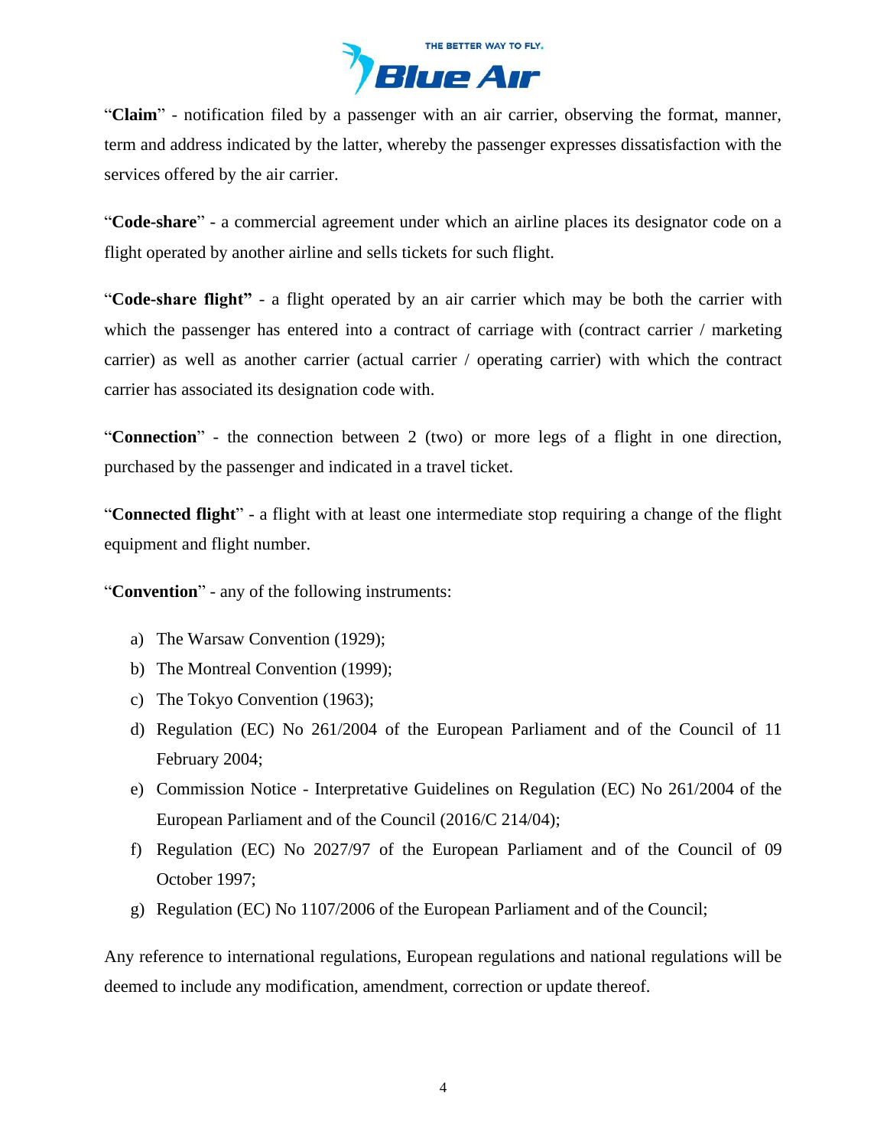

"**Claim**" - notification filed by a passenger with an air carrier, observing the format, manner, term and address indicated by the latter, whereby the passenger expresses dissatisfaction with the services offered by the air carrier.

"**Code-share**" - a commercial agreement under which an airline places its designator code on a flight operated by another airline and sells tickets for such flight.

"**Code-share flight"** - a flight operated by an air carrier which may be both the carrier with which the passenger has entered into a contract of carriage with (contract carrier / marketing carrier) as well as another carrier (actual carrier / operating carrier) with which the contract carrier has associated its designation code with.

"**Connection**" - the connection between 2 (two) or more legs of a flight in one direction, purchased by the passenger and indicated in a travel ticket.

"**Connected flight**" - a flight with at least one intermediate stop requiring a change of the flight equipment and flight number.

"**Convention**" - any of the following instruments:

- a) The Warsaw Convention (1929);
- b) The Montreal Convention (1999);
- c) The Tokyo Convention (1963);
- d) Regulation (EC) No 261/2004 of the European Parliament and of the Council of 11 February 2004;
- e) Commission Notice Interpretative Guidelines on Regulation (EC) No 261/2004 of the European Parliament and of the Council (2016/C 214/04);
- f) [Regulation \(EC\) No 2027/97](https://www.blueairweb.com/docs/regulamentul_ce/regulamentul_ce_2027-1997_ro.pdf) of the European Parliament and of the Council of 09 October 1997;
- g) Regulation (EC) No 1107/2006 of the European Parliament and of the Council;

Any reference to international regulations, European regulations and national regulations will be deemed to include any modification, amendment, correction or update thereof.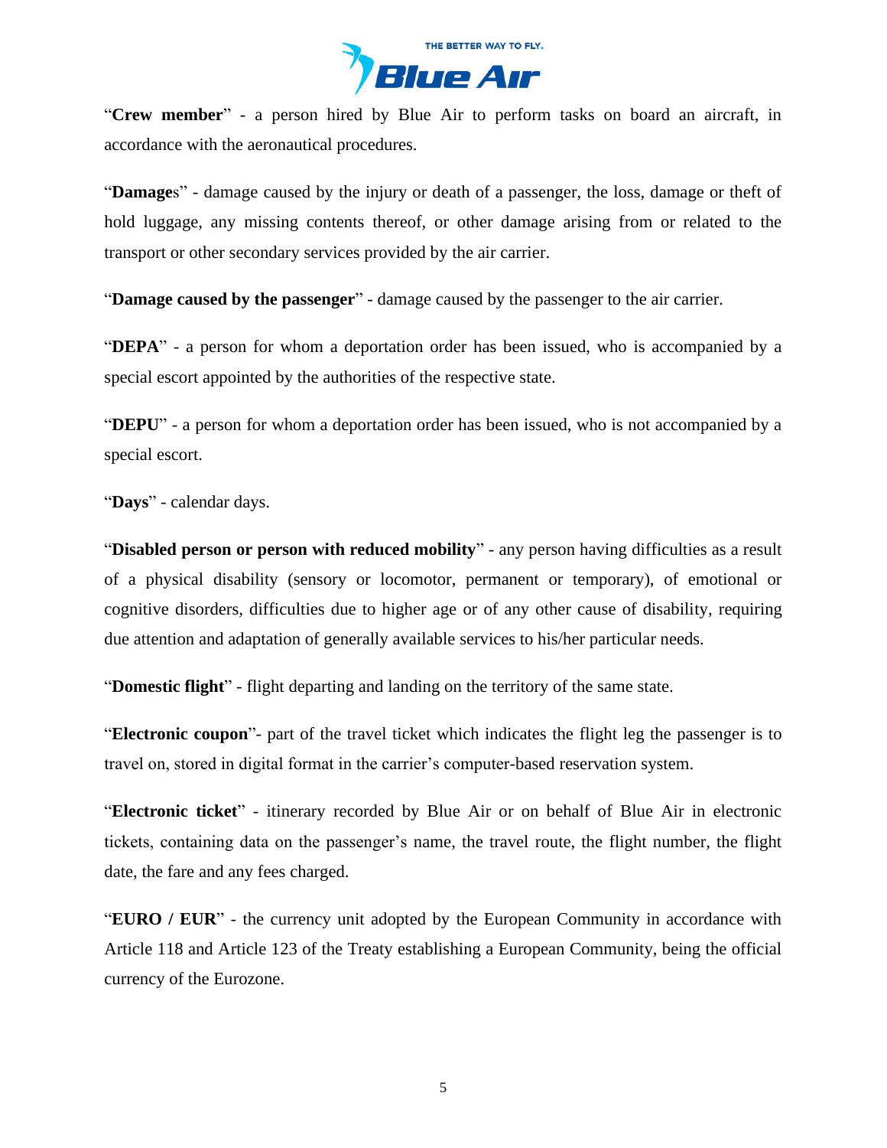

"**Crew member**" - a person hired by Blue Air to perform tasks on board an aircraft, in accordance with the aeronautical procedures.

"**Damage**s" - damage caused by the injury or death of a passenger, the loss, damage or theft of hold luggage, any missing contents thereof, or other damage arising from or related to the transport or other secondary services provided by the air carrier.

"**Damage caused by the passenger**" - damage caused by the passenger to the air carrier.

"**DEPA**" - a person for whom a deportation order has been issued, who is accompanied by a special escort appointed by the authorities of the respective state.

"**DEPU**" - a person for whom a deportation order has been issued, who is not accompanied by a special escort.

"**Days**" - calendar days.

"**Disabled person or person with reduced mobility**" - any person having difficulties as a result of a physical disability (sensory or locomotor, permanent or temporary), of emotional or cognitive disorders, difficulties due to higher age or of any other cause of disability, requiring due attention and adaptation of generally available services to his/her particular needs.

"**Domestic flight**" - flight departing and landing on the territory of the same state.

"**Electronic coupon**"- part of the travel ticket which indicates the flight leg the passenger is to travel on, stored in digital format in the carrier's computer-based reservation system.

"**Electronic ticket**" - itinerary recorded by Blue Air or on behalf of Blue Air in electronic tickets, containing data on the passenger's name, the travel route, the flight number, the flight date, the fare and any fees charged.

"**EURO / EUR**" - the currency unit adopted by the European Community in accordance with Article 118 and Article 123 of the Treaty establishing a European Community, being the official currency of the Eurozone.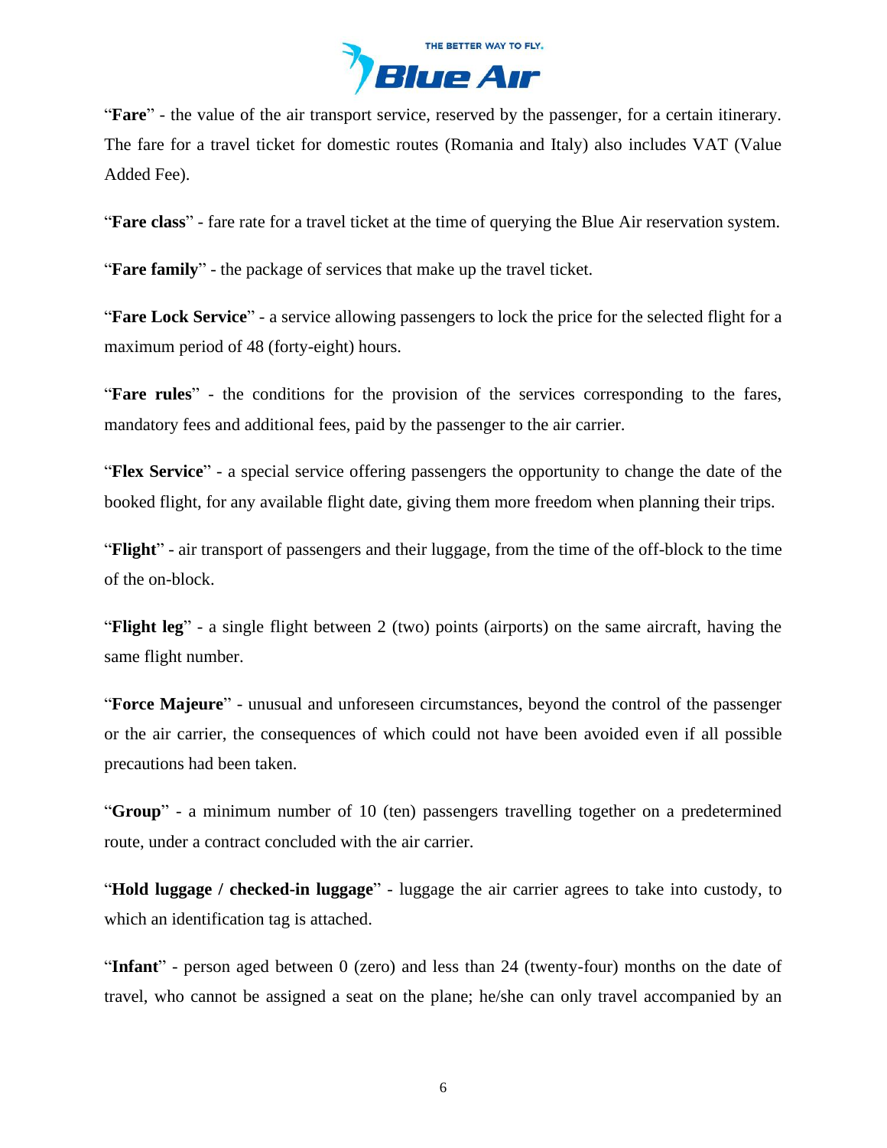

"**Fare**" - the value of the air transport service, reserved by the passenger, for a certain itinerary. The fare for a travel ticket for domestic routes (Romania and Italy) also includes VAT (Value Added Fee).

"**Fare class**" - fare rate for a travel ticket at the time of querying the Blue Air reservation system.

"**Fare family**" - the package of services that make up the travel ticket.

"**Fare Lock Service**" - a service allowing passengers to lock the price for the selected flight for a maximum period of 48 (forty-eight) hours.

"**Fare rules**" - the conditions for the provision of the services corresponding to the fares, mandatory fees and additional fees, paid by the passenger to the air carrier.

"**Flex Service**" - a special service offering passengers the opportunity to change the date of the booked flight, for any available flight date, giving them more freedom when planning their trips.

"**Flight**" - air transport of passengers and their luggage, from the time of the off-block to the time of the on-block.

"**Flight leg**" - a single flight between 2 (two) points (airports) on the same aircraft, having the same flight number.

"**Force Majeure**" - unusual and unforeseen circumstances, beyond the control of the passenger or the air carrier, the consequences of which could not have been avoided even if all possible precautions had been taken.

"**Group**" - a minimum number of 10 (ten) passengers travelling together on a predetermined route, under a contract concluded with the air carrier.

"**Hold luggage / checked-in luggage**" - luggage the air carrier agrees to take into custody, to which an identification tag is attached.

"**Infant**" - person aged between 0 (zero) and less than 24 (twenty-four) months on the date of travel, who cannot be assigned a seat on the plane; he/she can only travel accompanied by an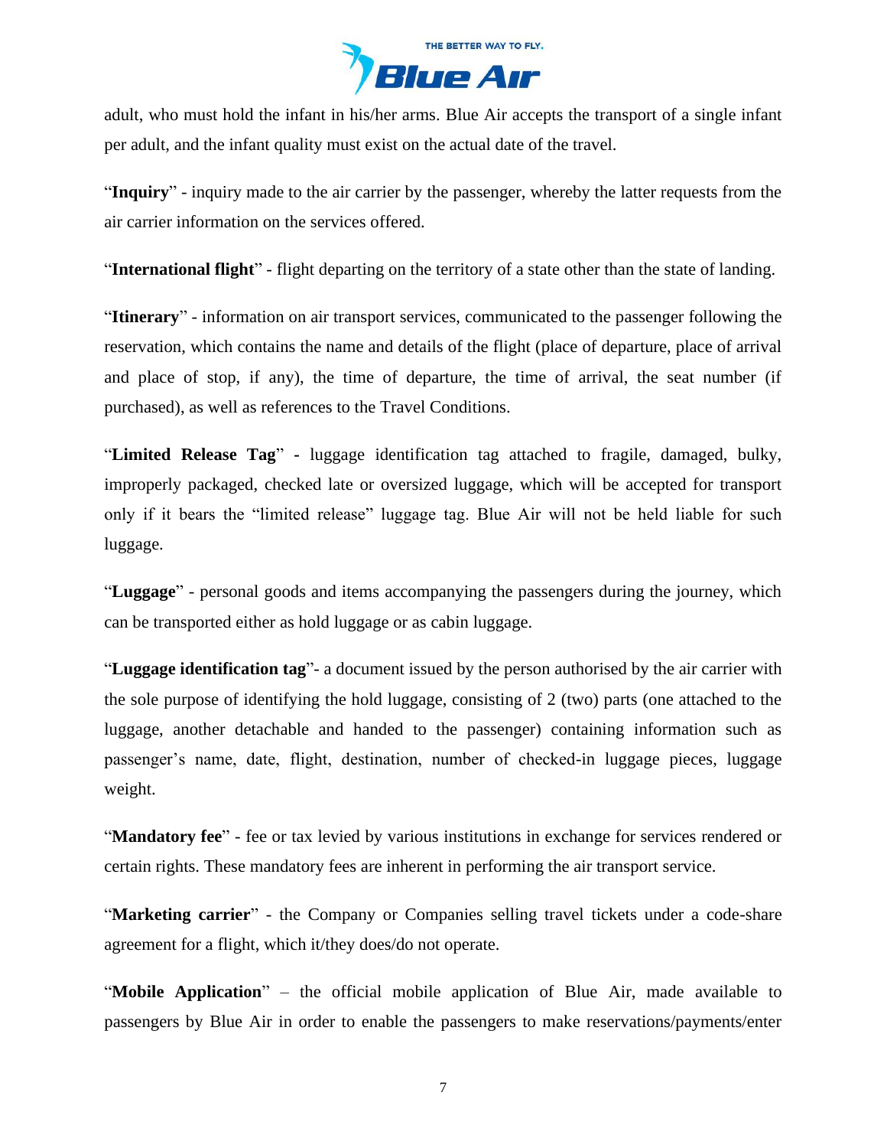

adult, who must hold the infant in his/her arms. Blue Air accepts the transport of a single infant per adult, and the infant quality must exist on the actual date of the travel.

"**Inquiry**" - inquiry made to the air carrier by the passenger, whereby the latter requests from the air carrier information on the services offered.

"**International flight**" - flight departing on the territory of a state other than the state of landing.

"**Itinerary**" - information on air transport services, communicated to the passenger following the reservation, which contains the name and details of the flight (place of departure, place of arrival and place of stop, if any), the time of departure, the time of arrival, the seat number (if purchased), as well as references to the Travel Conditions.

"**Limited Release Tag**" **-** luggage identification tag attached to fragile, damaged, bulky, improperly packaged, checked late or oversized luggage, which will be accepted for transport only if it bears the "limited release" luggage tag. Blue Air will not be held liable for such luggage.

"**Luggage**" - personal goods and items accompanying the passengers during the journey, which can be transported either as hold luggage or as cabin luggage.

"**Luggage identification tag**"- a document issued by the person authorised by the air carrier with the sole purpose of identifying the hold luggage, consisting of 2 (two) parts (one attached to the luggage, another detachable and handed to the passenger) containing information such as passenger's name, date, flight, destination, number of checked-in luggage pieces, luggage weight.

"**Mandatory fee**" - fee or tax levied by various institutions in exchange for services rendered or certain rights. These mandatory fees are inherent in performing the air transport service.

"**Marketing carrier**" - the Company or Companies selling travel tickets under a code-share agreement for a flight, which it/they does/do not operate.

"**Mobile Application**" – the official mobile application of Blue Air, made available to passengers by Blue Air in order to enable the passengers to make reservations/payments/enter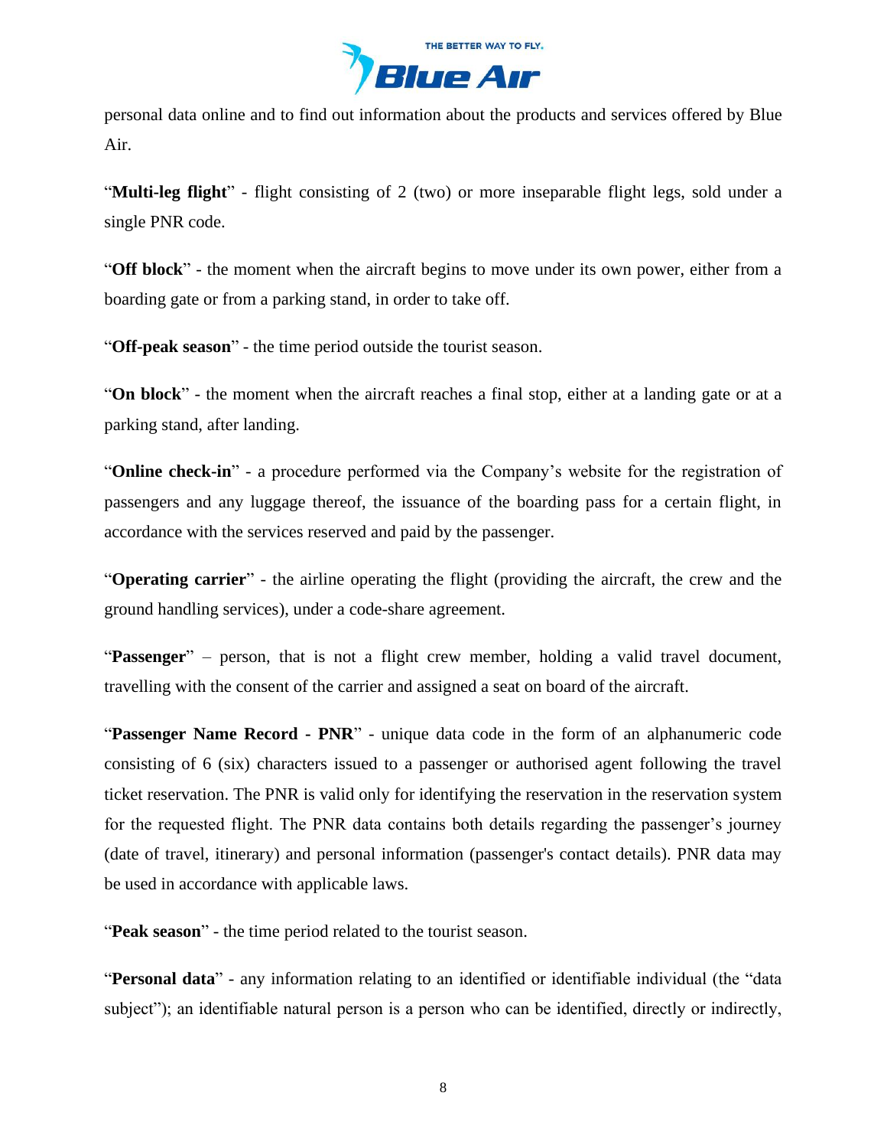

personal data online and to find out information about the products and services offered by Blue Air.

"**Multi-leg flight**" - flight consisting of 2 (two) or more inseparable flight legs, sold under a single PNR code.

"**Off block**" - the moment when the aircraft begins to move under its own power, either from a boarding gate or from a parking stand, in order to take off.

"**Off-peak season**" - the time period outside the tourist season.

"**On block**" - the moment when the aircraft reaches a final stop, either at a landing gate or at a parking stand, after landing.

"**Online check-in**" - a procedure performed via the Company's website for the registration of passengers and any luggage thereof, the issuance of the boarding pass for a certain flight, in accordance with the services reserved and paid by the passenger.

"**Operating carrier**" - the airline operating the flight (providing the aircraft, the crew and the ground handling services), under a code-share agreement.

"**Passenger**" – person, that is not a flight crew member, holding a valid travel document, travelling with the consent of the carrier and assigned a seat on board of the aircraft.

"**Passenger Name Record - PNR**" - unique data code in the form of an alphanumeric code consisting of 6 (six) characters issued to a passenger or authorised agent following the travel ticket reservation. The PNR is valid only for identifying the reservation in the reservation system for the requested flight. The PNR data contains both details regarding the passenger's journey (date of travel, itinerary) and personal information (passenger's contact details). PNR data may be used in accordance with applicable laws.

"**Peak season**" - the time period related to the tourist season.

"**Personal data**" - any information relating to an identified or identifiable individual (the "data subject"); an identifiable natural person is a person who can be identified, directly or indirectly,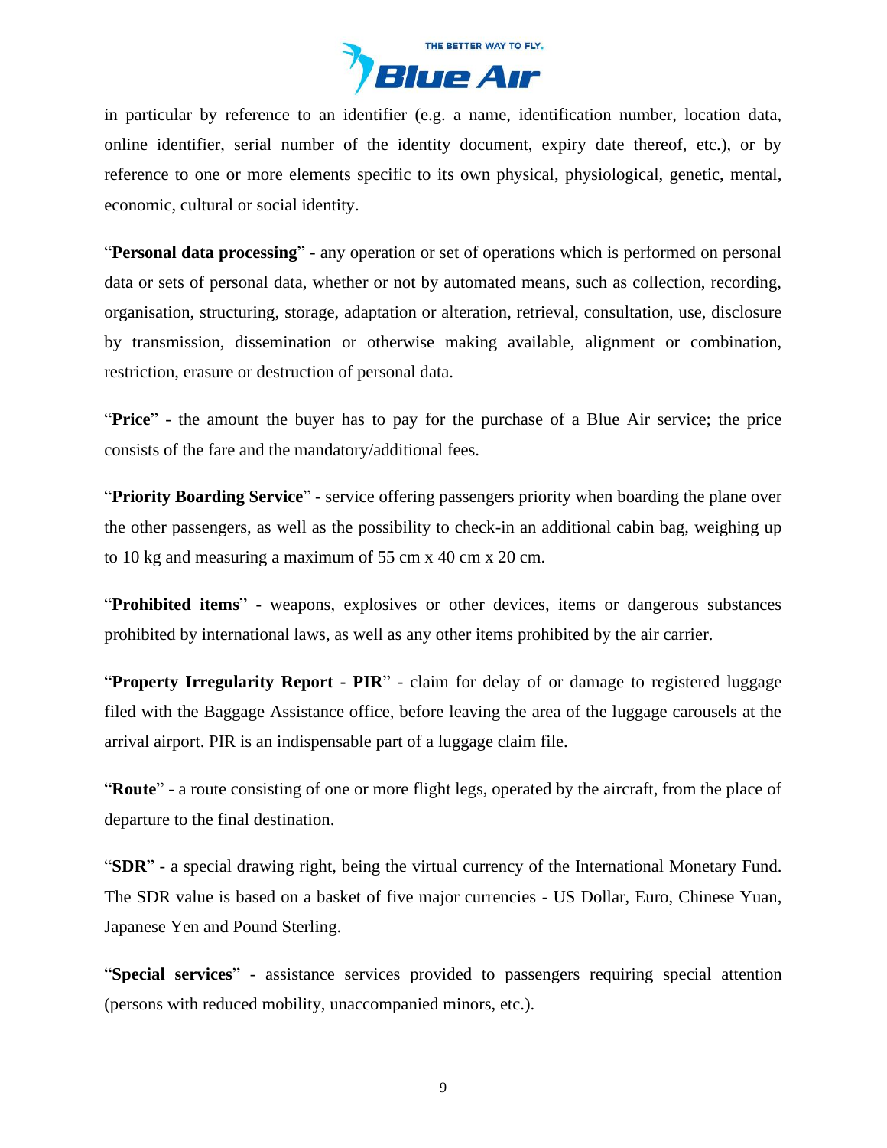

in particular by reference to an identifier (e.g. a name, identification number, location data, online identifier, serial number of the identity document, expiry date thereof, etc.), or by reference to one or more elements specific to its own physical, physiological, genetic, mental, economic, cultural or social identity.

"**Personal data processing**" - any operation or set of operations which is performed on personal data or sets of personal data, whether or not by automated means, such as collection, recording, organisation, structuring, storage, adaptation or alteration, retrieval, consultation, use, disclosure by transmission, dissemination or otherwise making available, alignment or combination, restriction, erasure or destruction of personal data.

"**Price**" - the amount the buyer has to pay for the purchase of a Blue Air service; the price consists of the fare and the mandatory/additional fees.

"**Priority Boarding Service**" - service offering passengers priority when boarding the plane over the other passengers, as well as the possibility to check-in an additional cabin bag, weighing up to 10 kg and measuring a maximum of 55 cm x 40 cm x 20 cm.

"**Prohibited items**" - weapons, explosives or other devices, items or dangerous substances prohibited by international laws, as well as any other items prohibited by the air carrier.

"**Property Irregularity Report - PIR**" - claim for delay of or damage to registered luggage filed with the Baggage Assistance office, before leaving the area of the luggage carousels at the arrival airport. PIR is an indispensable part of a luggage claim file.

"**Route**" - a route consisting of one or more flight legs, operated by the aircraft, from the place of departure to the final destination.

"**SDR**" - a special drawing right, being the virtual currency of the International Monetary Fund. The SDR value is based on a basket of five major currencies - US Dollar, Euro, Chinese Yuan, Japanese Yen and Pound Sterling.

"**Special services**" - assistance services provided to passengers requiring special attention (persons with reduced mobility, unaccompanied minors, etc.).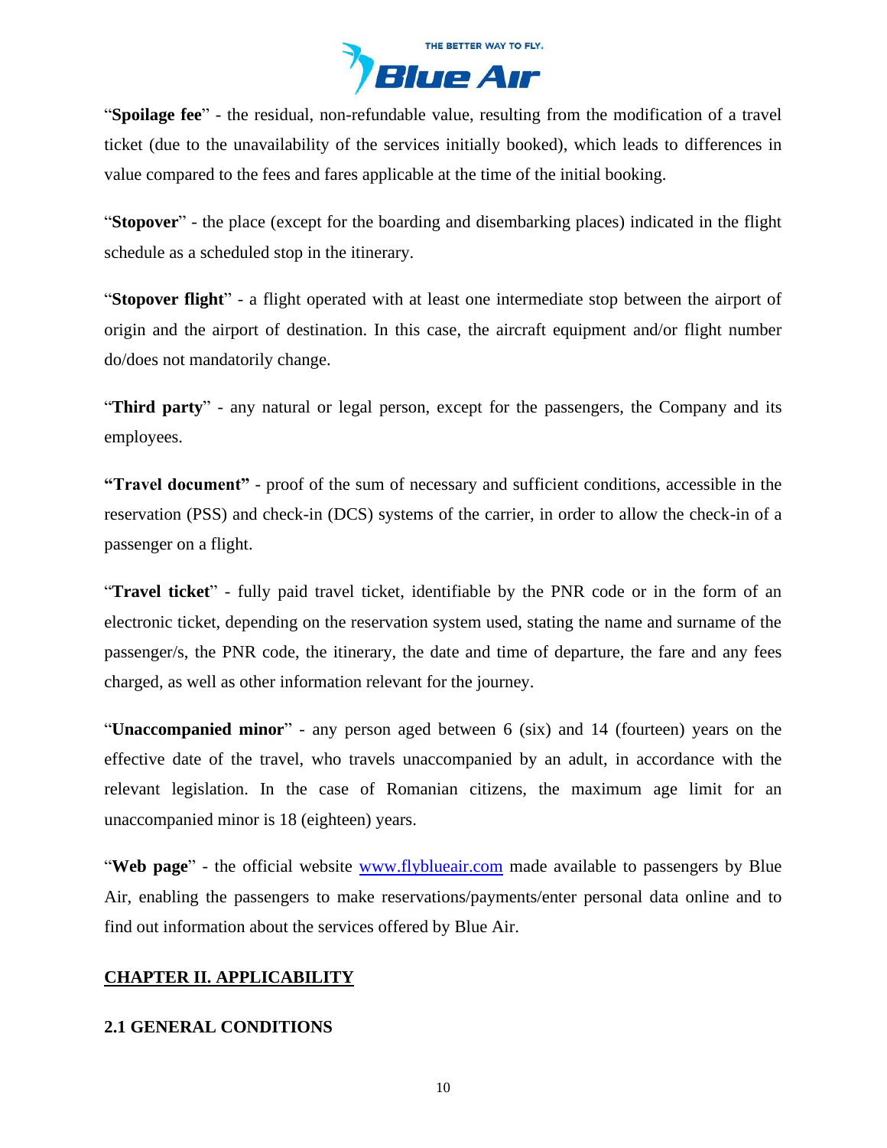

"**Spoilage fee**" - the residual, non-refundable value, resulting from the modification of a travel ticket (due to the unavailability of the services initially booked), which leads to differences in value compared to the fees and fares applicable at the time of the initial booking.

"**Stopover**" - the place (except for the boarding and disembarking places) indicated in the flight schedule as a scheduled stop in the itinerary.

"**Stopover flight**" - a flight operated with at least one intermediate stop between the airport of origin and the airport of destination. In this case, the aircraft equipment and/or flight number do/does not mandatorily change.

"**Third party**" - any natural or legal person, except for the passengers, the Company and its employees.

**"Travel document"** - proof of the sum of necessary and sufficient conditions, accessible in the reservation (PSS) and check-in (DCS) systems of the carrier, in order to allow the check-in of a passenger on a flight.

"**Travel ticket**" - fully paid travel ticket, identifiable by the PNR code or in the form of an electronic ticket, depending on the reservation system used, stating the name and surname of the passenger/s, the PNR code, the itinerary, the date and time of departure, the fare and any fees charged, as well as other information relevant for the journey.

"**Unaccompanied minor**" - any person aged between 6 (six) and 14 (fourteen) years on the effective date of the travel, who travels unaccompanied by an adult, in accordance with the relevant legislation. In the case of Romanian citizens, the maximum age limit for an unaccompanied minor is 18 (eighteen) years.

"**Web page**" - the official website [www.flyblueair.com](https://www.flyblueair.com/en/gb/) made available to passengers by Blue Air, enabling the passengers to make reservations/payments/enter personal data online and to find out information about the services offered by Blue Air.

# <span id="page-9-0"></span>**CHAPTER II. APPLICABILITY**

### **2.1 GENERAL CONDITIONS**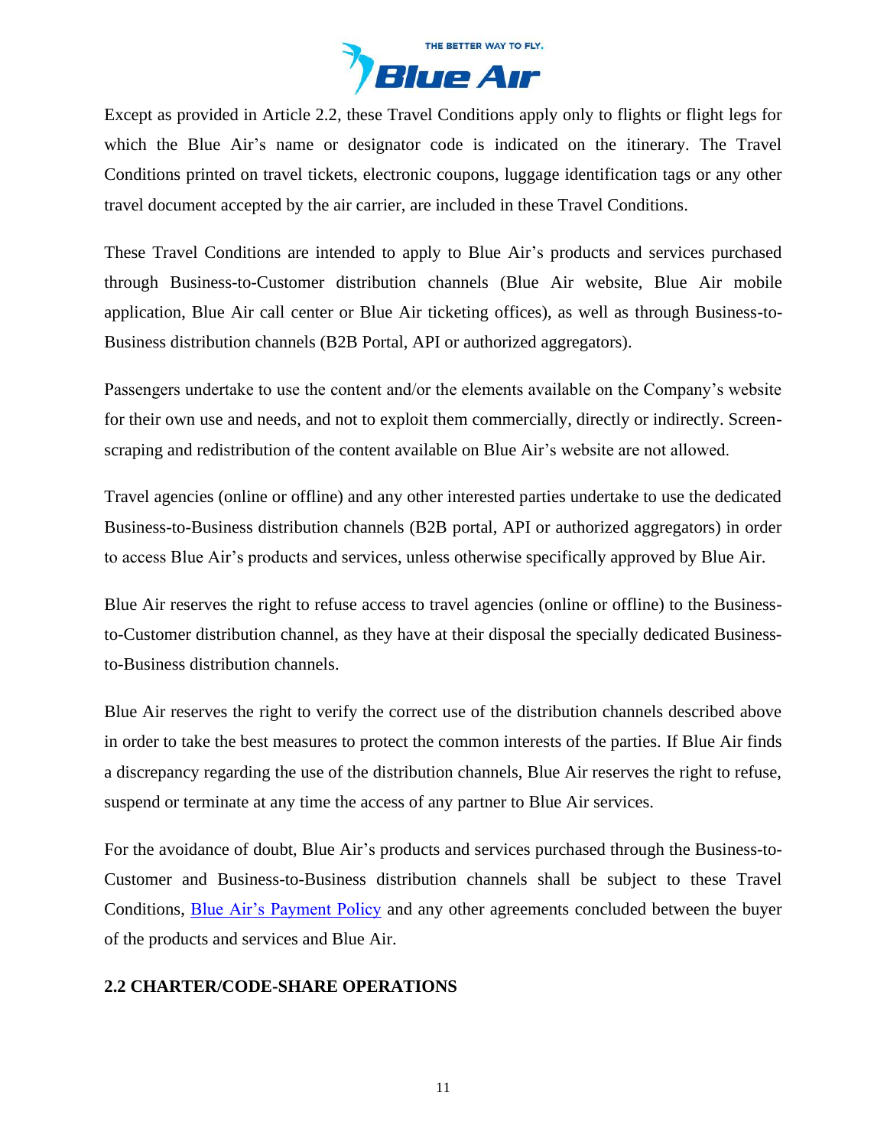

Except as provided in Article 2.2, these Travel Conditions apply only to flights or flight legs for which the Blue Air's name or designator code is indicated on the itinerary. The Travel Conditions printed on travel tickets, electronic coupons, luggage identification tags or any other travel document accepted by the air carrier, are included in these Travel Conditions.

These Travel Conditions are intended to apply to Blue Air's products and services purchased through Business-to-Customer distribution channels (Blue Air website, Blue Air mobile application, Blue Air call center or Blue Air ticketing offices), as well as through Business-to-Business distribution channels (B2B Portal, API or authorized aggregators).

Passengers undertake to use the content and/or the elements available on the Company's website for their own use and needs, and not to exploit them commercially, directly or indirectly. Screenscraping and redistribution of the content available on Blue Air's website are not allowed.

Travel agencies (online or offline) and any other interested parties undertake to use the dedicated Business-to-Business distribution channels (B2B portal, API or authorized aggregators) in order to access Blue Air's products and services, unless otherwise specifically approved by Blue Air.

Blue Air reserves the right to refuse access to travel agencies (online or offline) to the Businessto-Customer distribution channel, as they have at their disposal the specially dedicated Businessto-Business distribution channels.

Blue Air reserves the right to verify the correct use of the distribution channels described above in order to take the best measures to protect the common interests of the parties. If Blue Air finds a discrepancy regarding the use of the distribution channels, Blue Air reserves the right to refuse, suspend or terminate at any time the access of any partner to Blue Air services.

For the avoidance of doubt, Blue Air's products and services purchased through the Business-to-Customer and Business-to-Business distribution channels shall be subject to these Travel Conditions, [Blue Air's Payment Policy](https://www.flyblueair.com/en/gb/payment-policy/) and any other agreements concluded between the buyer of the products and services and Blue Air.

### **2.2 CHARTER/CODE-SHARE OPERATIONS**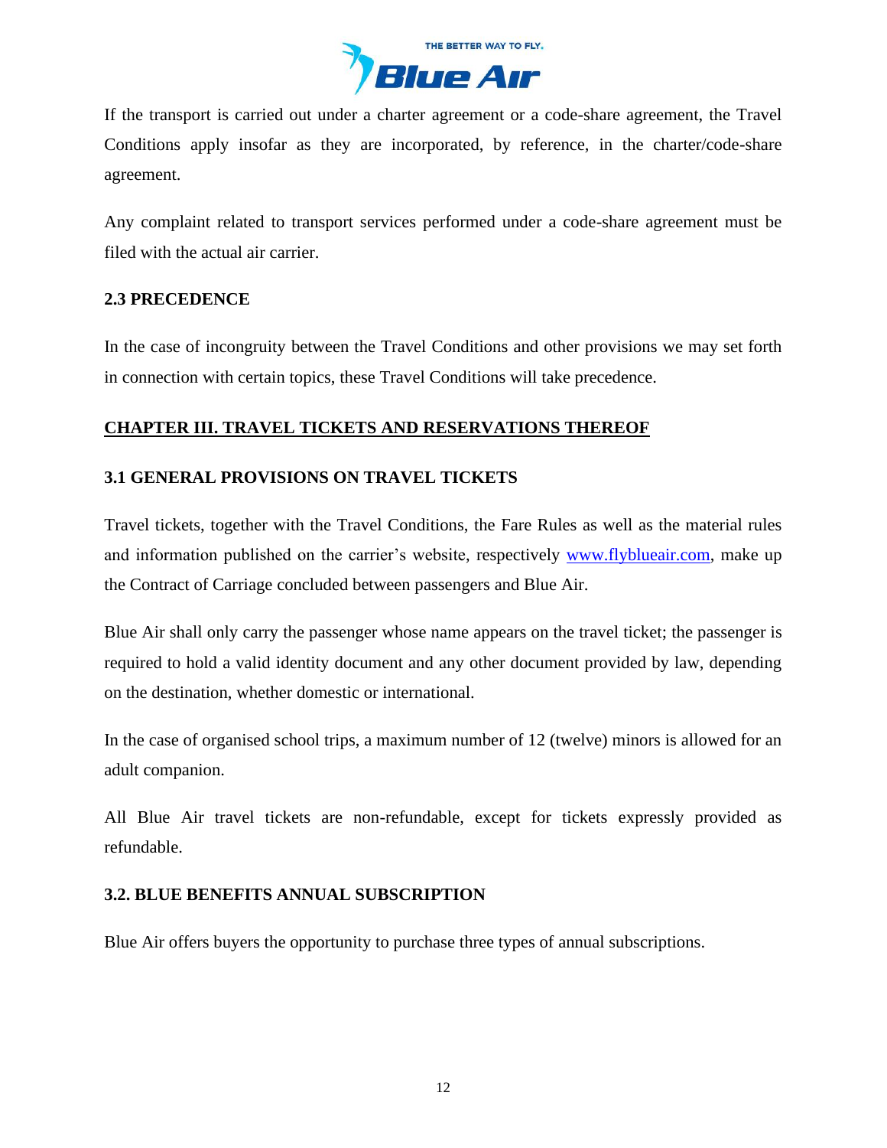

If the transport is carried out under a charter agreement or a code-share agreement, the Travel Conditions apply insofar as they are incorporated, by reference, in the charter/code-share agreement.

Any complaint related to transport services performed under a code-share agreement must be filed with the actual air carrier.

## **2.3 PRECEDENCE**

In the case of incongruity between the Travel Conditions and other provisions we may set forth in connection with certain topics, these Travel Conditions will take precedence.

# <span id="page-11-0"></span>**CHAPTER III. TRAVEL TICKETS AND RESERVATIONS THEREOF**

# **3.1 GENERAL PROVISIONS ON TRAVEL TICKETS**

Travel tickets, together with the Travel Conditions, the Fare Rules as well as the material rules and information published on the carrier's website, respectively [www.flyblueair.com,](https://www.flyblueair.com/en/gb/) make up the Contract of Carriage concluded between passengers and Blue Air.

Blue Air shall only carry the passenger whose name appears on the travel ticket; the passenger is required to hold a valid identity document and any other document provided by law, depending on the destination, whether domestic or international.

In the case of organised school trips, a maximum number of 12 (twelve) minors is allowed for an adult companion.

All Blue Air travel tickets are non-refundable, except for tickets expressly provided as refundable.

# **3.2. BLUE BENEFITS ANNUAL SUBSCRIPTION**

Blue Air offers buyers the opportunity to purchase three types of annual subscriptions.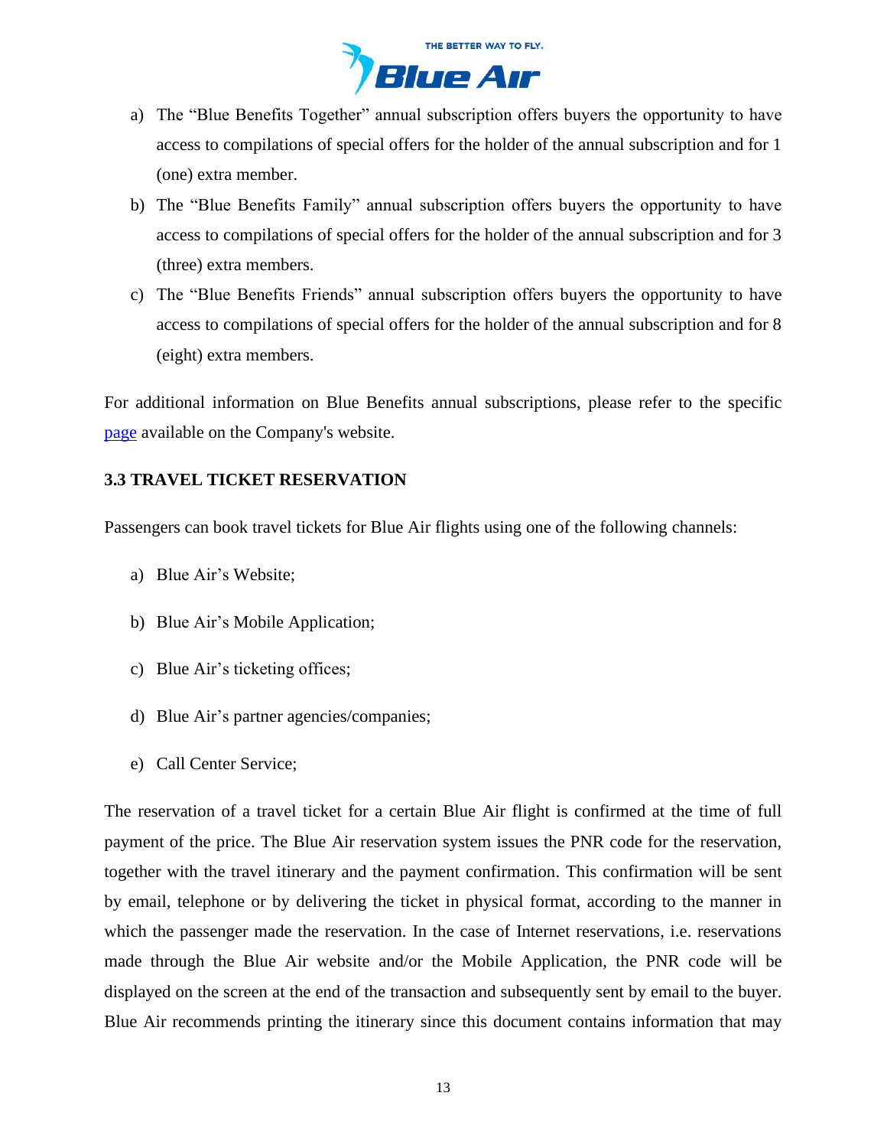

- a) The "Blue Benefits Together" annual subscription offers buyers the opportunity to have access to compilations of special offers for the holder of the annual subscription and for 1 (one) extra member.
- b) The "Blue Benefits Family" annual subscription offers buyers the opportunity to have access to compilations of special offers for the holder of the annual subscription and for 3 (three) extra members.
- c) The "Blue Benefits Friends" annual subscription offers buyers the opportunity to have access to compilations of special offers for the holder of the annual subscription and for 8 (eight) extra members.

For additional information on Blue Benefits annual subscriptions, please refer to the specific [page](https://www.flyblueair.com/en/gb/blue-benefits/) available on the Company's website.

# **3.3 TRAVEL TICKET RESERVATION**

Passengers can book travel tickets for Blue Air flights using one of the following channels:

- a) Blue Air's Website;
- b) Blue Air's Mobile Application;
- c) Blue Air's ticketing offices;
- d) Blue Air's partner agencies/companies;
- e) Call Center Service;

The reservation of a travel ticket for a certain Blue Air flight is confirmed at the time of full payment of the price. The Blue Air reservation system issues the PNR code for the reservation, together with the travel itinerary and the payment confirmation. This confirmation will be sent by email, telephone or by delivering the ticket in physical format, according to the manner in which the passenger made the reservation. In the case of Internet reservations, i.e. reservations made through the Blue Air website and/or the Mobile Application, the PNR code will be displayed on the screen at the end of the transaction and subsequently sent by email to the buyer. Blue Air recommends printing the itinerary since this document contains information that may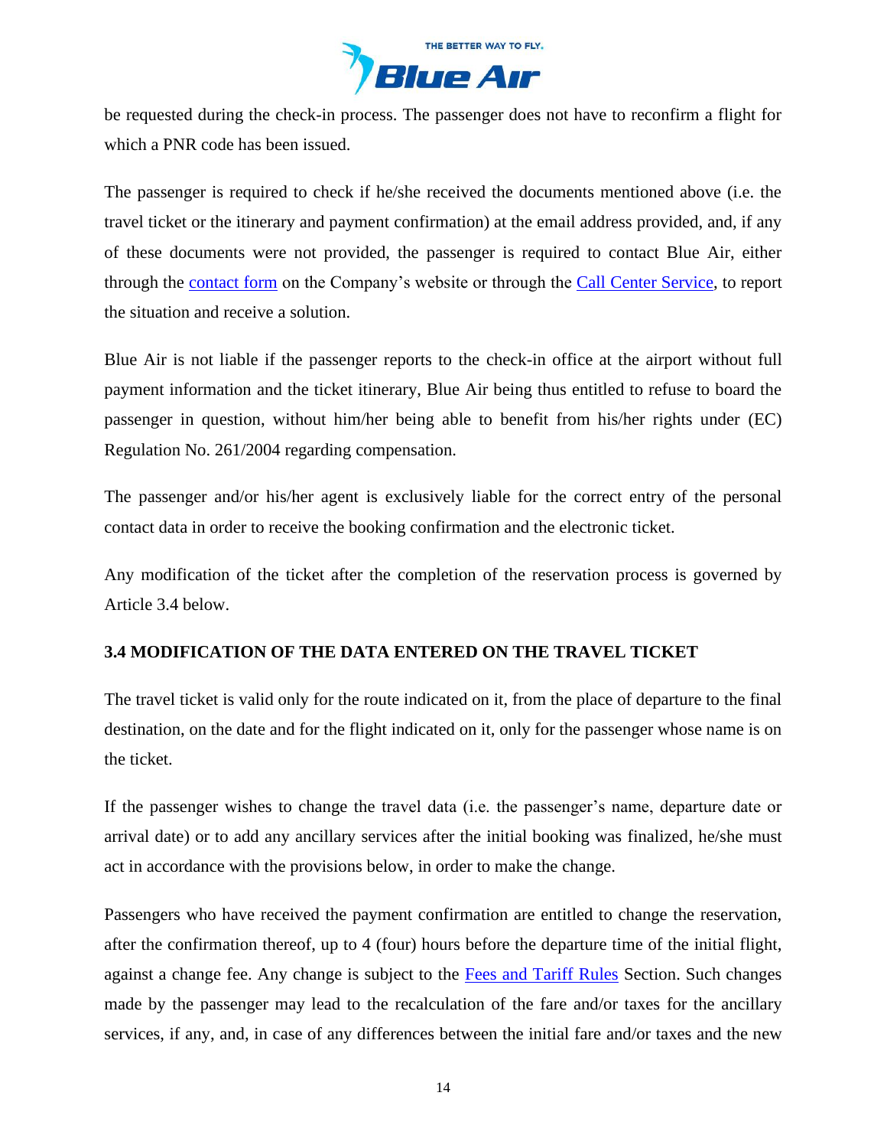

be requested during the check-in process. The passenger does not have to reconfirm a flight for which a PNR code has been issued.

The passenger is required to check if he/she received the documents mentioned above (i.e. the travel ticket or the itinerary and payment confirmation) at the email address provided, and, if any of these documents were not provided, the passenger is required to contact Blue Air, either through the [contact form](https://www.flyblueair.com/en/gb/contact/) on the Company's website or through the [Call Center](https://www.flyblueair.com/en/gb/contact/) Service, to report the situation and receive a solution.

Blue Air is not liable if the passenger reports to the check-in office at the airport without full payment information and the ticket itinerary, Blue Air being thus entitled to refuse to board the passenger in question, without him/her being able to benefit from his/her rights under (EC) Regulation No. 261/2004 regarding compensation.

The passenger and/or his/her agent is exclusively liable for the correct entry of the personal contact data in order to receive the booking confirmation and the electronic ticket.

Any modification of the ticket after the completion of the reservation process is governed by Article 3.4 below.

# **3.4 MODIFICATION OF THE DATA ENTERED ON THE TRAVEL TICKET**

The travel ticket is valid only for the route indicated on it, from the place of departure to the final destination, on the date and for the flight indicated on it, only for the passenger whose name is on the ticket.

If the passenger wishes to change the travel data (i.e. the passenger's name, departure date or arrival date) or to add any ancillary services after the initial booking was finalized, he/she must act in accordance with the provisions below, in order to make the change.

Passengers who have received the payment confirmation are entitled to change the reservation, after the confirmation thereof, up to 4 (four) hours before the departure time of the initial flight, against a change fee. Any change is subject to the [Fees and Tariff](https://www.flyblueair.com/en/gb/fees-and-tariff-rules/) Rules Section. Such changes made by the passenger may lead to the recalculation of the fare and/or taxes for the ancillary services, if any, and, in case of any differences between the initial fare and/or taxes and the new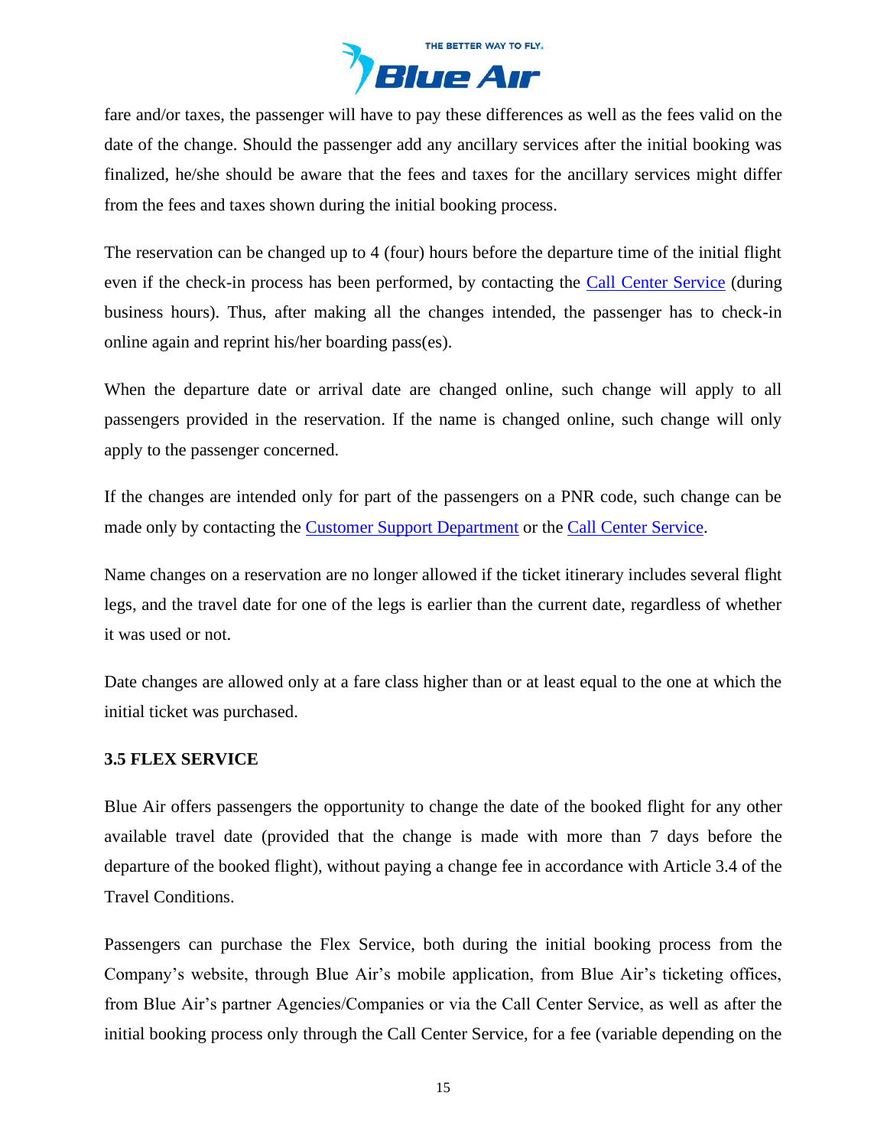

fare and/or taxes, the passenger will have to pay these differences as well as the fees valid on the date of the change. Should the passenger add any ancillary services after the initial booking was finalized, he/she should be aware that the fees and taxes for the ancillary services might differ from the fees and taxes shown during the initial booking process.

The reservation can be changed up to 4 (four) hours before the departure time of the initial flight even if the check-in process has been performed, by contacting the [Call Center](https://www.flyblueair.com/en/gb/contact/) Service (during business hours). Thus, after making all the changes intended, the passenger has to check-in online again and reprint his/her boarding pass(es).

When the departure date or arrival date are changed online, such change will apply to all passengers provided in the reservation. If the name is changed online, such change will only apply to the passenger concerned.

If the changes are intended only for part of the passengers on a PNR code, such change can be made only by contacting the [Customer Support Department](https://www.flyblueair.com/en/gb/contact/) or the [Call Center](https://www.flyblueair.com/en/gb/contact/) Service.

Name changes on a reservation are no longer allowed if the ticket itinerary includes several flight legs, and the travel date for one of the legs is earlier than the current date, regardless of whether it was used or not.

Date changes are allowed only at a fare class higher than or at least equal to the one at which the initial ticket was purchased.

### **3.5 FLEX SERVICE**

Blue Air offers passengers the opportunity to change the date of the booked flight for any other available travel date (provided that the change is made with more than 7 days before the departure of the booked flight), without paying a change fee in accordance with Article 3.4 of the Travel Conditions.

Passengers can purchase the Flex Service, both during the initial booking process from the Company's website, through Blue Air's mobile application, from Blue Air's ticketing offices, from Blue Air's partner Agencies/Companies or via the Call Center Service, as well as after the initial booking process only through the Call Center Service, for a fee (variable depending on the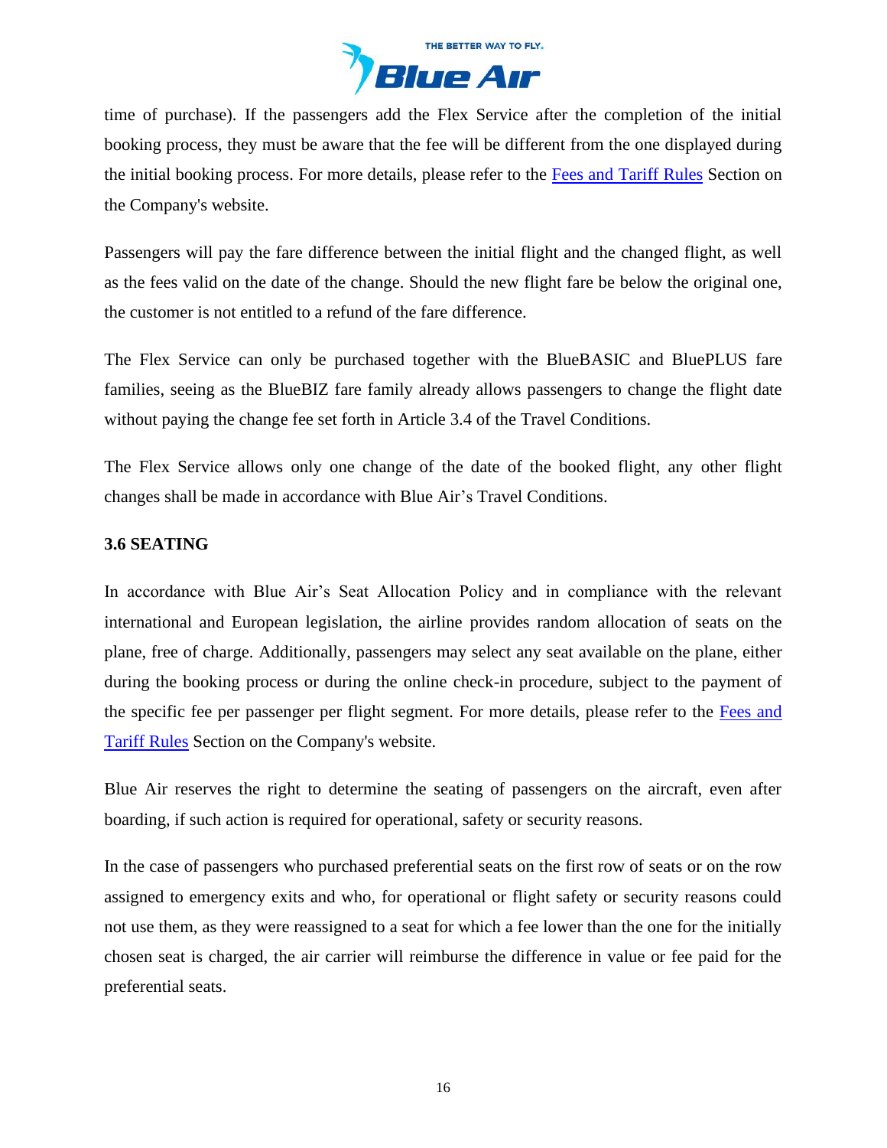

time of purchase). If the passengers add the Flex Service after the completion of the initial booking process, they must be aware that the fee will be different from the one displayed during the initial booking process. For more details, please refer to the [Fees and Tariff](https://www.flyblueair.com/en/gb/fees-and-tariff-rules/) Rules Section on the Company's website.

Passengers will pay the fare difference between the initial flight and the changed flight, as well as the fees valid on the date of the change. Should the new flight fare be below the original one, the customer is not entitled to a refund of the fare difference.

The Flex Service can only be purchased together with the BlueBASIC and BluePLUS fare families, seeing as the BlueBIZ fare family already allows passengers to change the flight date without paying the change fee set forth in Article 3.4 of the Travel Conditions.

The Flex Service allows only one change of the date of the booked flight, any other flight changes shall be made in accordance with Blue Air's Travel Conditions.

### **3.6 SEATING**

In accordance with Blue Air's Seat Allocation Policy and in compliance with the relevant international and European legislation, the airline provides random allocation of seats on the plane, free of charge. Additionally, passengers may select any seat available on the plane, either during the booking process or during the online check-in procedure, subject to the payment of the specific fee per passenger per flight segment. For more details, please refer to the [Fees and](https://www.flyblueair.com/en/gb/fees-and-tariff-rules/)  [Tariff](https://www.flyblueair.com/en/gb/fees-and-tariff-rules/) Rules Section on the Company's website.

Blue Air reserves the right to determine the seating of passengers on the aircraft, even after boarding, if such action is required for operational, safety or security reasons.

In the case of passengers who purchased preferential seats on the first row of seats or on the row assigned to emergency exits and who, for operational or flight safety or security reasons could not use them, as they were reassigned to a seat for which a fee lower than the one for the initially chosen seat is charged, the air carrier will reimburse the difference in value or fee paid for the preferential seats.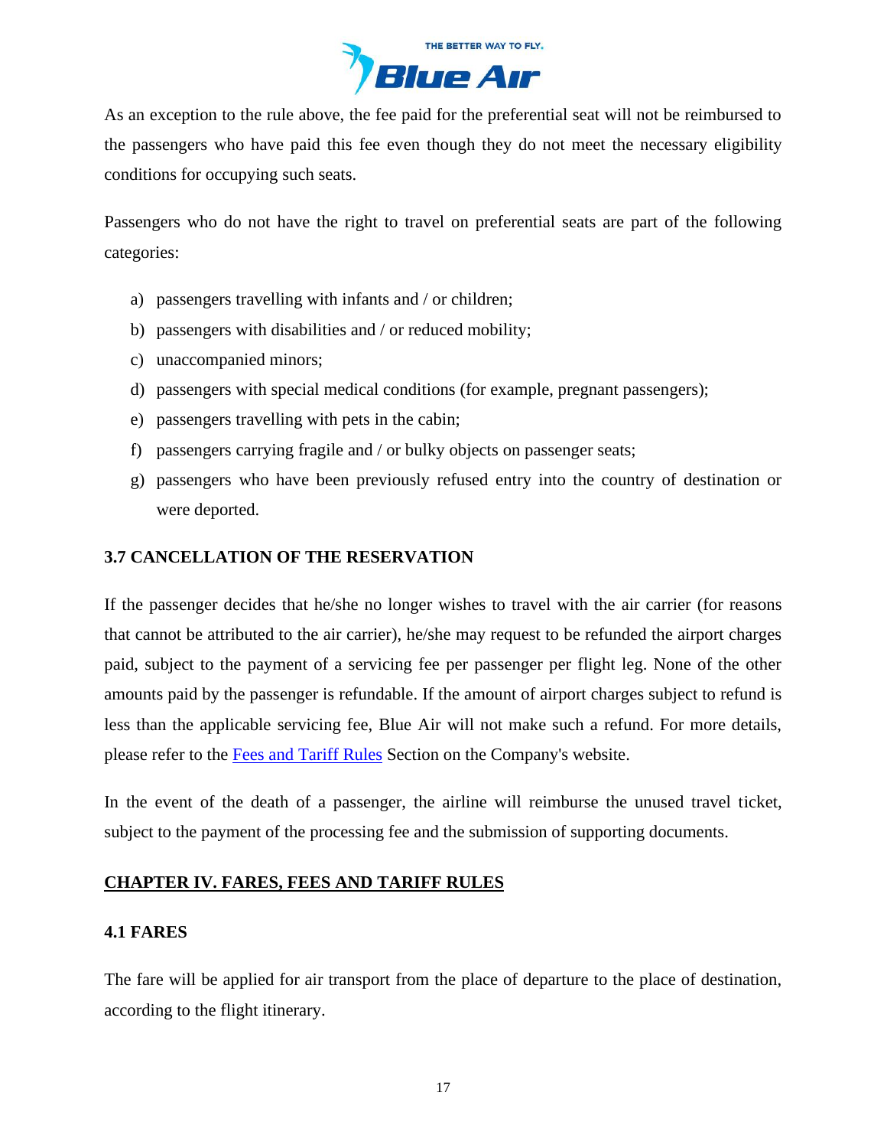

As an exception to the rule above, the fee paid for the preferential seat will not be reimbursed to the passengers who have paid this fee even though they do not meet the necessary eligibility conditions for occupying such seats.

Passengers who do not have the right to travel on preferential seats are part of the following categories:

- a) passengers travelling with infants and / or children;
- b) passengers with disabilities and / or reduced mobility;
- c) unaccompanied minors;
- d) passengers with special medical conditions (for example, pregnant passengers);
- e) passengers travelling with pets in the cabin;
- f) passengers carrying fragile and / or bulky objects on passenger seats;
- g) passengers who have been previously refused entry into the country of destination or were deported.

## **3.7 CANCELLATION OF THE RESERVATION**

If the passenger decides that he/she no longer wishes to travel with the air carrier (for reasons that cannot be attributed to the air carrier), he/she may request to be refunded the airport charges paid, subject to the payment of a servicing fee per passenger per flight leg. None of the other amounts paid by the passenger is refundable. If the amount of airport charges subject to refund is less than the applicable servicing fee, Blue Air will not make such a refund. For more details, please refer to the [Fees and Tariff](https://www.flyblueair.com/en/gb/fees-and-tariff-rules/) Rules Section on the Company's website.

In the event of the death of a passenger, the airline will reimburse the unused travel ticket, subject to the payment of the processing fee and the submission of supporting documents.

### <span id="page-16-0"></span>**CHAPTER IV. FARES, FEES AND TARIFF RULES**

### **4.1 FARES**

The fare will be applied for air transport from the place of departure to the place of destination, according to the flight itinerary.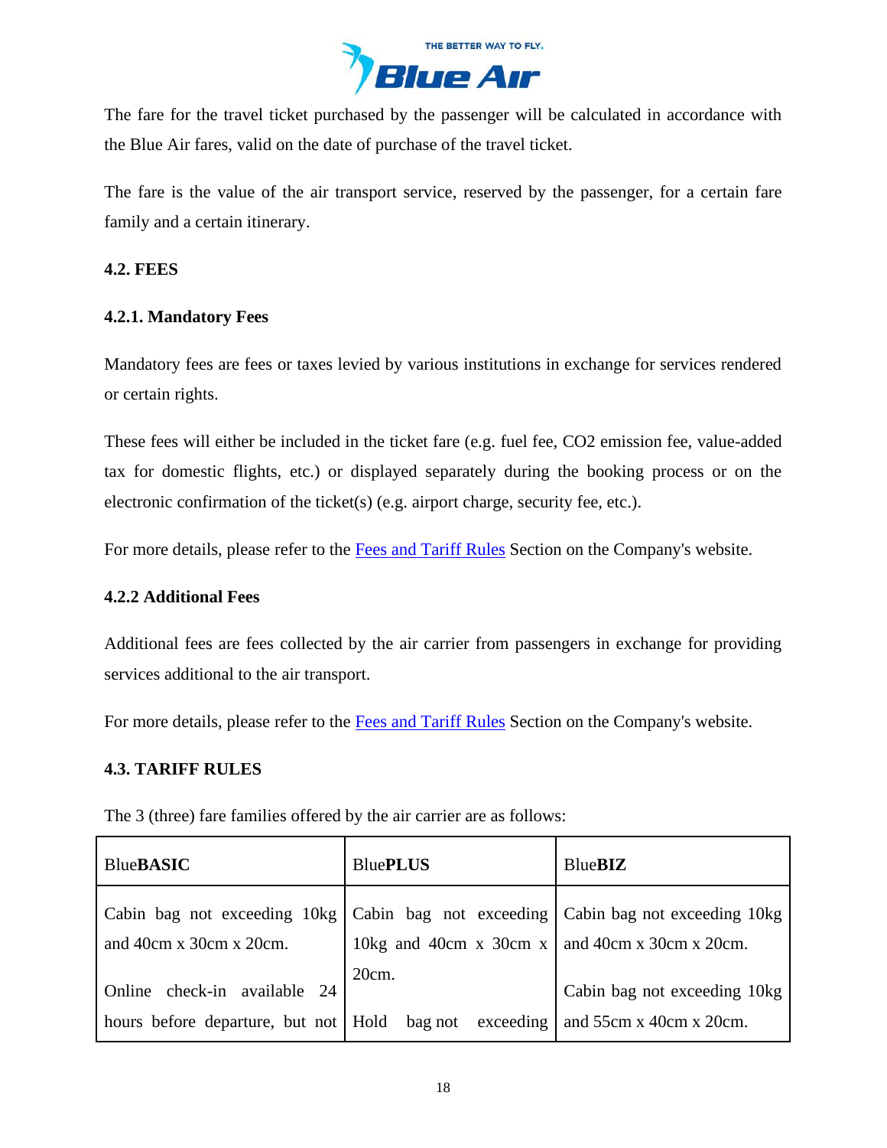

The fare for the travel ticket purchased by the passenger will be calculated in accordance with the Blue Air fares, valid on the date of purchase of the travel ticket.

The fare is the value of the air transport service, reserved by the passenger, for a certain fare family and a certain itinerary.

## **4.2. FEES**

## **4.2.1. Mandatory Fees**

Mandatory fees are fees or taxes levied by various institutions in exchange for services rendered or certain rights.

These fees will either be included in the ticket fare (e.g. fuel fee, CO2 emission fee, value-added tax for domestic flights, etc.) or displayed separately during the booking process or on the electronic confirmation of the ticket(s) (e.g. airport charge, security fee, etc.).

For more details, please refer to the [Fees and Tariff](https://www.flyblueair.com/en/gb/fees-and-tariff-rules/) Rules Section on the Company's website.

### **4.2.2 Additional Fees**

Additional fees are fees collected by the air carrier from passengers in exchange for providing services additional to the air transport.

For more details, please refer to the [Fees and Tariff](https://www.flyblueair.com/en/gb/fees-and-tariff-rules/) Rules Section on the Company's website.

### **4.3. TARIFF RULES**

The 3 (three) fare families offered by the air carrier are as follows:

| <b>BlueBASIC</b>                                                                                                 | <b>BluePLUS</b>                                        | <b>BlueBIZ</b>                                            |
|------------------------------------------------------------------------------------------------------------------|--------------------------------------------------------|-----------------------------------------------------------|
| Cabin bag not exceeding 10kg   Cabin bag not exceeding   Cabin bag not exceeding 10kg<br>and 40cm x 30cm x 20cm. | 10kg and 40cm x 30cm x $\vert$ and 40cm x 30cm x 20cm. |                                                           |
| Online check-in available 24<br>hours before departure, but not   Hold bag not exceeding                         | 20cm.                                                  | Cabin bag not exceeding 10kg<br>and $55cm x$ 40cm x 20cm. |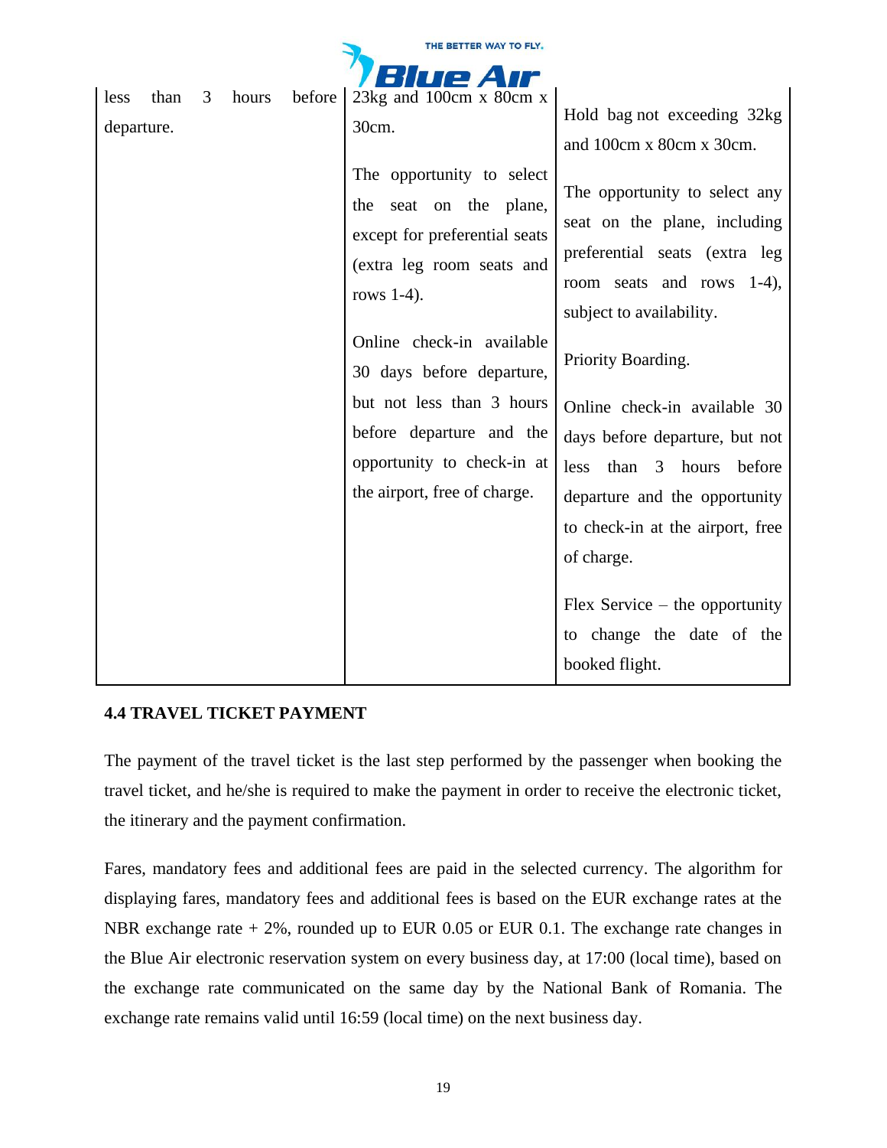| THE BETTER WAY TO FLY. |      |   |       |        |                                                                                                                                                                                                                                                                                                                                                                            |                                                                                                                                                                                                                                                                                                                                                                                                                                                                                                                       |
|------------------------|------|---|-------|--------|----------------------------------------------------------------------------------------------------------------------------------------------------------------------------------------------------------------------------------------------------------------------------------------------------------------------------------------------------------------------------|-----------------------------------------------------------------------------------------------------------------------------------------------------------------------------------------------------------------------------------------------------------------------------------------------------------------------------------------------------------------------------------------------------------------------------------------------------------------------------------------------------------------------|
| IP A                   |      |   |       |        |                                                                                                                                                                                                                                                                                                                                                                            |                                                                                                                                                                                                                                                                                                                                                                                                                                                                                                                       |
| less<br>departure.     | than | 3 | hours | before | 23 $kg$ and 100 $cm \times 80cm \times$<br>30cm.<br>The opportunity to select<br>seat on the plane,<br>the<br>except for preferential seats<br>(extra leg room seats and<br>rows $1-4$ ).<br>Online check-in available<br>30 days before departure,<br>but not less than 3 hours<br>before departure and the<br>opportunity to check-in at<br>the airport, free of charge. | Hold bag not exceeding 32kg<br>and 100cm x 80cm x 30cm.<br>The opportunity to select any<br>seat on the plane, including<br>preferential seats (extra leg<br>room seats and rows 1-4),<br>subject to availability.<br>Priority Boarding.<br>Online check-in available 30<br>days before departure, but not<br>less<br>than<br>3 hours<br>before<br>departure and the opportunity<br>to check-in at the airport, free<br>of charge.<br>Flex Service $-$ the opportunity<br>to change the date of the<br>booked flight. |
|                        |      |   |       |        |                                                                                                                                                                                                                                                                                                                                                                            |                                                                                                                                                                                                                                                                                                                                                                                                                                                                                                                       |

# **4.4 TRAVEL TICKET PAYMENT**

The payment of the travel ticket is the last step performed by the passenger when booking the travel ticket, and he/she is required to make the payment in order to receive the electronic ticket, the itinerary and the payment confirmation.

Fares, mandatory fees and additional fees are paid in the selected currency. The algorithm for displaying fares, mandatory fees and additional fees is based on the EUR exchange rates at the NBR exchange rate  $+ 2\%$ , rounded up to EUR 0.05 or EUR 0.1. The exchange rate changes in the Blue Air electronic reservation system on every business day, at 17:00 (local time), based on the exchange rate communicated on the same day by the National Bank of Romania. The exchange rate remains valid until 16:59 (local time) on the next business day.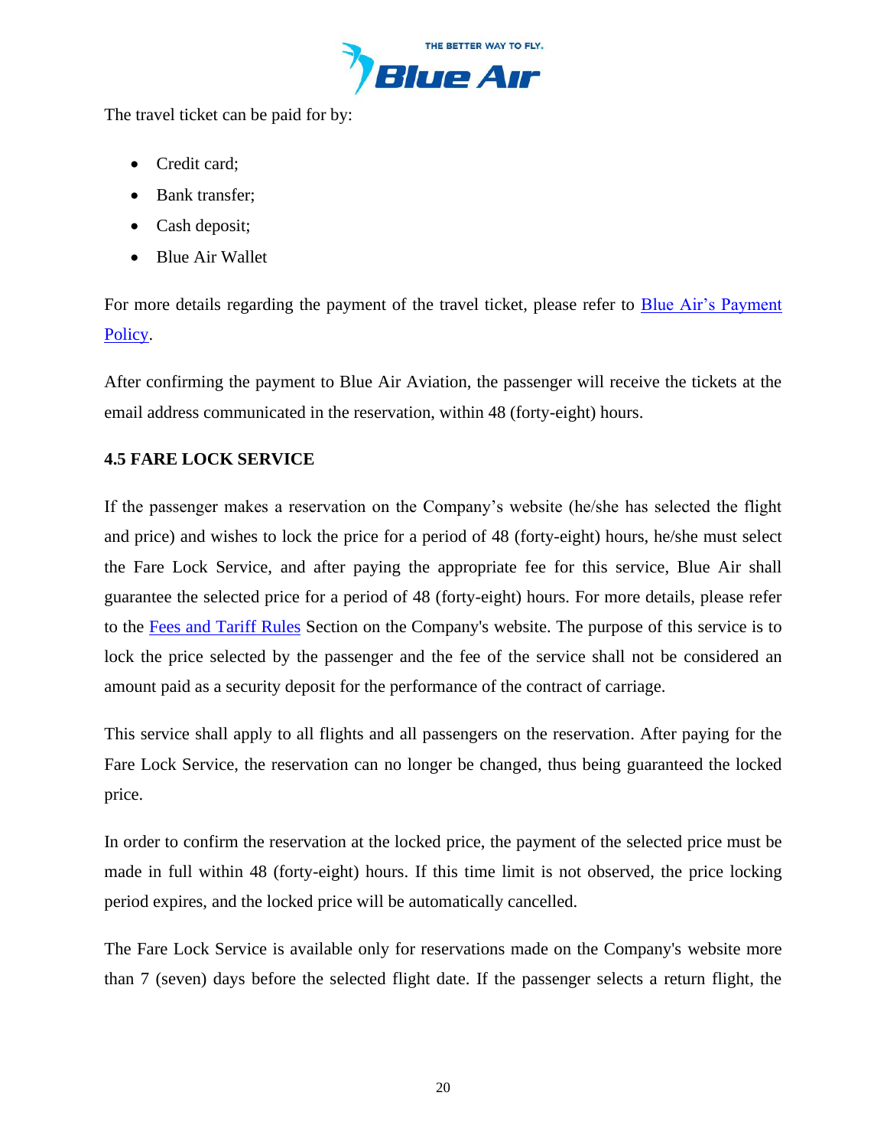

The travel ticket can be paid for by:

- Credit card;
- Bank transfer;
- Cash deposit;
- Blue Air Wallet

For more details regarding the payment of the travel ticket, please refer to [Blue Air's Payment](https://www.flyblueair.com/en/gb/payment-policy/)  [Policy.](https://www.flyblueair.com/en/gb/payment-policy/)

After confirming the payment to Blue Air Aviation, the passenger will receive the tickets at the email address communicated in the reservation, within 48 (forty-eight) hours.

# **4.5 FARE LOCK SERVICE**

If the passenger makes a reservation on the Company's website (he/she has selected the flight and price) and wishes to lock the price for a period of 48 (forty-eight) hours, he/she must select the Fare Lock Service, and after paying the appropriate fee for this service, Blue Air shall guarantee the selected price for a period of 48 (forty-eight) hours. For more details, please refer to the [Fees and Tariff](https://www.flyblueair.com/en/gb/fees-and-tariff-rules/) Rules Section on the Company's website. The purpose of this service is to lock the price selected by the passenger and the fee of the service shall not be considered an amount paid as a security deposit for the performance of the contract of carriage.

This service shall apply to all flights and all passengers on the reservation. After paying for the Fare Lock Service, the reservation can no longer be changed, thus being guaranteed the locked price.

In order to confirm the reservation at the locked price, the payment of the selected price must be made in full within 48 (forty-eight) hours. If this time limit is not observed, the price locking period expires, and the locked price will be automatically cancelled.

The Fare Lock Service is available only for reservations made on the Company's website more than 7 (seven) days before the selected flight date. If the passenger selects a return flight, the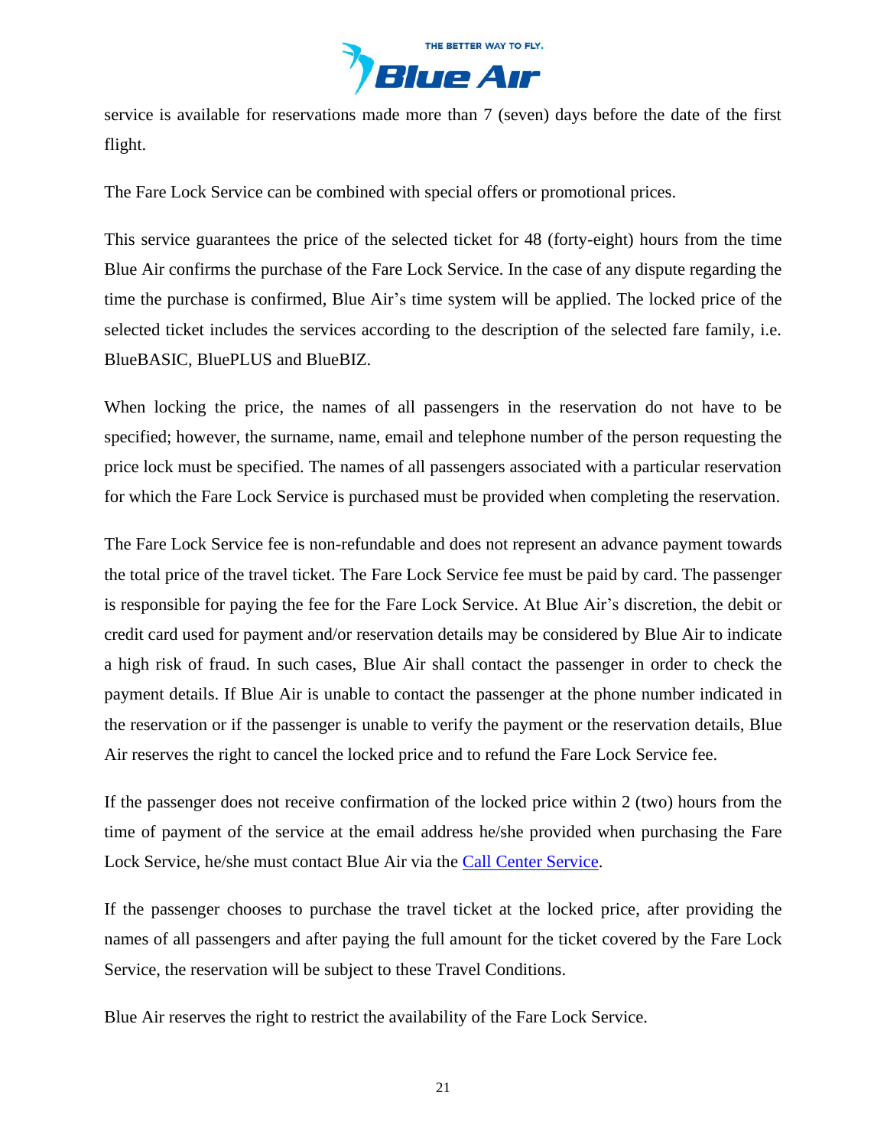

service is available for reservations made more than 7 (seven) days before the date of the first flight.

The Fare Lock Service can be combined with special offers or promotional prices.

This service guarantees the price of the selected ticket for 48 (forty-eight) hours from the time Blue Air confirms the purchase of the Fare Lock Service. In the case of any dispute regarding the time the purchase is confirmed, Blue Air's time system will be applied. The locked price of the selected ticket includes the services according to the description of the selected fare family, i.e. BlueBASIC, BluePLUS and BlueBIZ.

When locking the price, the names of all passengers in the reservation do not have to be specified; however, the surname, name, email and telephone number of the person requesting the price lock must be specified. The names of all passengers associated with a particular reservation for which the Fare Lock Service is purchased must be provided when completing the reservation.

The Fare Lock Service fee is non-refundable and does not represent an advance payment towards the total price of the travel ticket. The Fare Lock Service fee must be paid by card. The passenger is responsible for paying the fee for the Fare Lock Service. At Blue Air's discretion, the debit or credit card used for payment and/or reservation details may be considered by Blue Air to indicate a high risk of fraud. In such cases, Blue Air shall contact the passenger in order to check the payment details. If Blue Air is unable to contact the passenger at the phone number indicated in the reservation or if the passenger is unable to verify the payment or the reservation details, Blue Air reserves the right to cancel the locked price and to refund the Fare Lock Service fee.

If the passenger does not receive confirmation of the locked price within 2 (two) hours from the time of payment of the service at the email address he/she provided when purchasing the Fare Lock Service, he/she must contact Blue Air via the [Call Center](https://www.flyblueair.com/en/gb/contact/) Service.

If the passenger chooses to purchase the travel ticket at the locked price, after providing the names of all passengers and after paying the full amount for the ticket covered by the Fare Lock Service, the reservation will be subject to these Travel Conditions.

Blue Air reserves the right to restrict the availability of the Fare Lock Service.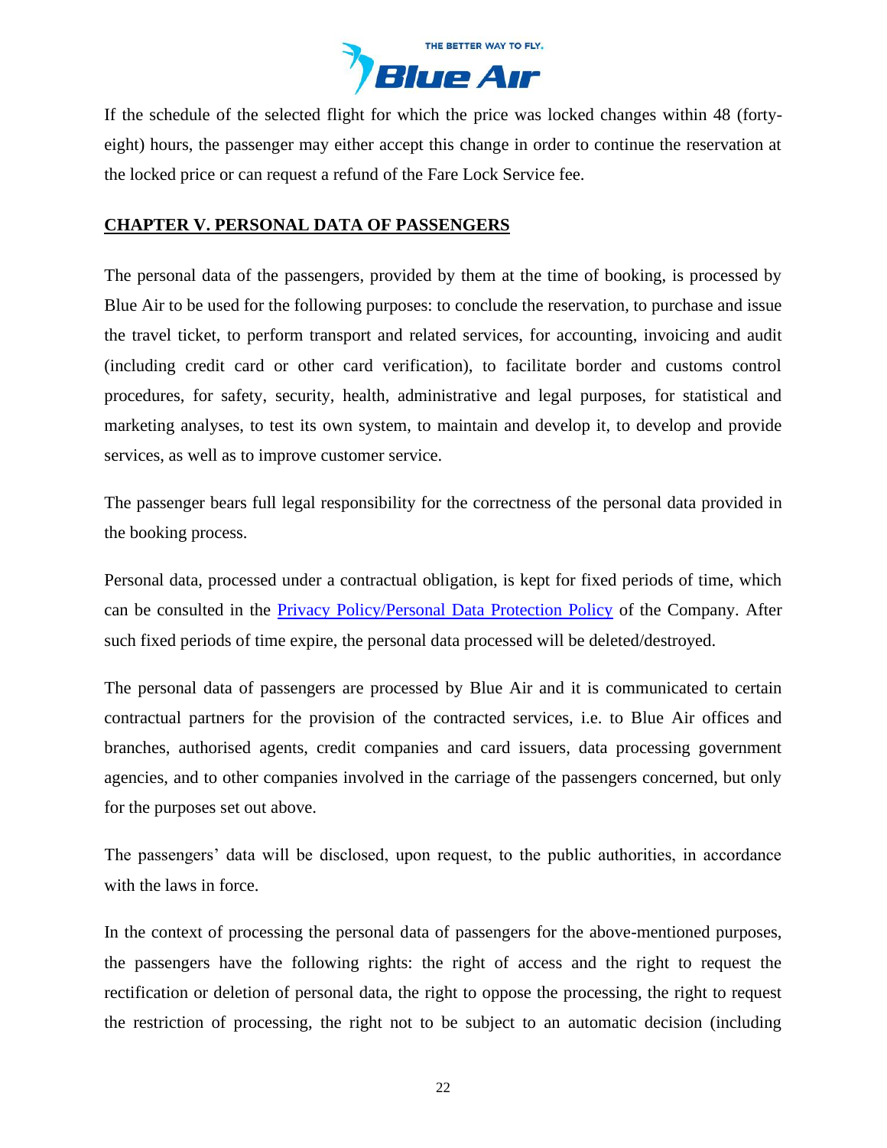

If the schedule of the selected flight for which the price was locked changes within 48 (fortyeight) hours, the passenger may either accept this change in order to continue the reservation at the locked price or can request a refund of the Fare Lock Service fee.

## <span id="page-21-0"></span>**CHAPTER V. PERSONAL DATA OF PASSENGERS**

The personal data of the passengers, provided by them at the time of booking, is processed by Blue Air to be used for the following purposes: to conclude the reservation, to purchase and issue the travel ticket, to perform transport and related services, for accounting, invoicing and audit (including credit card or other card verification), to facilitate border and customs control procedures, for safety, security, health, administrative and legal purposes, for statistical and marketing analyses, to test its own system, to maintain and develop it, to develop and provide services, as well as to improve customer service.

The passenger bears full legal responsibility for the correctness of the personal data provided in the booking process.

Personal data, processed under a contractual obligation, is kept for fixed periods of time, which can be consulted in the [Privacy Policy/Personal Data Protection Policy](https://www.flyblueair.com/en/gb/Privacy-policy/) of the Company. After such fixed periods of time expire, the personal data processed will be deleted/destroyed.

The personal data of passengers are processed by Blue Air and it is communicated to certain contractual partners for the provision of the contracted services, i.e. to Blue Air offices and branches, authorised agents, credit companies and card issuers, data processing government agencies, and to other companies involved in the carriage of the passengers concerned, but only for the purposes set out above.

The passengers' data will be disclosed, upon request, to the public authorities, in accordance with the laws in force.

In the context of processing the personal data of passengers for the above-mentioned purposes, the passengers have the following rights: the right of access and the right to request the rectification or deletion of personal data, the right to oppose the processing, the right to request the restriction of processing, the right not to be subject to an automatic decision (including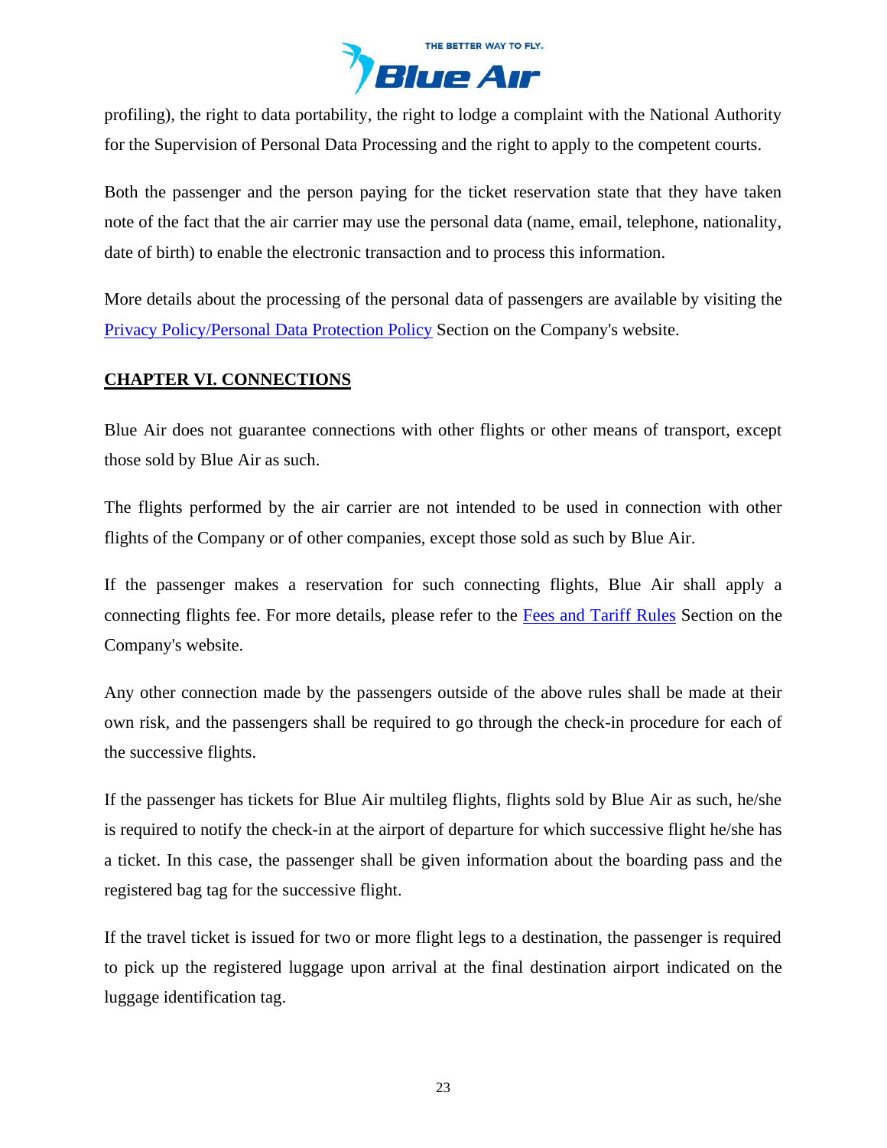

profiling), the right to data portability, the right to lodge a complaint with the National Authority for the Supervision of Personal Data Processing and the right to apply to the competent courts.

Both the passenger and the person paying for the ticket reservation state that they have taken note of the fact that the air carrier may use the personal data (name, email, telephone, nationality, date of birth) to enable the electronic transaction and to process this information.

More details about the processing of the personal data of passengers are available by visiting the [Privacy Policy/Personal Data](https://www.flyblueair.com/en/gb/Privacy-policy/) Protection Policy Section on the Company's website.

## <span id="page-22-0"></span>**CHAPTER VI. CONNECTIONS**

Blue Air does not guarantee connections with other flights or other means of transport, except those sold by Blue Air as such.

The flights performed by the air carrier are not intended to be used in connection with other flights of the Company or of other companies, except those sold as such by Blue Air.

If the passenger makes a reservation for such connecting flights, Blue Air shall apply a connecting flights fee. For more details, please refer to the [Fees and Tariff](https://www.flyblueair.com/en/gb/fees-and-tariff-rules/) Rules Section on the Company's website.

Any other connection made by the passengers outside of the above rules shall be made at their own risk, and the passengers shall be required to go through the check-in procedure for each of the successive flights.

If the passenger has tickets for Blue Air multileg flights, flights sold by Blue Air as such, he/she is required to notify the check-in at the airport of departure for which successive flight he/she has a ticket. In this case, the passenger shall be given information about the boarding pass and the registered bag tag for the successive flight.

If the travel ticket is issued for two or more flight legs to a destination, the passenger is required to pick up the registered luggage upon arrival at the final destination airport indicated on the luggage identification tag.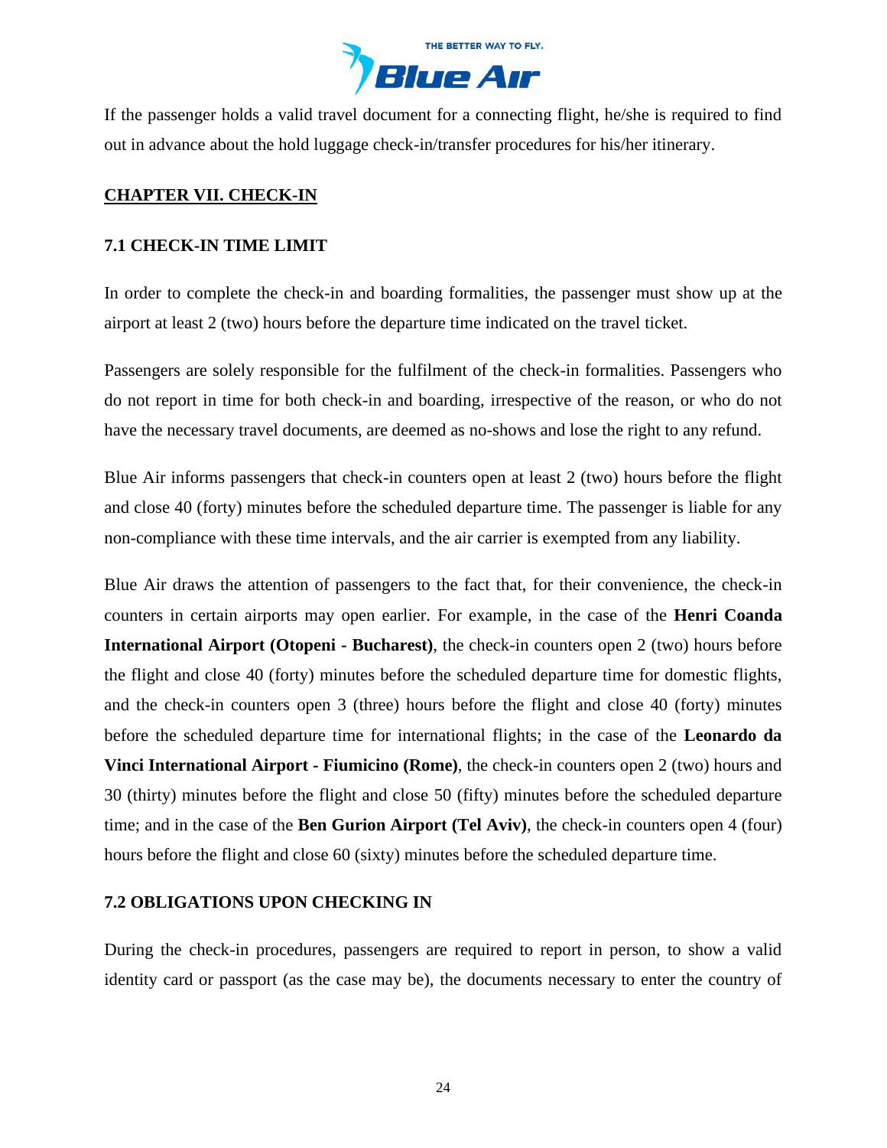

If the passenger holds a valid travel document for a connecting flight, he/she is required to find out in advance about the hold luggage check-in/transfer procedures for his/her itinerary.

## <span id="page-23-0"></span>**CHAPTER VII. CHECK-IN**

#### **7.1 CHECK-IN TIME LIMIT**

In order to complete the check-in and boarding formalities, the passenger must show up at the airport at least 2 (two) hours before the departure time indicated on the travel ticket.

Passengers are solely responsible for the fulfilment of the check-in formalities. Passengers who do not report in time for both check-in and boarding, irrespective of the reason, or who do not have the necessary travel documents, are deemed as no-shows and lose the right to any refund.

Blue Air informs passengers that check-in counters open at least 2 (two) hours before the flight and close 40 (forty) minutes before the scheduled departure time. The passenger is liable for any non-compliance with these time intervals, and the air carrier is exempted from any liability.

Blue Air draws the attention of passengers to the fact that, for their convenience, the check-in counters in certain airports may open earlier. For example, in the case of the **Henri Coanda International Airport (Otopeni - Bucharest)**, the check-in counters open 2 (two) hours before the flight and close 40 (forty) minutes before the scheduled departure time for domestic flights, and the check-in counters open 3 (three) hours before the flight and close 40 (forty) minutes before the scheduled departure time for international flights; in the case of the **Leonardo da Vinci International Airport - Fiumicino (Rome)**, the check-in counters open 2 (two) hours and 30 (thirty) minutes before the flight and close 50 (fifty) minutes before the scheduled departure time; and in the case of the **Ben Gurion Airport (Tel Aviv)**, the check-in counters open 4 (four) hours before the flight and close 60 (sixty) minutes before the scheduled departure time.

### **7.2 OBLIGATIONS UPON CHECKING IN**

During the check-in procedures, passengers are required to report in person, to show a valid identity card or passport (as the case may be), the documents necessary to enter the country of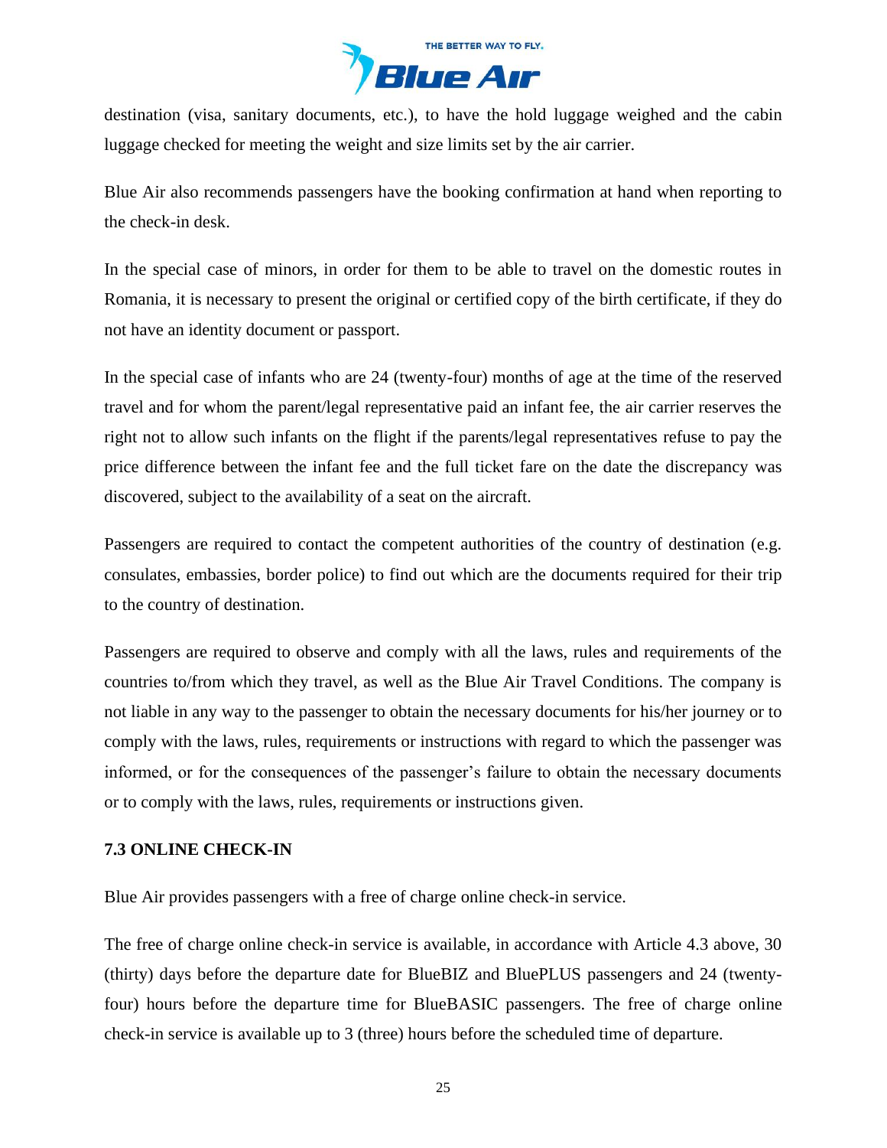

destination (visa, sanitary documents, etc.), to have the hold luggage weighed and the cabin luggage checked for meeting the weight and size limits set by the air carrier.

Blue Air also recommends passengers have the booking confirmation at hand when reporting to the check-in desk.

In the special case of minors, in order for them to be able to travel on the domestic routes in Romania, it is necessary to present the original or certified copy of the birth certificate, if they do not have an identity document or passport.

In the special case of infants who are 24 (twenty-four) months of age at the time of the reserved travel and for whom the parent/legal representative paid an infant fee, the air carrier reserves the right not to allow such infants on the flight if the parents/legal representatives refuse to pay the price difference between the infant fee and the full ticket fare on the date the discrepancy was discovered, subject to the availability of a seat on the aircraft.

Passengers are required to contact the competent authorities of the country of destination (e.g. consulates, embassies, border police) to find out which are the documents required for their trip to the country of destination.

Passengers are required to observe and comply with all the laws, rules and requirements of the countries to/from which they travel, as well as the Blue Air Travel Conditions. The company is not liable in any way to the passenger to obtain the necessary documents for his/her journey or to comply with the laws, rules, requirements or instructions with regard to which the passenger was informed, or for the consequences of the passenger's failure to obtain the necessary documents or to comply with the laws, rules, requirements or instructions given.

### **7.3 ONLINE CHECK-IN**

Blue Air provides passengers with a free of charge online check-in service.

The free of charge online check-in service is available, in accordance with Article 4.3 above, 30 (thirty) days before the departure date for BlueBIZ and BluePLUS passengers and 24 (twentyfour) hours before the departure time for BlueBASIC passengers. The free of charge online check-in service is available up to 3 (three) hours before the scheduled time of departure.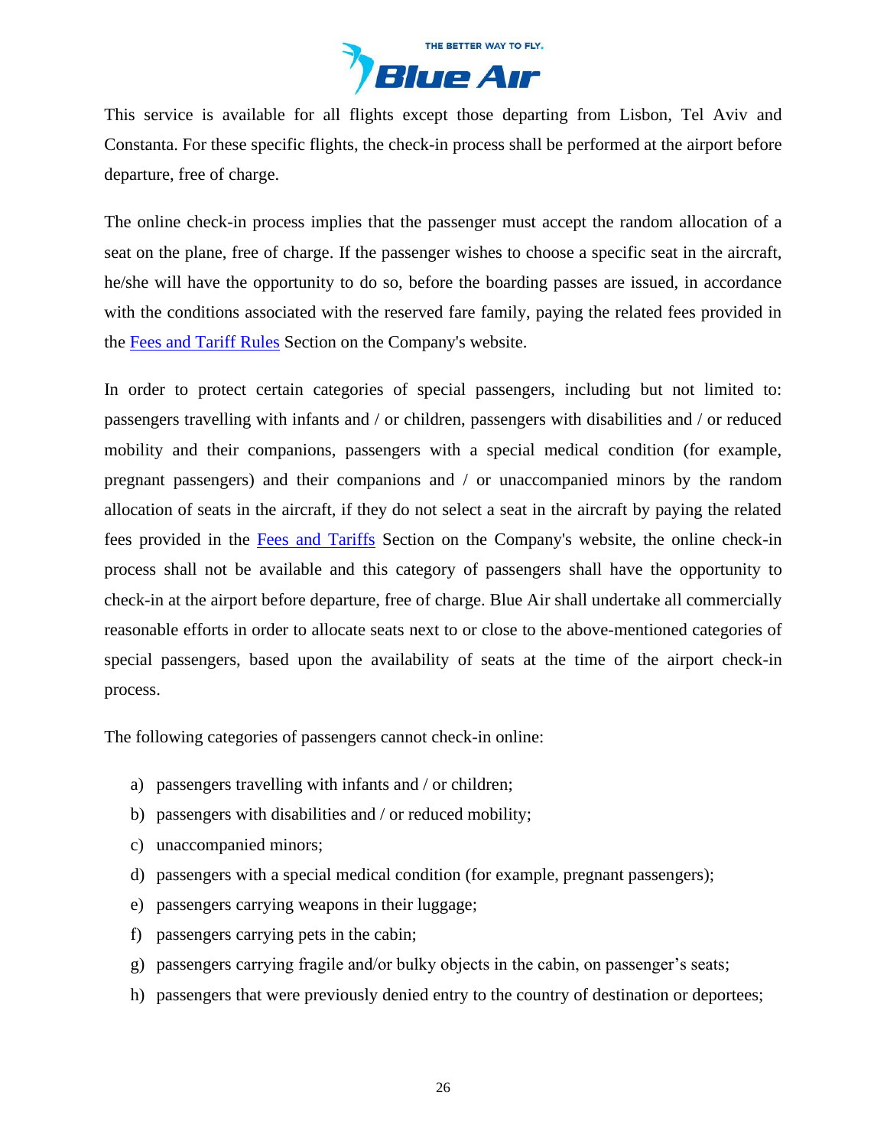

This service is available for all flights except those departing from Lisbon, Tel Aviv and Constanta. For these specific flights, the check-in process shall be performed at the airport before departure, free of charge.

The online check-in process implies that the passenger must accept the random allocation of a seat on the plane, free of charge. If the passenger wishes to choose a specific seat in the aircraft, he/she will have the opportunity to do so, before the boarding passes are issued, in accordance with the conditions associated with the reserved fare family, paying the related fees provided in the [Fees and Tariff Rules](https://www.flyblueair.com/en/gb/fees-and-tariff-rules/) Section on the Company's website.

In order to protect certain categories of special passengers, including but not limited to: passengers travelling with infants and / or children, passengers with disabilities and / or reduced mobility and their companions, passengers with a special medical condition (for example, pregnant passengers) and their companions and / or unaccompanied minors by the random allocation of seats in the aircraft, if they do not select a seat in the aircraft by paying the related fees provided in the [Fees and Tariffs](https://www.flyblueair.com/en/gb/fees-and-tariff-rules/) Section on the Company's website, the online check-in process shall not be available and this category of passengers shall have the opportunity to check-in at the airport before departure, free of charge. Blue Air shall undertake all commercially reasonable efforts in order to allocate seats next to or close to the above-mentioned categories of special passengers, based upon the availability of seats at the time of the airport check-in process.

The following categories of passengers cannot check-in online:

- a) passengers travelling with infants and / or children;
- b) passengers with disabilities and / or reduced mobility;
- c) unaccompanied minors;
- d) passengers with a special medical condition (for example, pregnant passengers);
- e) passengers carrying weapons in their luggage;
- f) passengers carrying pets in the cabin;
- g) passengers carrying fragile and/or bulky objects in the cabin, on passenger's seats;
- h) passengers that were previously denied entry to the country of destination or deportees;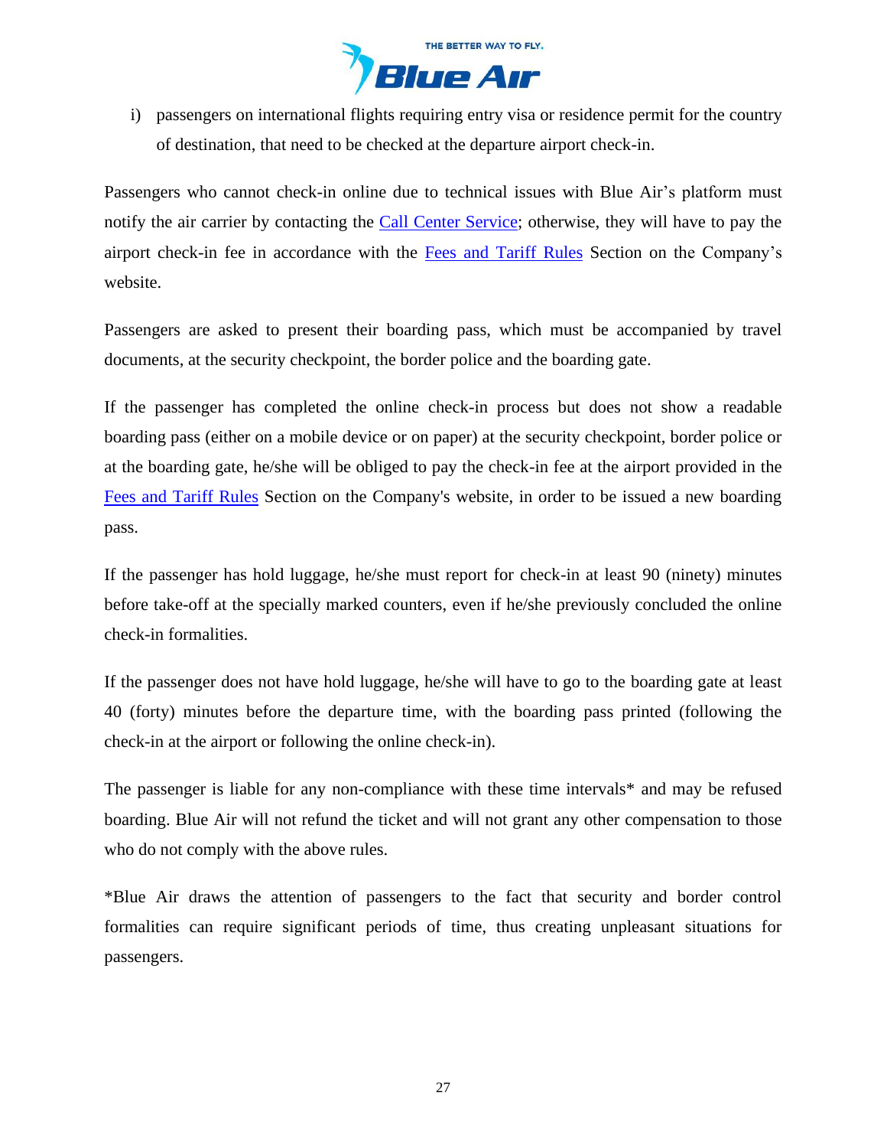

i) passengers on international flights requiring entry visa or residence permit for the country of destination, that need to be checked at the departure airport check-in.

Passengers who cannot check-in online due to technical issues with Blue Air's platform must notify the air carrier by contacting the [Call Center](https://www.flyblueair.com/en/gb/contact/) Service; otherwise, they will have to pay the airport check-in fee in accordance with the [Fees and Tariff](https://www.flyblueair.com/en/gb/fees-and-tariff-rules/) Rules Section on the Company's website.

Passengers are asked to present their boarding pass, which must be accompanied by travel documents, at the security checkpoint, the border police and the boarding gate.

If the passenger has completed the online check-in process but does not show a readable boarding pass (either on a mobile device or on paper) at the security checkpoint, border police or at the boarding gate, he/she will be obliged to pay the check-in fee at the airport provided in the [Fees and Tariff Rules](https://www.flyblueair.com/en/gb/fees-and-tariff-rules/) Section on the Company's website, in order to be issued a new boarding pass.

If the passenger has hold luggage, he/she must report for check-in at least 90 (ninety) minutes before take-off at the specially marked counters, even if he/she previously concluded the online check-in formalities.

If the passenger does not have hold luggage, he/she will have to go to the boarding gate at least 40 (forty) minutes before the departure time, with the boarding pass printed (following the check-in at the airport or following the online check-in).

The passenger is liable for any non-compliance with these time intervals\* and may be refused boarding. Blue Air will not refund the ticket and will not grant any other compensation to those who do not comply with the above rules.

\*Blue Air draws the attention of passengers to the fact that security and border control formalities can require significant periods of time, thus creating unpleasant situations for passengers.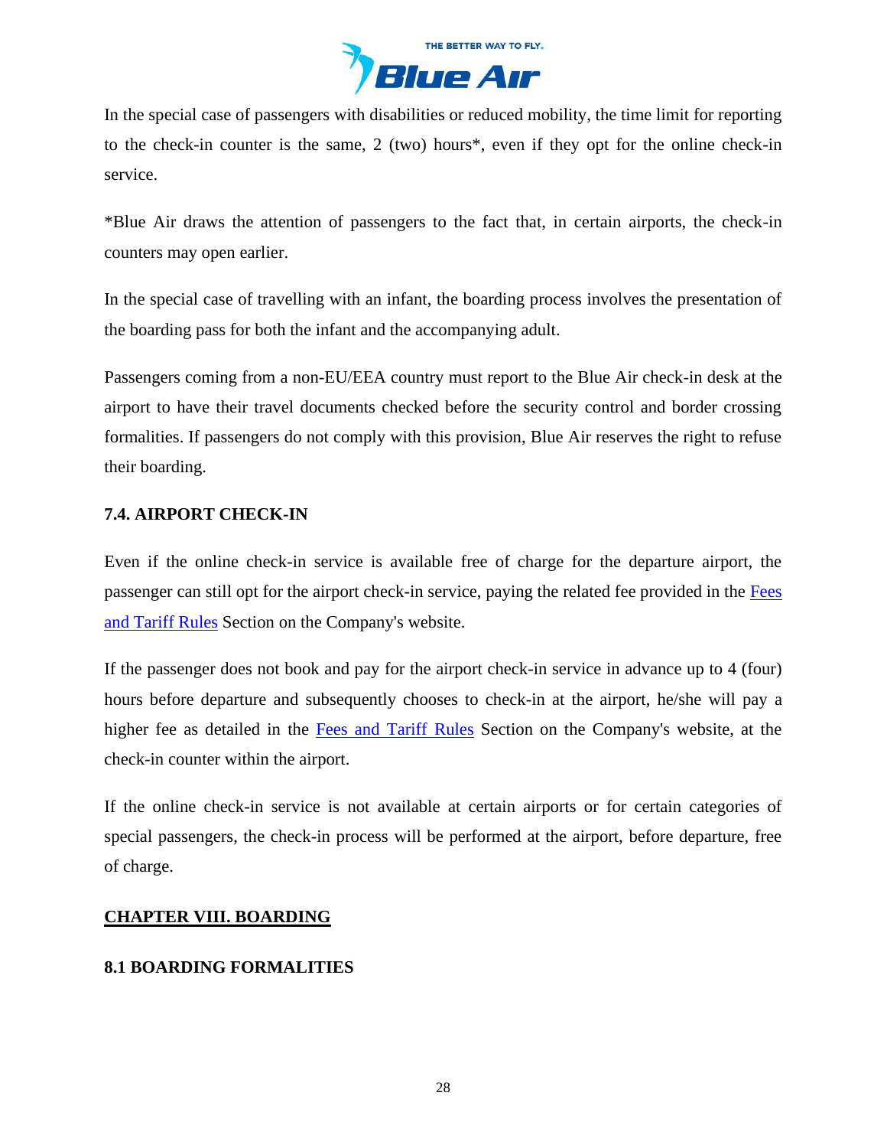

In the special case of passengers with disabilities or reduced mobility, the time limit for reporting to the check-in counter is the same, 2 (two) hours\*, even if they opt for the online check-in service.

\*Blue Air draws the attention of passengers to the fact that, in certain airports, the check-in counters may open earlier.

In the special case of travelling with an infant, the boarding process involves the presentation of the boarding pass for both the infant and the accompanying adult.

Passengers coming from a non-EU/EEA country must report to the Blue Air check-in desk at the airport to have their travel documents checked before the security control and border crossing formalities. If passengers do not comply with this provision, Blue Air reserves the right to refuse their boarding.

# **7.4. AIRPORT CHECK-IN**

Even if the online check-in service is available free of charge for the departure airport, the passenger can still opt for the airport check-in service, paying the related fee provided in the [Fees](https://www.flyblueair.com/en/gb/fees-and-tariff-rules/)  [and Tariff](https://www.flyblueair.com/en/gb/fees-and-tariff-rules/) Rules Section on the Company's website.

If the passenger does not book and pay for the airport check-in service in advance up to 4 (four) hours before departure and subsequently chooses to check-in at the airport, he/she will pay a higher fee as detailed in the [Fees and Tariff](https://www.flyblueair.com/en/gb/fees-and-tariff-rules/) Rules Section on the Company's website, at the check-in counter within the airport.

If the online check-in service is not available at certain airports or for certain categories of special passengers, the check-in process will be performed at the airport, before departure, free of charge.

# <span id="page-27-0"></span>**CHAPTER VIII. BOARDING**

# **8.1 BOARDING FORMALITIES**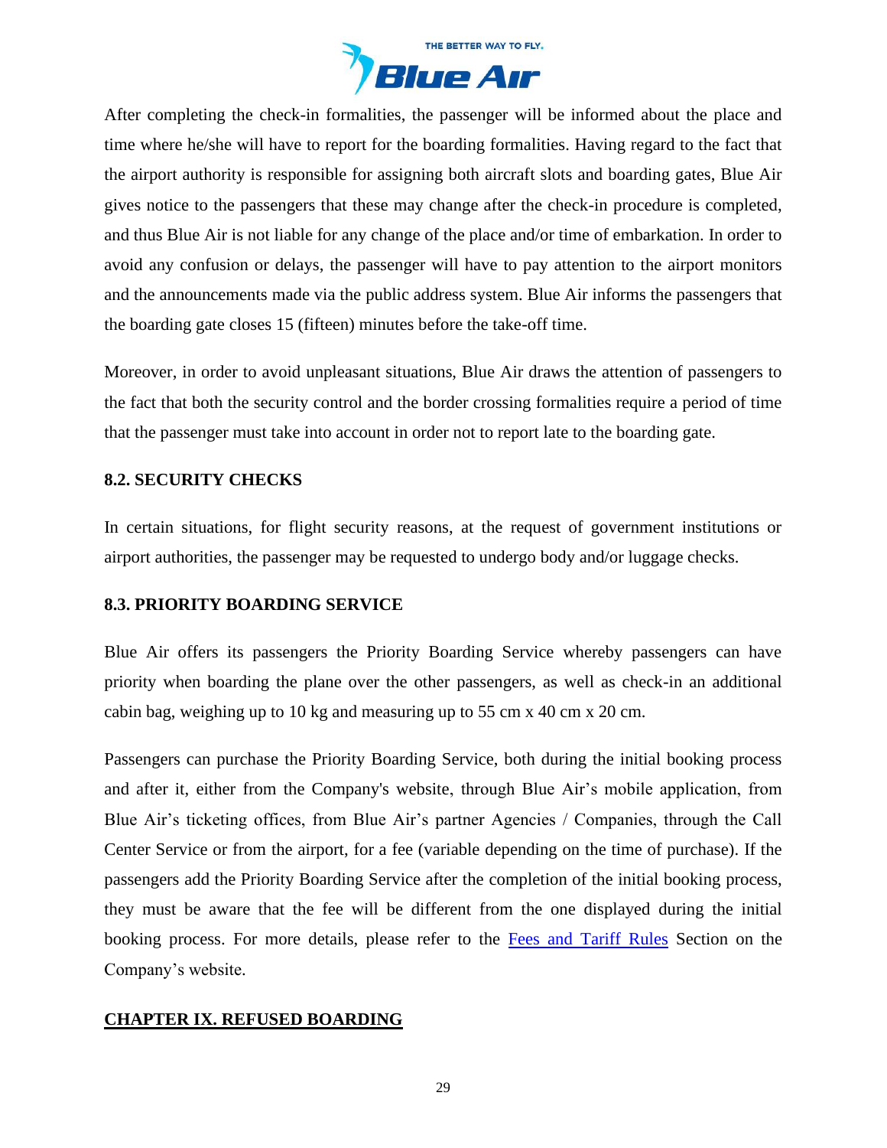

After completing the check-in formalities, the passenger will be informed about the place and time where he/she will have to report for the boarding formalities. Having regard to the fact that the airport authority is responsible for assigning both aircraft slots and boarding gates, Blue Air gives notice to the passengers that these may change after the check-in procedure is completed, and thus Blue Air is not liable for any change of the place and/or time of embarkation. In order to avoid any confusion or delays, the passenger will have to pay attention to the airport monitors and the announcements made via the public address system. Blue Air informs the passengers that the boarding gate closes 15 (fifteen) minutes before the take-off time.

Moreover, in order to avoid unpleasant situations, Blue Air draws the attention of passengers to the fact that both the security control and the border crossing formalities require a period of time that the passenger must take into account in order not to report late to the boarding gate.

## **8.2. SECURITY CHECKS**

In certain situations, for flight security reasons, at the request of government institutions or airport authorities, the passenger may be requested to undergo body and/or luggage checks.

### **8.3. PRIORITY BOARDING SERVICE**

Blue Air offers its passengers the Priority Boarding Service whereby passengers can have priority when boarding the plane over the other passengers, as well as check-in an additional cabin bag, weighing up to 10 kg and measuring up to 55 cm x 40 cm x 20 cm.

Passengers can purchase the Priority Boarding Service, both during the initial booking process and after it, either from the Company's website, through Blue Air's mobile application, from Blue Air's ticketing offices, from Blue Air's partner Agencies / Companies, through the Call Center Service or from the airport, for a fee (variable depending on the time of purchase). If the passengers add the Priority Boarding Service after the completion of the initial booking process, they must be aware that the fee will be different from the one displayed during the initial booking process. For more details, please refer to the [Fees and Tariff](https://www.flyblueair.com/en/gb/fees-and-tariff-rules/) Rules Section on the Company's website.

### <span id="page-28-0"></span>**CHAPTER IX. REFUSED BOARDING**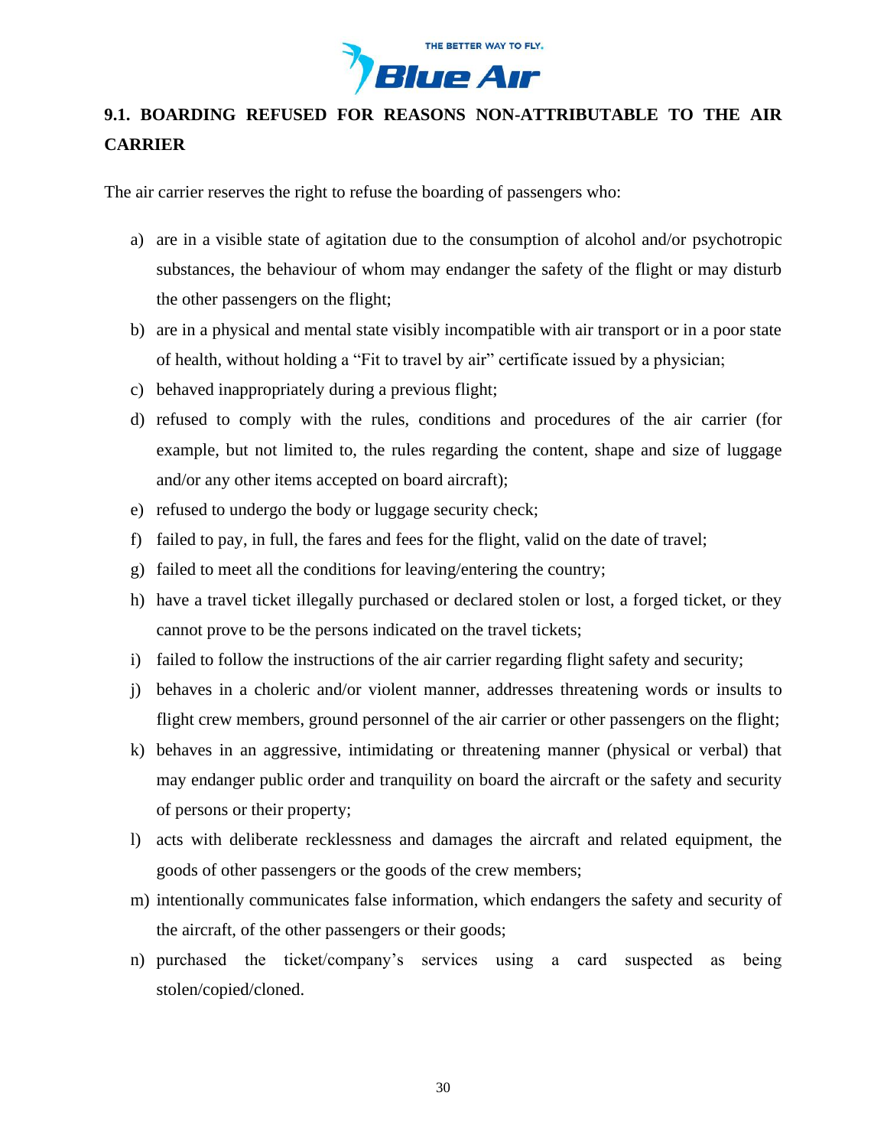

# **9.1. BOARDING REFUSED FOR REASONS NON-ATTRIBUTABLE TO THE AIR CARRIER**

The air carrier reserves the right to refuse the boarding of passengers who:

- a) are in a visible state of agitation due to the consumption of alcohol and/or psychotropic substances, the behaviour of whom may endanger the safety of the flight or may disturb the other passengers on the flight;
- b) are in a physical and mental state visibly incompatible with air transport or in a poor state of health, without holding a "Fit to travel by air" certificate issued by a physician;
- c) behaved inappropriately during a previous flight;
- d) refused to comply with the rules, conditions and procedures of the air carrier (for example, but not limited to, the rules regarding the content, shape and size of luggage and/or any other items accepted on board aircraft);
- e) refused to undergo the body or luggage security check;
- f) failed to pay, in full, the fares and fees for the flight, valid on the date of travel;
- g) failed to meet all the conditions for leaving/entering the country;
- h) have a travel ticket illegally purchased or declared stolen or lost, a forged ticket, or they cannot prove to be the persons indicated on the travel tickets;
- i) failed to follow the instructions of the air carrier regarding flight safety and security;
- j) behaves in a choleric and/or violent manner, addresses threatening words or insults to flight crew members, ground personnel of the air carrier or other passengers on the flight;
- k) behaves in an aggressive, intimidating or threatening manner (physical or verbal) that may endanger public order and tranquility on board the aircraft or the safety and security of persons or their property;
- l) acts with deliberate recklessness and damages the aircraft and related equipment, the goods of other passengers or the goods of the crew members;
- m) intentionally communicates false information, which endangers the safety and security of the aircraft, of the other passengers or their goods;
- n) purchased the ticket/company's services using a card suspected as being stolen/copied/cloned.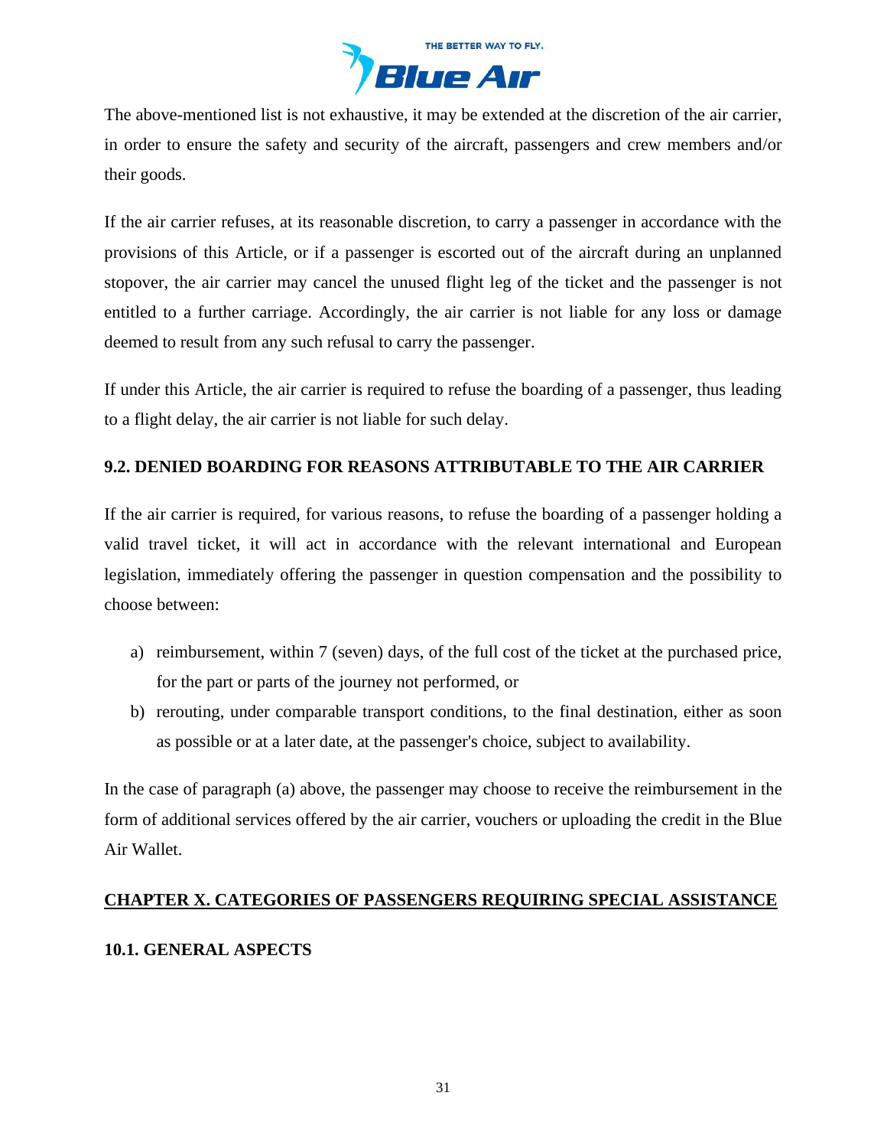

The above-mentioned list is not exhaustive, it may be extended at the discretion of the air carrier, in order to ensure the safety and security of the aircraft, passengers and crew members and/or their goods.

If the air carrier refuses, at its reasonable discretion, to carry a passenger in accordance with the provisions of this Article, or if a passenger is escorted out of the aircraft during an unplanned stopover, the air carrier may cancel the unused flight leg of the ticket and the passenger is not entitled to a further carriage. Accordingly, the air carrier is not liable for any loss or damage deemed to result from any such refusal to carry the passenger.

If under this Article, the air carrier is required to refuse the boarding of a passenger, thus leading to a flight delay, the air carrier is not liable for such delay.

# **9.2. DENIED BOARDING FOR REASONS ATTRIBUTABLE TO THE AIR CARRIER**

If the air carrier is required, for various reasons, to refuse the boarding of a passenger holding a valid travel ticket, it will act in accordance with the relevant international and European legislation, immediately offering the passenger in question compensation and the possibility to choose between:

- a) reimbursement, within 7 (seven) days, of the full cost of the ticket at the purchased price, for the part or parts of the journey not performed, or
- b) rerouting, under comparable transport conditions, to the final destination, either as soon as possible or at a later date, at the passenger's choice, subject to availability.

In the case of paragraph (a) above, the passenger may choose to receive the reimbursement in the form of additional services offered by the air carrier, vouchers or uploading the credit in the Blue Air Wallet.

# <span id="page-30-0"></span>**CHAPTER X. CATEGORIES OF PASSENGERS REQUIRING SPECIAL ASSISTANCE**

# **10.1. GENERAL ASPECTS**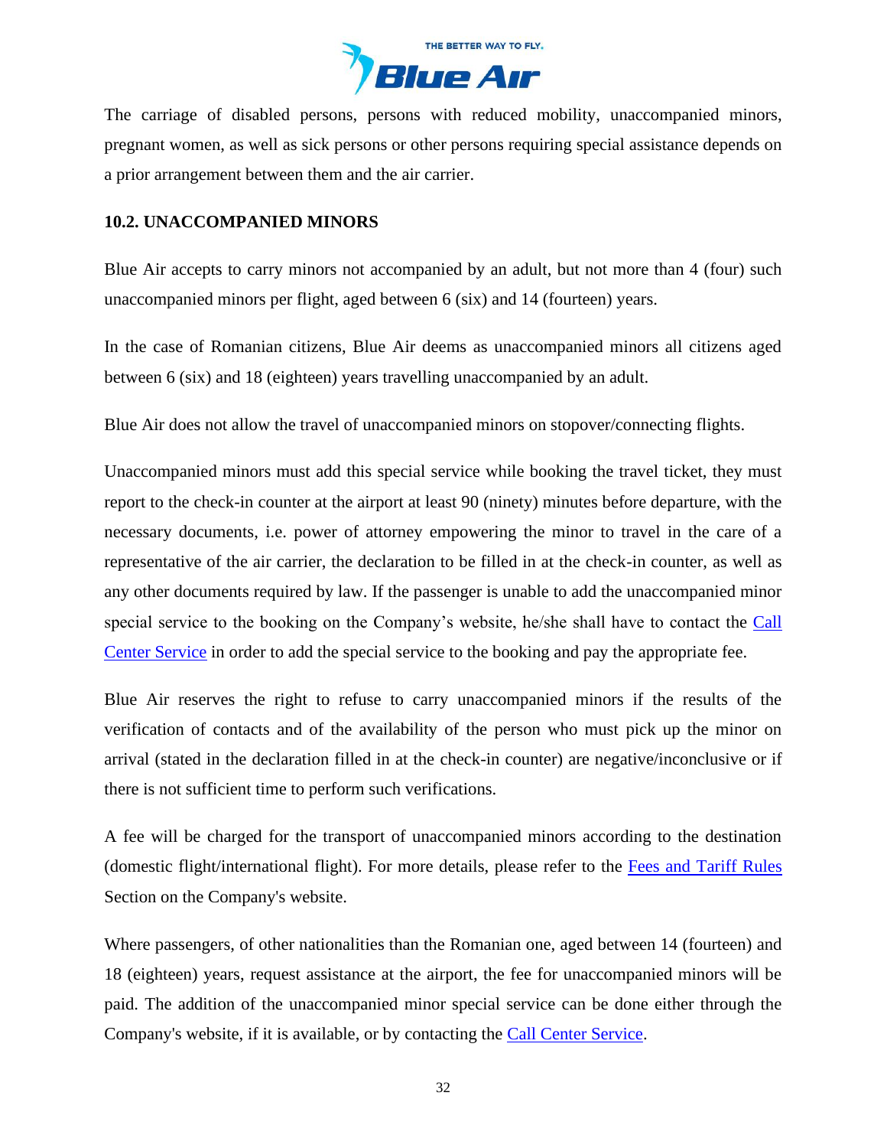

The carriage of disabled persons, persons with reduced mobility, unaccompanied minors, pregnant women, as well as sick persons or other persons requiring special assistance depends on a prior arrangement between them and the air carrier.

## **10.2. UNACCOMPANIED MINORS**

Blue Air accepts to carry minors not accompanied by an adult, but not more than 4 (four) such unaccompanied minors per flight, aged between 6 (six) and 14 (fourteen) years.

In the case of Romanian citizens, Blue Air deems as unaccompanied minors all citizens aged between 6 (six) and 18 (eighteen) years travelling unaccompanied by an adult.

Blue Air does not allow the travel of unaccompanied minors on stopover/connecting flights.

Unaccompanied minors must add this special service while booking the travel ticket, they must report to the check-in counter at the airport at least 90 (ninety) minutes before departure, with the necessary documents, i.e. power of attorney empowering the minor to travel in the care of a representative of the air carrier, the declaration to be filled in at the check-in counter, as well as any other documents required by law. If the passenger is unable to add the unaccompanied minor special service to the booking on the Company's website, he/she shall have to contact the [Call](https://www.flyblueair.com/en/gb/contact/)  [Center Service](https://www.flyblueair.com/en/gb/contact/) in order to add the special service to the booking and pay the appropriate fee.

Blue Air reserves the right to refuse to carry unaccompanied minors if the results of the verification of contacts and of the availability of the person who must pick up the minor on arrival (stated in the declaration filled in at the check-in counter) are negative/inconclusive or if there is not sufficient time to perform such verifications.

A fee will be charged for the transport of unaccompanied minors according to the destination (domestic flight/international flight). For more details, please refer to the [Fees and Tariff](https://www.flyblueair.com/en/gb/fees-and-tariff-rules/) Rules Section on the Company's website.

Where passengers, of other nationalities than the Romanian one, aged between 14 (fourteen) and 18 (eighteen) years, request assistance at the airport, the fee for unaccompanied minors will be paid. The addition of the unaccompanied minor special service can be done either through the Company's website, if it is available, or by contacting the [Call Center Service.](https://www.flyblueair.com/en/gb/contact/)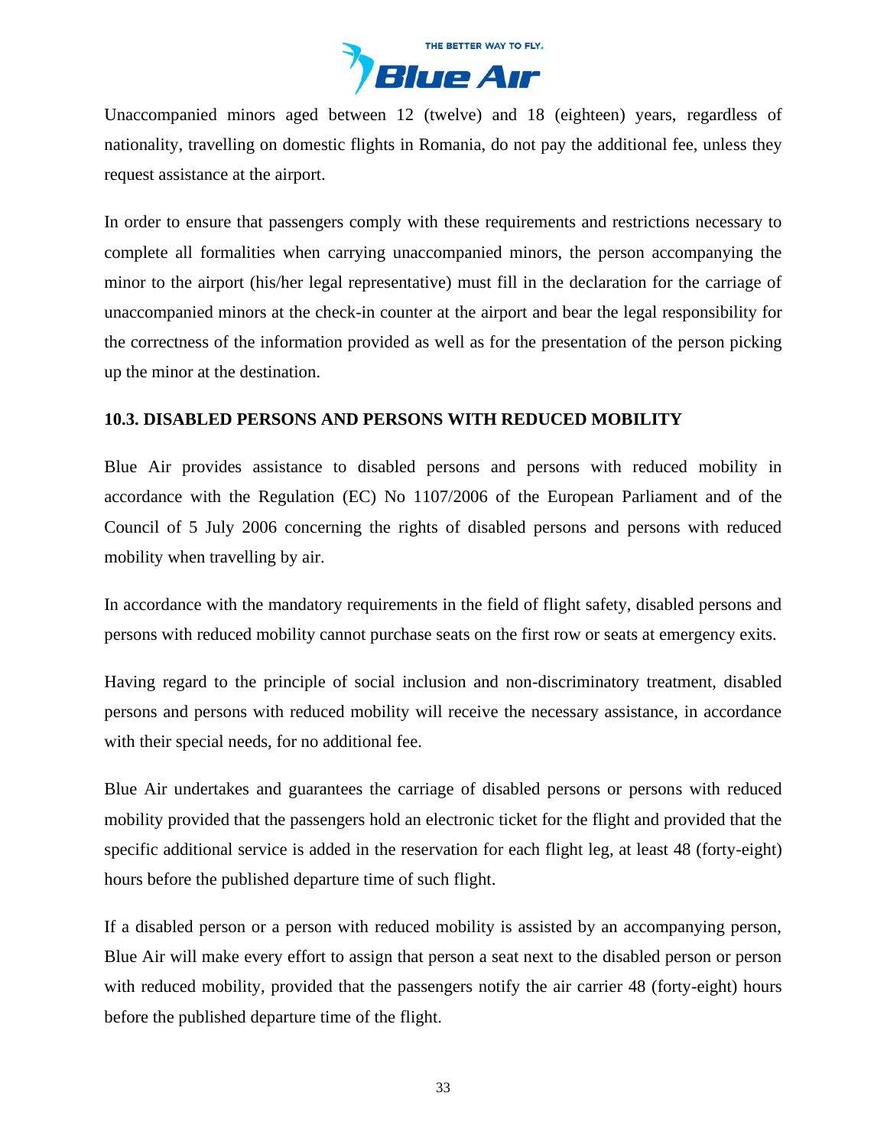

Unaccompanied minors aged between 12 (twelve) and 18 (eighteen) years, regardless of nationality, travelling on domestic flights in Romania, do not pay the additional fee, unless they request assistance at the airport.

In order to ensure that passengers comply with these requirements and restrictions necessary to complete all formalities when carrying unaccompanied minors, the person accompanying the minor to the airport (his/her legal representative) must fill in the declaration for the carriage of unaccompanied minors at the check-in counter at the airport and bear the legal responsibility for the correctness of the information provided as well as for the presentation of the person picking up the minor at the destination.

## **10.3. DISABLED PERSONS AND PERSONS WITH REDUCED MOBILITY**

Blue Air provides assistance to disabled persons and persons with reduced mobility in accordance with the Regulation (EC) No 1107/2006 of the European Parliament and of the Council of 5 July 2006 concerning the rights of disabled persons and persons with reduced mobility when travelling by air.

In accordance with the mandatory requirements in the field of flight safety, disabled persons and persons with reduced mobility cannot purchase seats on the first row or seats at emergency exits.

Having regard to the principle of social inclusion and non-discriminatory treatment, disabled persons and persons with reduced mobility will receive the necessary assistance, in accordance with their special needs, for no additional fee.

Blue Air undertakes and guarantees the carriage of disabled persons or persons with reduced mobility provided that the passengers hold an electronic ticket for the flight and provided that the specific additional service is added in the reservation for each flight leg, at least 48 (forty-eight) hours before the published departure time of such flight.

If a disabled person or a person with reduced mobility is assisted by an accompanying person, Blue Air will make every effort to assign that person a seat next to the disabled person or person with reduced mobility, provided that the passengers notify the air carrier 48 (forty-eight) hours before the published departure time of the flight.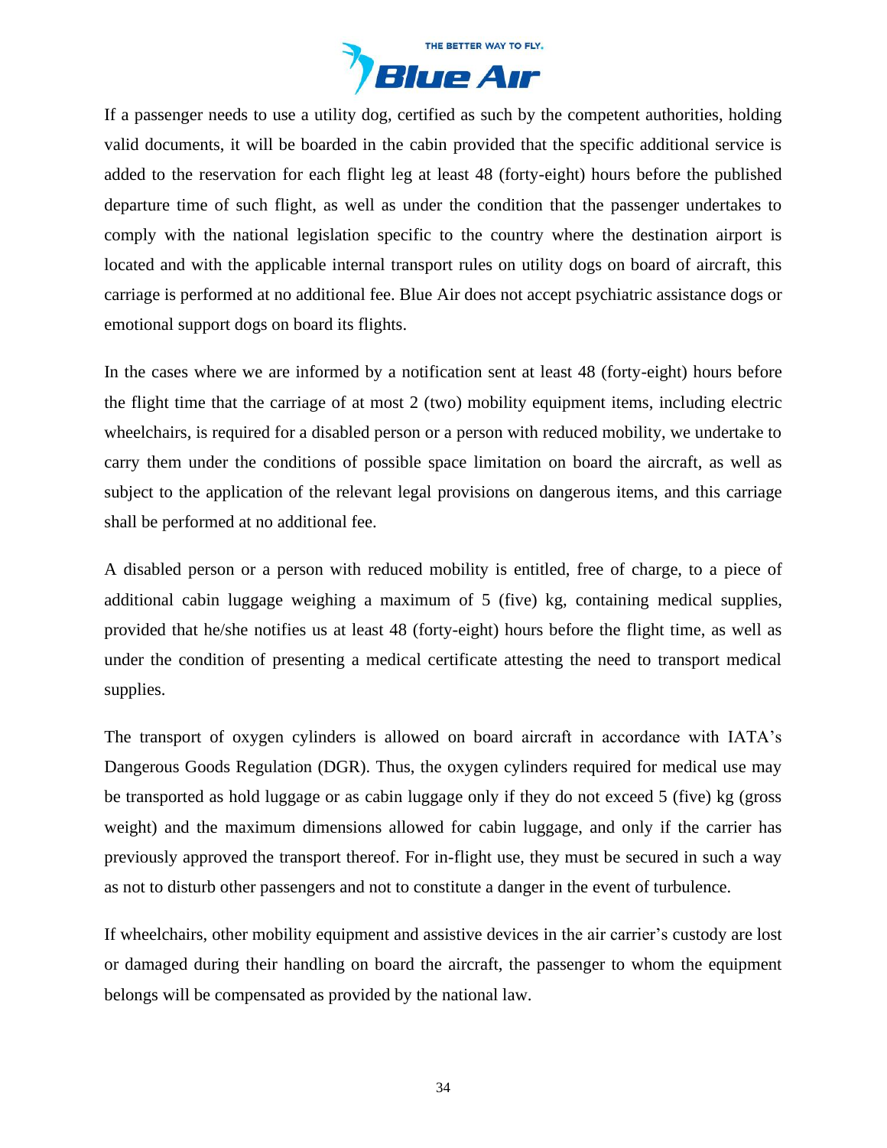

If a passenger needs to use a utility dog, certified as such by the competent authorities, holding valid documents, it will be boarded in the cabin provided that the specific additional service is added to the reservation for each flight leg at least 48 (forty-eight) hours before the published departure time of such flight, as well as under the condition that the passenger undertakes to comply with the national legislation specific to the country where the destination airport is located and with the applicable internal transport rules on utility dogs on board of aircraft, this carriage is performed at no additional fee. Blue Air does not accept psychiatric assistance dogs or emotional support dogs on board its flights.

In the cases where we are informed by a notification sent at least 48 (forty-eight) hours before the flight time that the carriage of at most 2 (two) mobility equipment items, including electric wheelchairs, is required for a disabled person or a person with reduced mobility, we undertake to carry them under the conditions of possible space limitation on board the aircraft, as well as subject to the application of the relevant legal provisions on dangerous items, and this carriage shall be performed at no additional fee.

A disabled person or a person with reduced mobility is entitled, free of charge, to a piece of additional cabin luggage weighing a maximum of 5 (five) kg, containing medical supplies, provided that he/she notifies us at least 48 (forty-eight) hours before the flight time, as well as under the condition of presenting a medical certificate attesting the need to transport medical supplies.

The transport of oxygen cylinders is allowed on board aircraft in accordance with IATA's Dangerous Goods Regulation (DGR). Thus, the oxygen cylinders required for medical use may be transported as hold luggage or as cabin luggage only if they do not exceed 5 (five) kg (gross weight) and the maximum dimensions allowed for cabin luggage, and only if the carrier has previously approved the transport thereof. For in-flight use, they must be secured in such a way as not to disturb other passengers and not to constitute a danger in the event of turbulence.

If wheelchairs, other mobility equipment and assistive devices in the air carrier's custody are lost or damaged during their handling on board the aircraft, the passenger to whom the equipment belongs will be compensated as provided by the national law.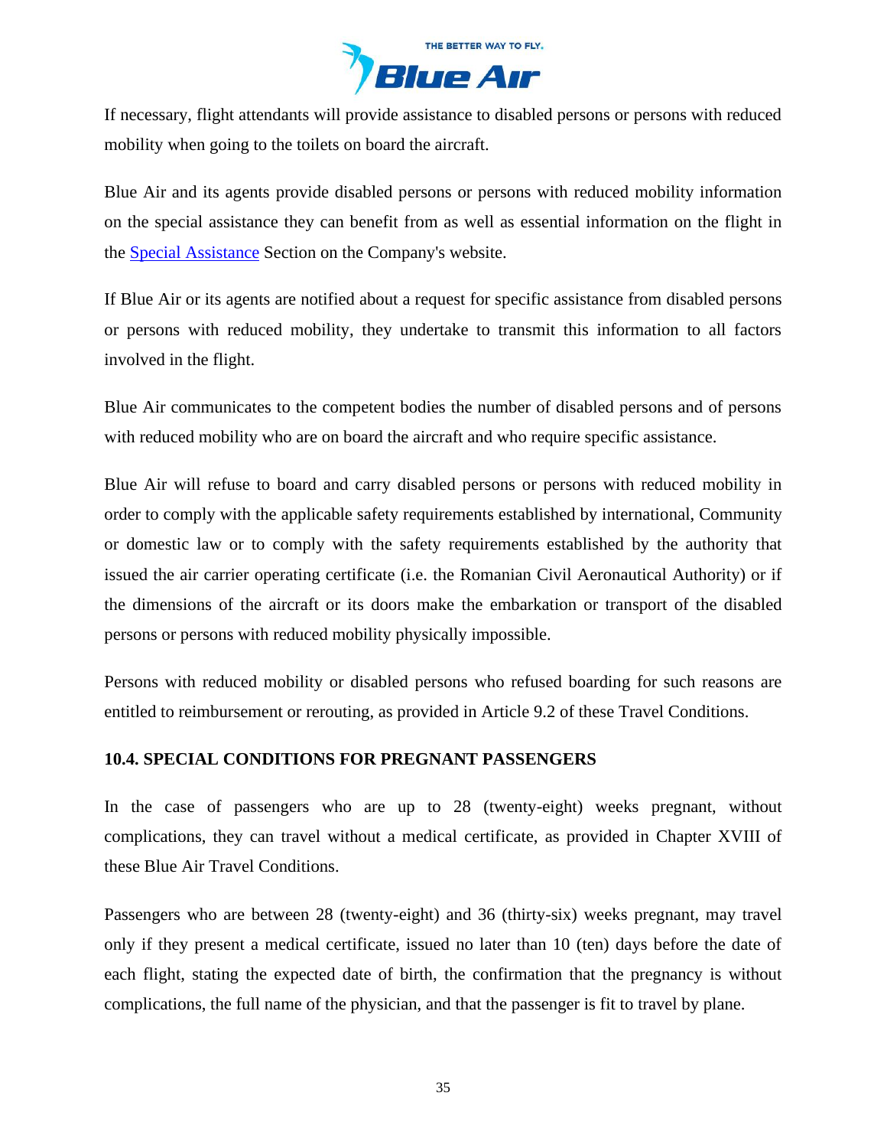

If necessary, flight attendants will provide assistance to disabled persons or persons with reduced mobility when going to the toilets on board the aircraft.

Blue Air and its agents provide disabled persons or persons with reduced mobility information on the special assistance they can benefit from as well as essential information on the flight in the [Special Assistance](https://www.flyblueair.com/en/gb/special-assistance/) Section on the Company's website.

If Blue Air or its agents are notified about a request for specific assistance from disabled persons or persons with reduced mobility, they undertake to transmit this information to all factors involved in the flight.

Blue Air communicates to the competent bodies the number of disabled persons and of persons with reduced mobility who are on board the aircraft and who require specific assistance.

Blue Air will refuse to board and carry disabled persons or persons with reduced mobility in order to comply with the applicable safety requirements established by international, Community or domestic law or to comply with the safety requirements established by the authority that issued the air carrier operating certificate (i.e. the Romanian Civil Aeronautical Authority) or if the dimensions of the aircraft or its doors make the embarkation or transport of the disabled persons or persons with reduced mobility physically impossible.

Persons with reduced mobility or disabled persons who refused boarding for such reasons are entitled to reimbursement or rerouting, as provided in Article 9.2 of these Travel Conditions.

### **10.4. SPECIAL CONDITIONS FOR PREGNANT PASSENGERS**

In the case of passengers who are up to 28 (twenty-eight) weeks pregnant, without complications, they can travel without a medical certificate, as provided in Chapter XVIII of these Blue Air Travel Conditions.

Passengers who are between 28 (twenty-eight) and 36 (thirty-six) weeks pregnant, may travel only if they present a medical certificate, issued no later than 10 (ten) days before the date of each flight, stating the expected date of birth, the confirmation that the pregnancy is without complications, the full name of the physician, and that the passenger is fit to travel by plane.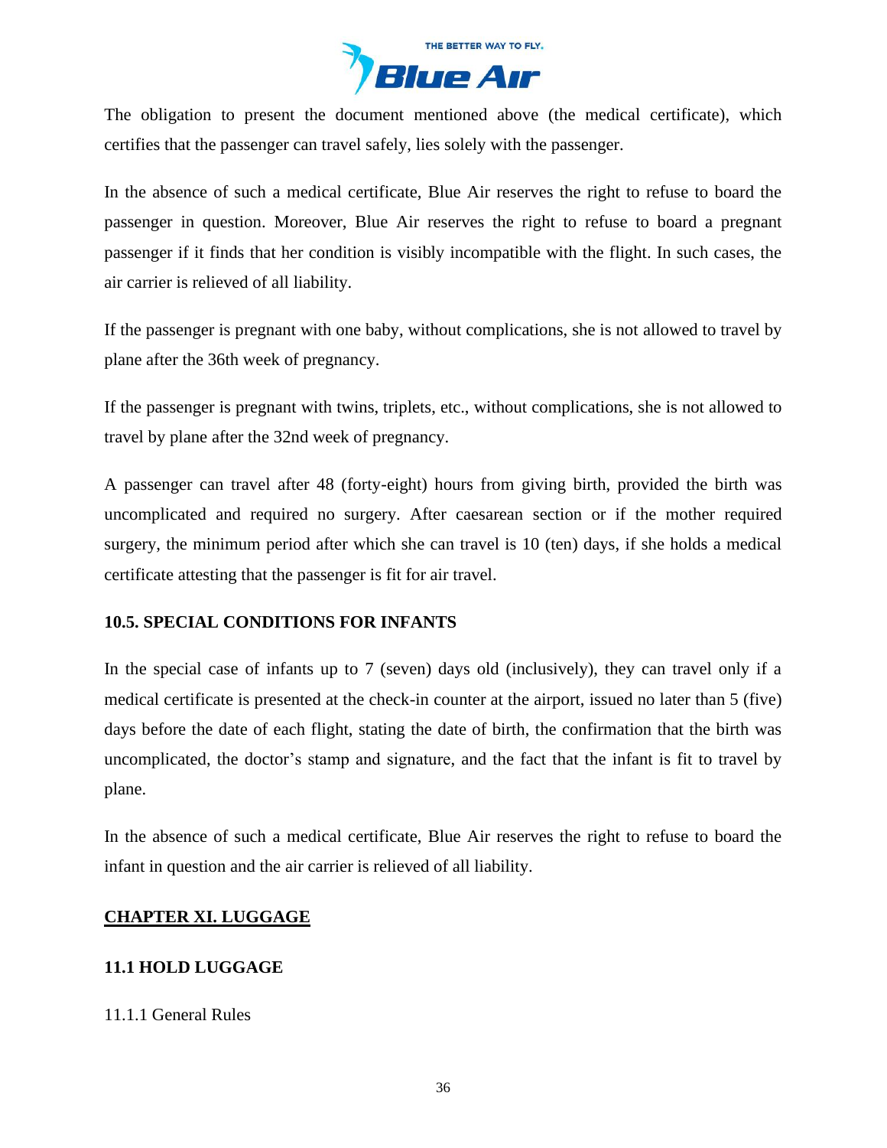

The obligation to present the document mentioned above (the medical certificate), which certifies that the passenger can travel safely, lies solely with the passenger.

In the absence of such a medical certificate, Blue Air reserves the right to refuse to board the passenger in question. Moreover, Blue Air reserves the right to refuse to board a pregnant passenger if it finds that her condition is visibly incompatible with the flight. In such cases, the air carrier is relieved of all liability.

If the passenger is pregnant with one baby, without complications, she is not allowed to travel by plane after the 36th week of pregnancy.

If the passenger is pregnant with twins, triplets, etc., without complications, she is not allowed to travel by plane after the 32nd week of pregnancy.

A passenger can travel after 48 (forty-eight) hours from giving birth, provided the birth was uncomplicated and required no surgery. After caesarean section or if the mother required surgery, the minimum period after which she can travel is 10 (ten) days, if she holds a medical certificate attesting that the passenger is fit for air travel.

# **10.5. SPECIAL CONDITIONS FOR INFANTS**

In the special case of infants up to 7 (seven) days old (inclusively), they can travel only if a medical certificate is presented at the check-in counter at the airport, issued no later than 5 (five) days before the date of each flight, stating the date of birth, the confirmation that the birth was uncomplicated, the doctor's stamp and signature, and the fact that the infant is fit to travel by plane.

In the absence of such a medical certificate, Blue Air reserves the right to refuse to board the infant in question and the air carrier is relieved of all liability.

### <span id="page-35-0"></span>**CHAPTER XI. LUGGAGE**

# **11.1 HOLD LUGGAGE**

### 11.1.1 General Rules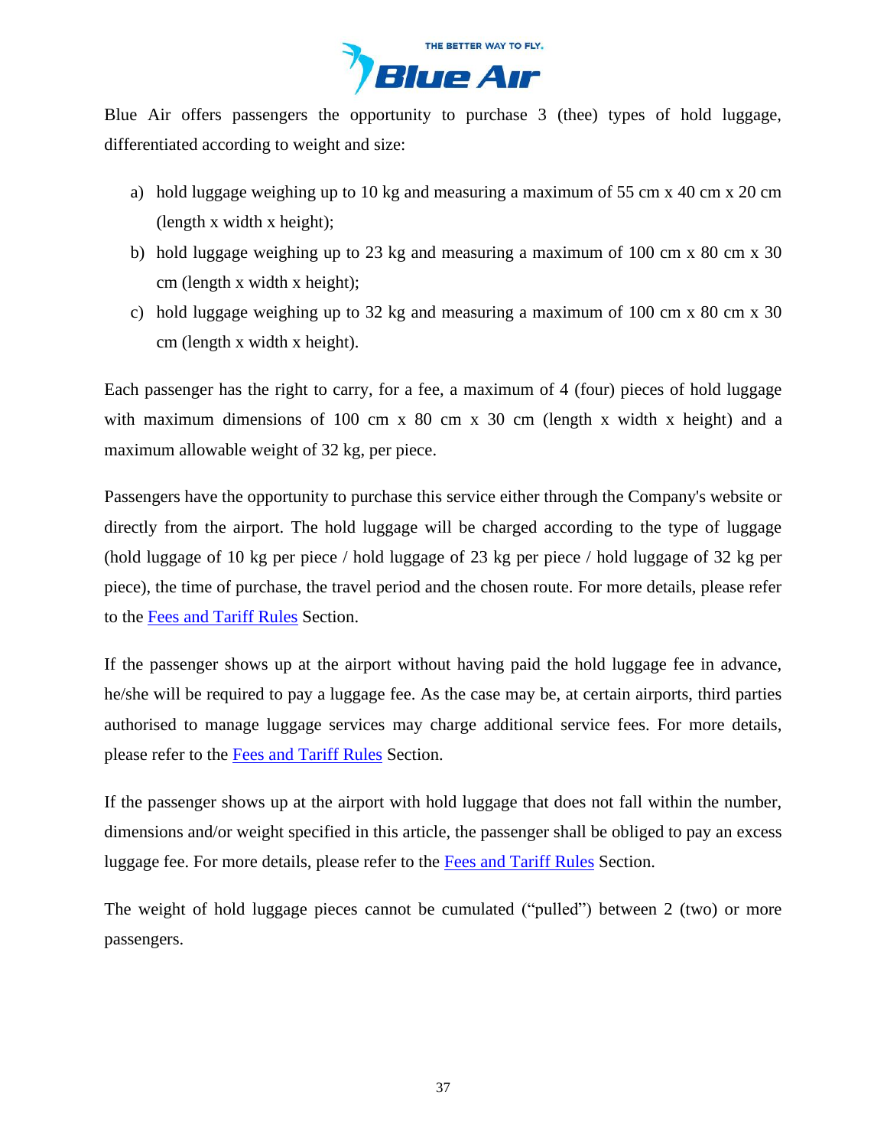

Blue Air offers passengers the opportunity to purchase 3 (thee) types of hold luggage, differentiated according to weight and size:

- a) hold luggage weighing up to 10 kg and measuring a maximum of 55 cm x 40 cm x 20 cm (length x width x height);
- b) hold luggage weighing up to 23 kg and measuring a maximum of 100 cm x 80 cm x 30 cm (length x width x height);
- c) hold luggage weighing up to 32 kg and measuring a maximum of 100 cm x 80 cm x 30 cm (length x width x height).

Each passenger has the right to carry, for a fee, a maximum of 4 (four) pieces of hold luggage with maximum dimensions of 100 cm x 80 cm x 30 cm (length x width x height) and a maximum allowable weight of 32 kg, per piece.

Passengers have the opportunity to purchase this service either through the Company's website or directly from the airport. The hold luggage will be charged according to the type of luggage (hold luggage of 10 kg per piece / hold luggage of 23 kg per piece / hold luggage of 32 kg per piece), the time of purchase, the travel period and the chosen route. For more details, please refer to the [Fees and Tariff](https://www.flyblueair.com/en/gb/fees-and-tariff-rules/) Rules Section.

If the passenger shows up at the airport without having paid the hold luggage fee in advance, he/she will be required to pay a luggage fee. As the case may be, at certain airports, third parties authorised to manage luggage services may charge additional service fees. For more details, please refer to the [Fees and Tariff](https://www.flyblueair.com/en/gb/fees-and-tariff-rules/) Rules Section.

If the passenger shows up at the airport with hold luggage that does not fall within the number, dimensions and/or weight specified in this article, the passenger shall be obliged to pay an excess luggage fee. For more details, please refer to the [Fees and Tariff Rules](https://www.flyblueair.com/en/gb/fees-and-tariff-rules/) Section.

The weight of hold luggage pieces cannot be cumulated ("pulled") between 2 (two) or more passengers.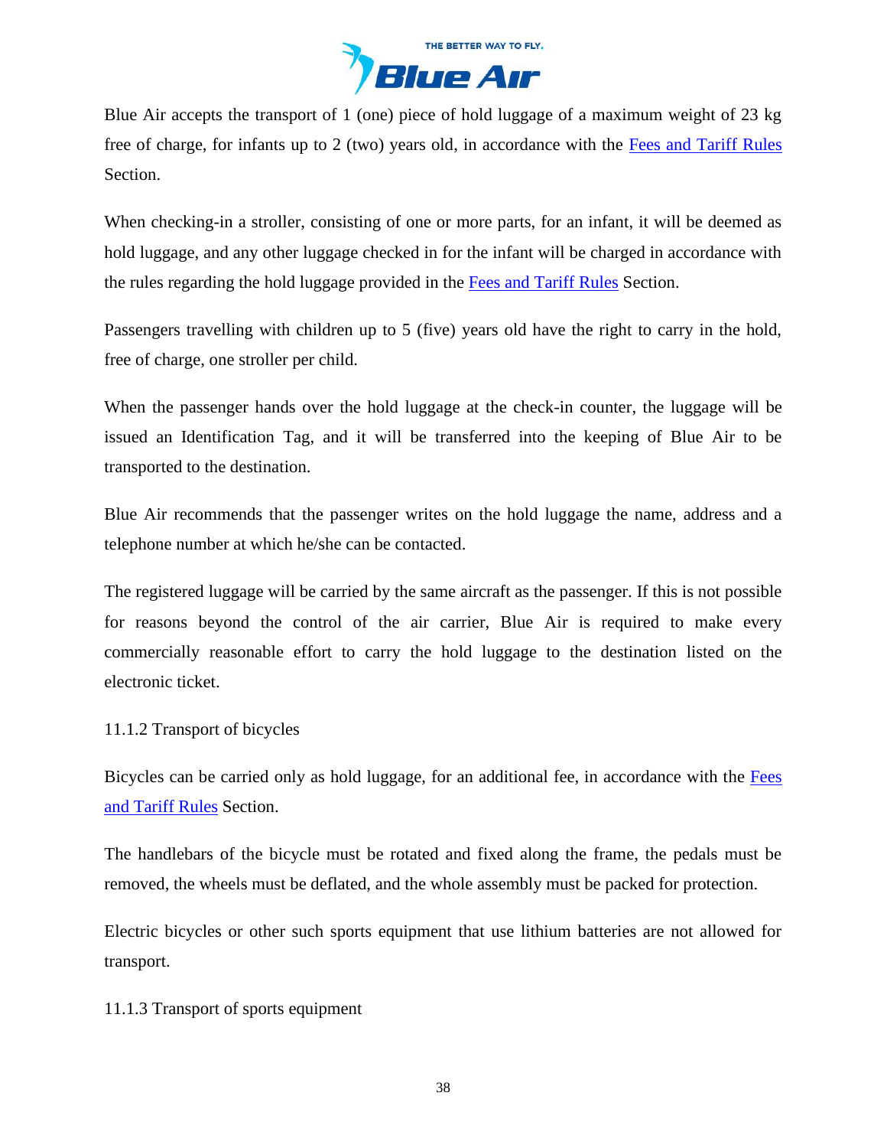

Blue Air accepts the transport of 1 (one) piece of hold luggage of a maximum weight of 23 kg free of charge, for infants up to 2 (two) years old, in accordance with the [Fees and Tariff](https://www.flyblueair.com/en/gb/fees-and-tariff-rules/) Rules Section.

When checking-in a stroller, consisting of one or more parts, for an infant, it will be deemed as hold luggage, and any other luggage checked in for the infant will be charged in accordance with the rules regarding the hold luggage provided in the [Fees and Tariff](https://www.flyblueair.com/en/gb/fees-and-tariff-rules/) Rules Section.

Passengers travelling with children up to 5 (five) years old have the right to carry in the hold, free of charge, one stroller per child.

When the passenger hands over the hold luggage at the check-in counter, the luggage will be issued an Identification Tag, and it will be transferred into the keeping of Blue Air to be transported to the destination.

Blue Air recommends that the passenger writes on the hold luggage the name, address and a telephone number at which he/she can be contacted.

The registered luggage will be carried by the same aircraft as the passenger. If this is not possible for reasons beyond the control of the air carrier, Blue Air is required to make every commercially reasonable effort to carry the hold luggage to the destination listed on the electronic ticket.

# 11.1.2 Transport of bicycles

Bicycles can be carried only as hold luggage, for an additional fee, in accordance with the [Fees](https://www.flyblueair.com/en/gb/fees-and-tariff-rules/)  [and Tariff](https://www.flyblueair.com/en/gb/fees-and-tariff-rules/) Rules Section.

The handlebars of the bicycle must be rotated and fixed along the frame, the pedals must be removed, the wheels must be deflated, and the whole assembly must be packed for protection.

Electric bicycles or other such sports equipment that use lithium batteries are not allowed for transport.

11.1.3 Transport of sports equipment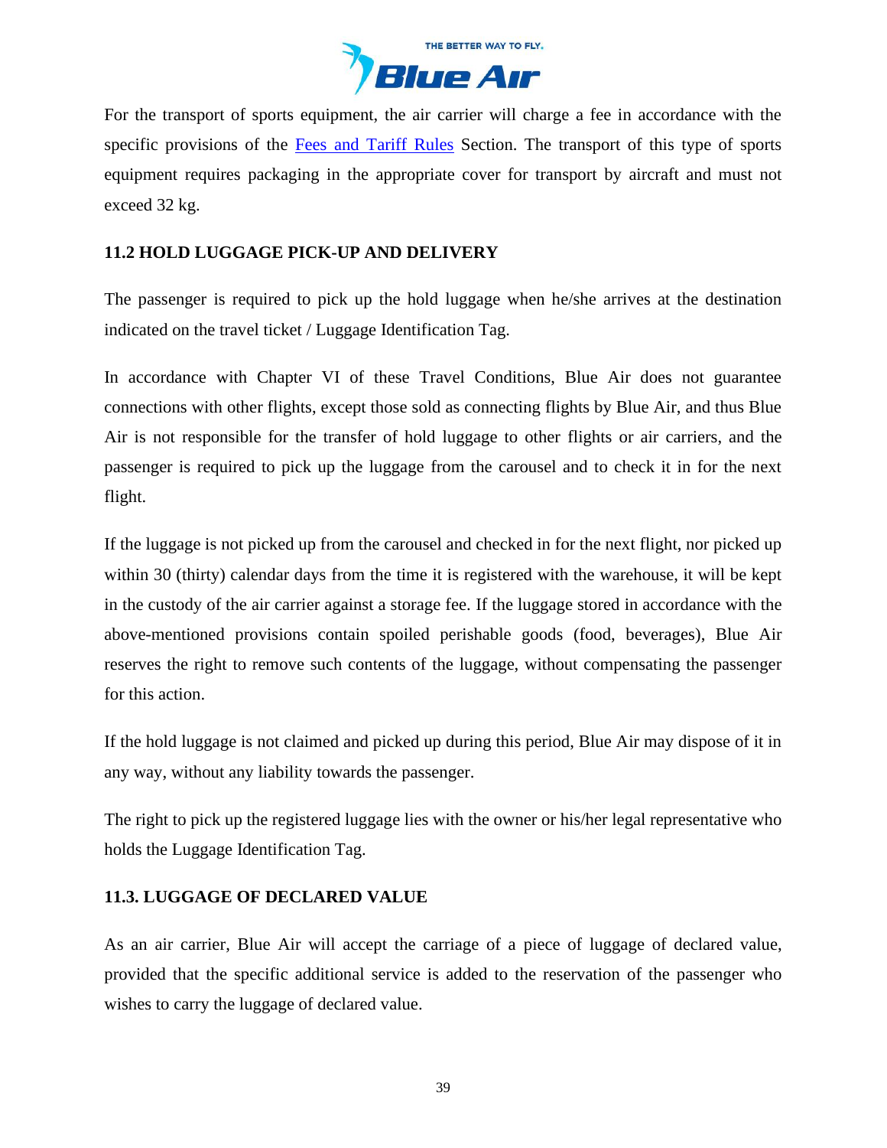

For the transport of sports equipment, the air carrier will charge a fee in accordance with the specific provisions of the [Fees and Tariff](https://www.flyblueair.com/en/gb/fees-and-tariff-rules/) Rules Section. The transport of this type of sports equipment requires packaging in the appropriate cover for transport by aircraft and must not exceed 32 kg.

# **11.2 HOLD LUGGAGE PICK-UP AND DELIVERY**

The passenger is required to pick up the hold luggage when he/she arrives at the destination indicated on the travel ticket / Luggage Identification Tag.

In accordance with Chapter VI of these Travel Conditions, Blue Air does not guarantee connections with other flights, except those sold as connecting flights by Blue Air, and thus Blue Air is not responsible for the transfer of hold luggage to other flights or air carriers, and the passenger is required to pick up the luggage from the carousel and to check it in for the next flight.

If the luggage is not picked up from the carousel and checked in for the next flight, nor picked up within 30 (thirty) calendar days from the time it is registered with the warehouse, it will be kept in the custody of the air carrier against a storage fee. If the luggage stored in accordance with the above-mentioned provisions contain spoiled perishable goods (food, beverages), Blue Air reserves the right to remove such contents of the luggage, without compensating the passenger for this action.

If the hold luggage is not claimed and picked up during this period, Blue Air may dispose of it in any way, without any liability towards the passenger.

The right to pick up the registered luggage lies with the owner or his/her legal representative who holds the Luggage Identification Tag.

# **11.3. LUGGAGE OF DECLARED VALUE**

As an air carrier, Blue Air will accept the carriage of a piece of luggage of declared value, provided that the specific additional service is added to the reservation of the passenger who wishes to carry the luggage of declared value.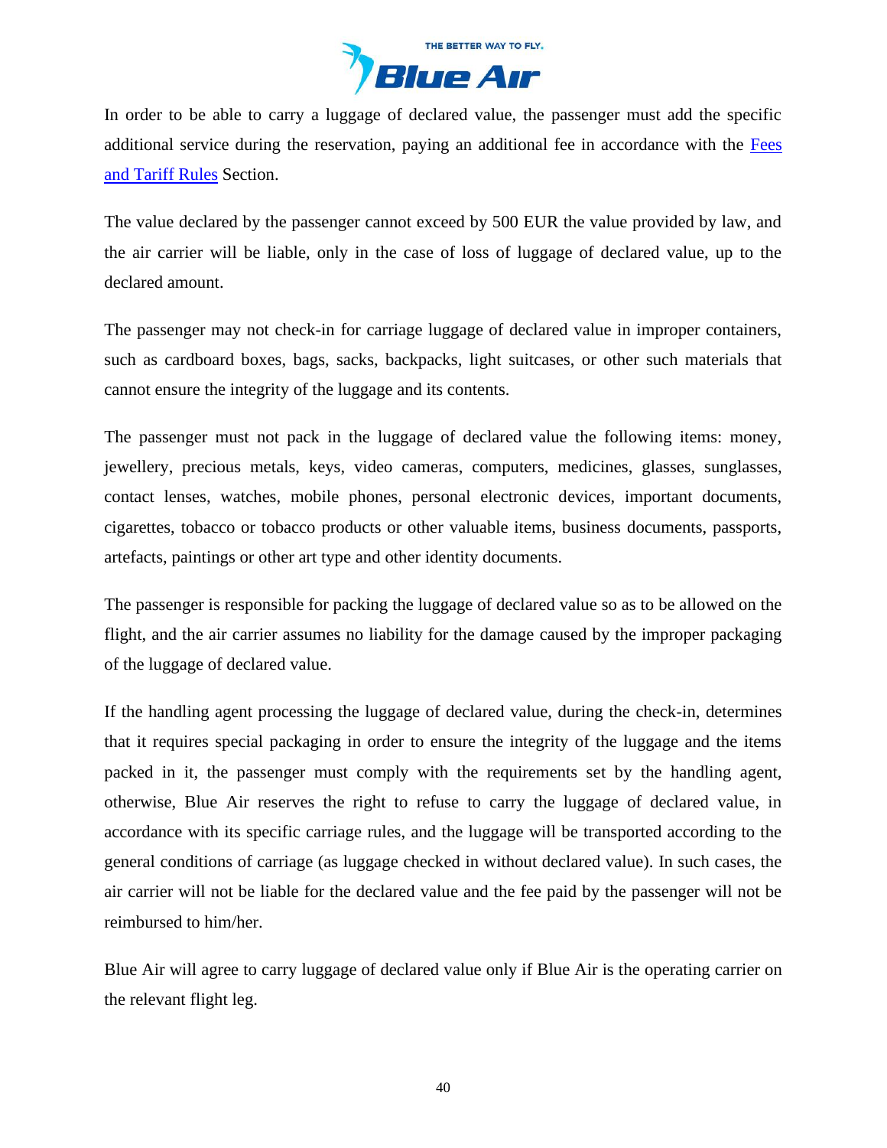

In order to be able to carry a luggage of declared value, the passenger must add the specific additional service during the reservation, paying an additional fee in accordance with the [Fees](https://www.flyblueair.com/en/gb/fees-and-tariff-rules/)  [and Tariff](https://www.flyblueair.com/en/gb/fees-and-tariff-rules/) Rules Section.

The value declared by the passenger cannot exceed by 500 EUR the value provided by law, and the air carrier will be liable, only in the case of loss of luggage of declared value, up to the declared amount.

The passenger may not check-in for carriage luggage of declared value in improper containers, such as cardboard boxes, bags, sacks, backpacks, light suitcases, or other such materials that cannot ensure the integrity of the luggage and its contents.

The passenger must not pack in the luggage of declared value the following items: money, jewellery, precious metals, keys, video cameras, computers, medicines, glasses, sunglasses, contact lenses, watches, mobile phones, personal electronic devices, important documents, cigarettes, tobacco or tobacco products or other valuable items, business documents, passports, artefacts, paintings or other art type and other identity documents.

The passenger is responsible for packing the luggage of declared value so as to be allowed on the flight, and the air carrier assumes no liability for the damage caused by the improper packaging of the luggage of declared value.

If the handling agent processing the luggage of declared value, during the check-in, determines that it requires special packaging in order to ensure the integrity of the luggage and the items packed in it, the passenger must comply with the requirements set by the handling agent, otherwise, Blue Air reserves the right to refuse to carry the luggage of declared value, in accordance with its specific carriage rules, and the luggage will be transported according to the general conditions of carriage (as luggage checked in without declared value). In such cases, the air carrier will not be liable for the declared value and the fee paid by the passenger will not be reimbursed to him/her.

Blue Air will agree to carry luggage of declared value only if Blue Air is the operating carrier on the relevant flight leg.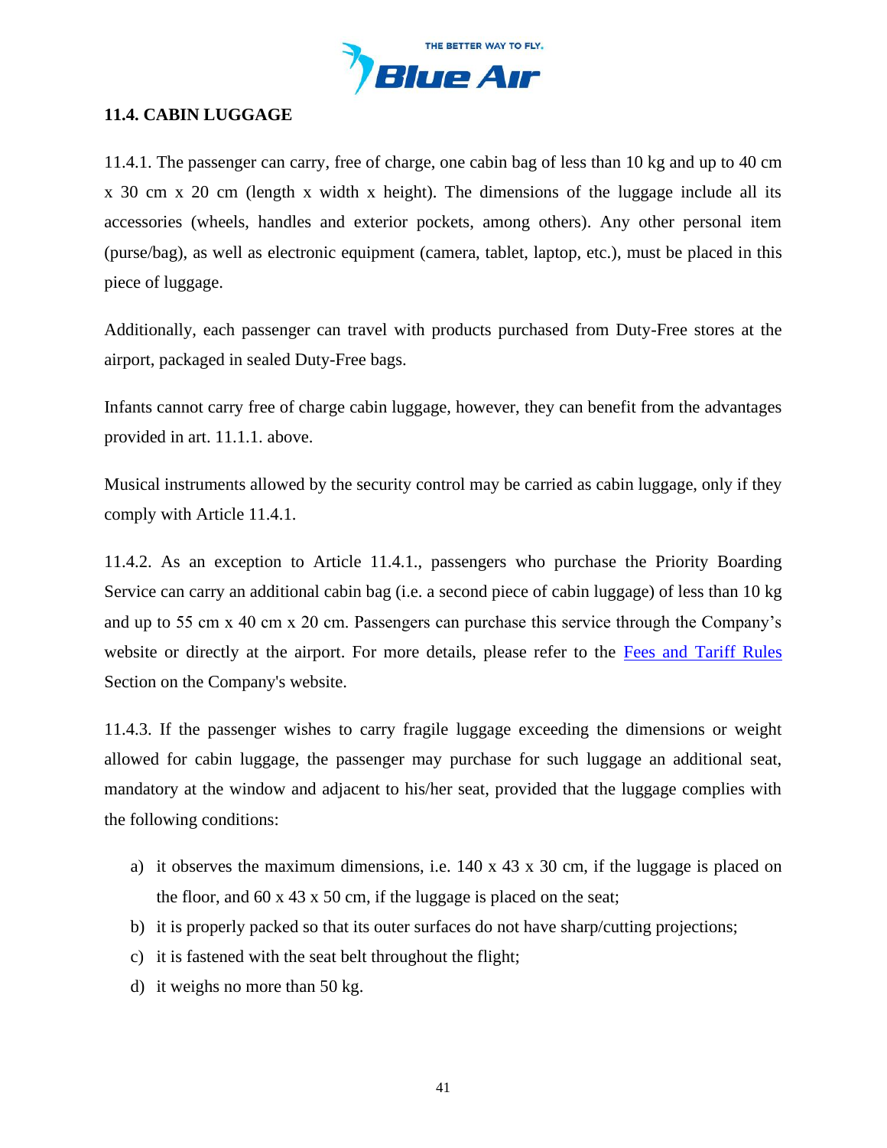

# **11.4. CABIN LUGGAGE**

11.4.1. The passenger can carry, free of charge, one cabin bag of less than 10 kg and up to 40 cm x 30 cm x 20 cm (length x width x height). The dimensions of the luggage include all its accessories (wheels, handles and exterior pockets, among others). Any other personal item (purse/bag), as well as electronic equipment (camera, tablet, laptop, etc.), must be placed in this piece of luggage.

Additionally, each passenger can travel with products purchased from Duty-Free stores at the airport, packaged in sealed Duty-Free bags.

Infants cannot carry free of charge cabin luggage, however, they can benefit from the advantages provided in art. 11.1.1. above.

Musical instruments allowed by the security control may be carried as cabin luggage, only if they comply with Article 11.4.1.

11.4.2. As an exception to Article 11.4.1., passengers who purchase the Priority Boarding Service can carry an additional cabin bag (i.e. a second piece of cabin luggage) of less than 10 kg and up to 55 cm x 40 cm x 20 cm. Passengers can purchase this service through the Company's website or directly at the airport. For more details, please refer to the [Fees and Tariff](https://www.flyblueair.com/en/gb/fees-and-tariff-rules/) Rules Section on the Company's website.

11.4.3. If the passenger wishes to carry fragile luggage exceeding the dimensions or weight allowed for cabin luggage, the passenger may purchase for such luggage an additional seat, mandatory at the window and adjacent to his/her seat, provided that the luggage complies with the following conditions:

- a) it observes the maximum dimensions, i.e. 140 x 43 x 30 cm, if the luggage is placed on the floor, and 60 x 43 x 50 cm, if the luggage is placed on the seat;
- b) it is properly packed so that its outer surfaces do not have sharp/cutting projections;
- c) it is fastened with the seat belt throughout the flight;
- d) it weighs no more than 50 kg.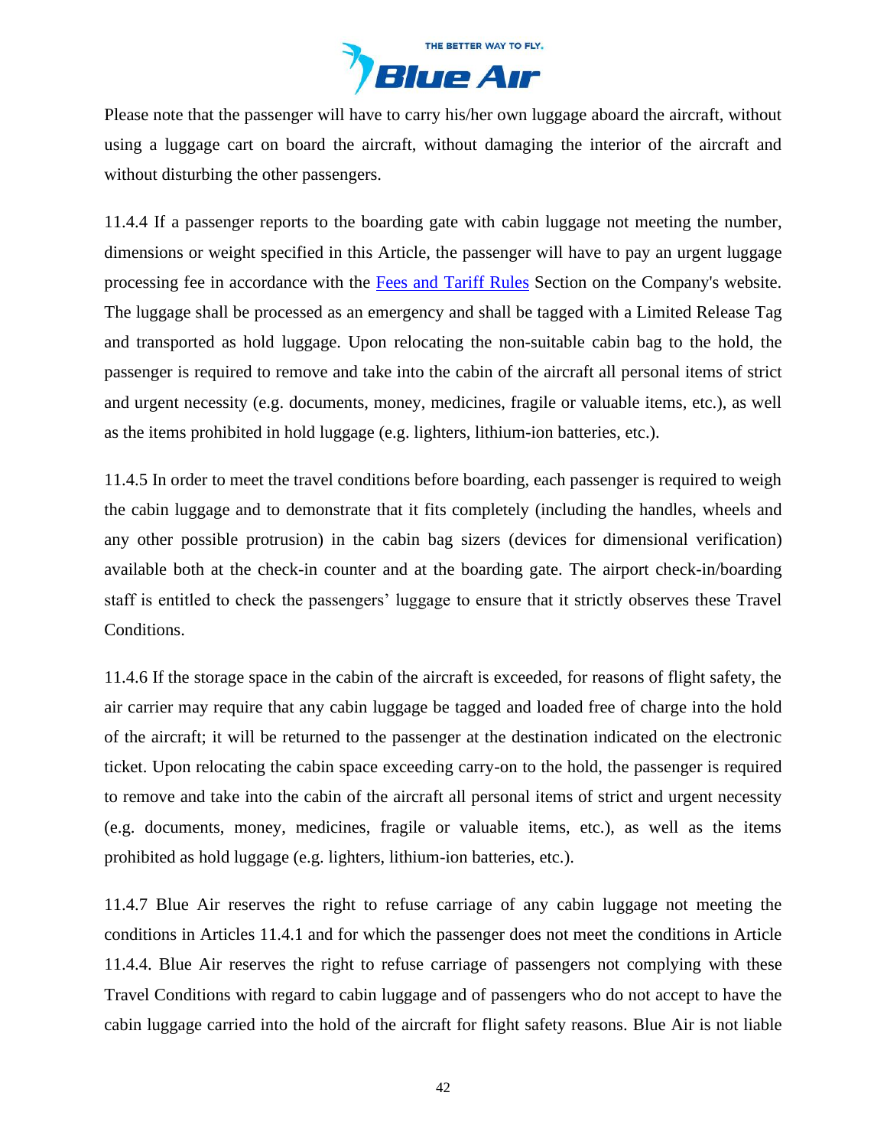

Please note that the passenger will have to carry his/her own luggage aboard the aircraft, without using a luggage cart on board the aircraft, without damaging the interior of the aircraft and without disturbing the other passengers.

11.4.4 If a passenger reports to the boarding gate with cabin luggage not meeting the number, dimensions or weight specified in this Article, the passenger will have to pay an urgent luggage processing fee in accordance with the [Fees and Tariff](https://www.flyblueair.com/en/gb/fees-and-tariff-rules/) Rules Section on the Company's website. The luggage shall be processed as an emergency and shall be tagged with a Limited Release Tag and transported as hold luggage. Upon relocating the non-suitable cabin bag to the hold, the passenger is required to remove and take into the cabin of the aircraft all personal items of strict and urgent necessity (e.g. documents, money, medicines, fragile or valuable items, etc.), as well as the items prohibited in hold luggage (e.g. lighters, lithium-ion batteries, etc.).

11.4.5 In order to meet the travel conditions before boarding, each passenger is required to weigh the cabin luggage and to demonstrate that it fits completely (including the handles, wheels and any other possible protrusion) in the cabin bag sizers (devices for dimensional verification) available both at the check-in counter and at the boarding gate. The airport check-in/boarding staff is entitled to check the passengers' luggage to ensure that it strictly observes these Travel Conditions.

11.4.6 If the storage space in the cabin of the aircraft is exceeded, for reasons of flight safety, the air carrier may require that any cabin luggage be tagged and loaded free of charge into the hold of the aircraft; it will be returned to the passenger at the destination indicated on the electronic ticket. Upon relocating the cabin space exceeding carry-on to the hold, the passenger is required to remove and take into the cabin of the aircraft all personal items of strict and urgent necessity (e.g. documents, money, medicines, fragile or valuable items, etc.), as well as the items prohibited as hold luggage (e.g. lighters, lithium-ion batteries, etc.).

11.4.7 Blue Air reserves the right to refuse carriage of any cabin luggage not meeting the conditions in Articles 11.4.1 and for which the passenger does not meet the conditions in Article 11.4.4. Blue Air reserves the right to refuse carriage of passengers not complying with these Travel Conditions with regard to cabin luggage and of passengers who do not accept to have the cabin luggage carried into the hold of the aircraft for flight safety reasons. Blue Air is not liable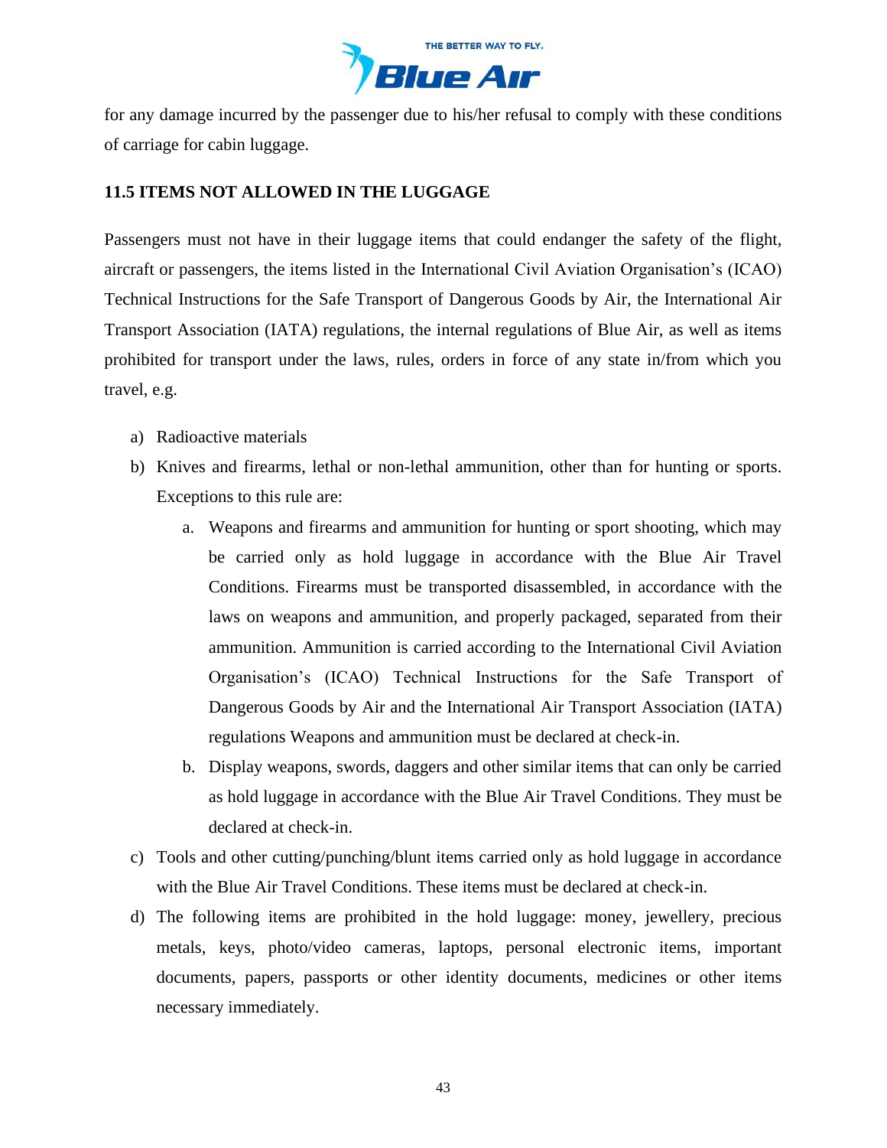

for any damage incurred by the passenger due to his/her refusal to comply with these conditions of carriage for cabin luggage.

## **11.5 ITEMS NOT ALLOWED IN THE LUGGAGE**

Passengers must not have in their luggage items that could endanger the safety of the flight, aircraft or passengers, the items listed in the International Civil Aviation Organisation's (ICAO) Technical Instructions for the Safe Transport of Dangerous Goods by Air, the International Air Transport Association (IATA) regulations, the internal regulations of Blue Air, as well as items prohibited for transport under the laws, rules, orders in force of any state in/from which you travel, e.g.

- a) Radioactive materials
- b) Knives and firearms, lethal or non-lethal ammunition, other than for hunting or sports. Exceptions to this rule are:
	- a. Weapons and firearms and ammunition for hunting or sport shooting, which may be carried only as hold luggage in accordance with the Blue Air Travel Conditions. Firearms must be transported disassembled, in accordance with the laws on weapons and ammunition, and properly packaged, separated from their ammunition. Ammunition is carried according to the International Civil Aviation Organisation's (ICAO) Technical Instructions for the Safe Transport of Dangerous Goods by Air and the International Air Transport Association (IATA) regulations Weapons and ammunition must be declared at check-in.
	- b. Display weapons, swords, daggers and other similar items that can only be carried as hold luggage in accordance with the Blue Air Travel Conditions. They must be declared at check-in.
- c) Tools and other cutting/punching/blunt items carried only as hold luggage in accordance with the Blue Air Travel Conditions. These items must be declared at check-in.
- d) The following items are prohibited in the hold luggage: money, jewellery, precious metals, keys, photo/video cameras, laptops, personal electronic items, important documents, papers, passports or other identity documents, medicines or other items necessary immediately.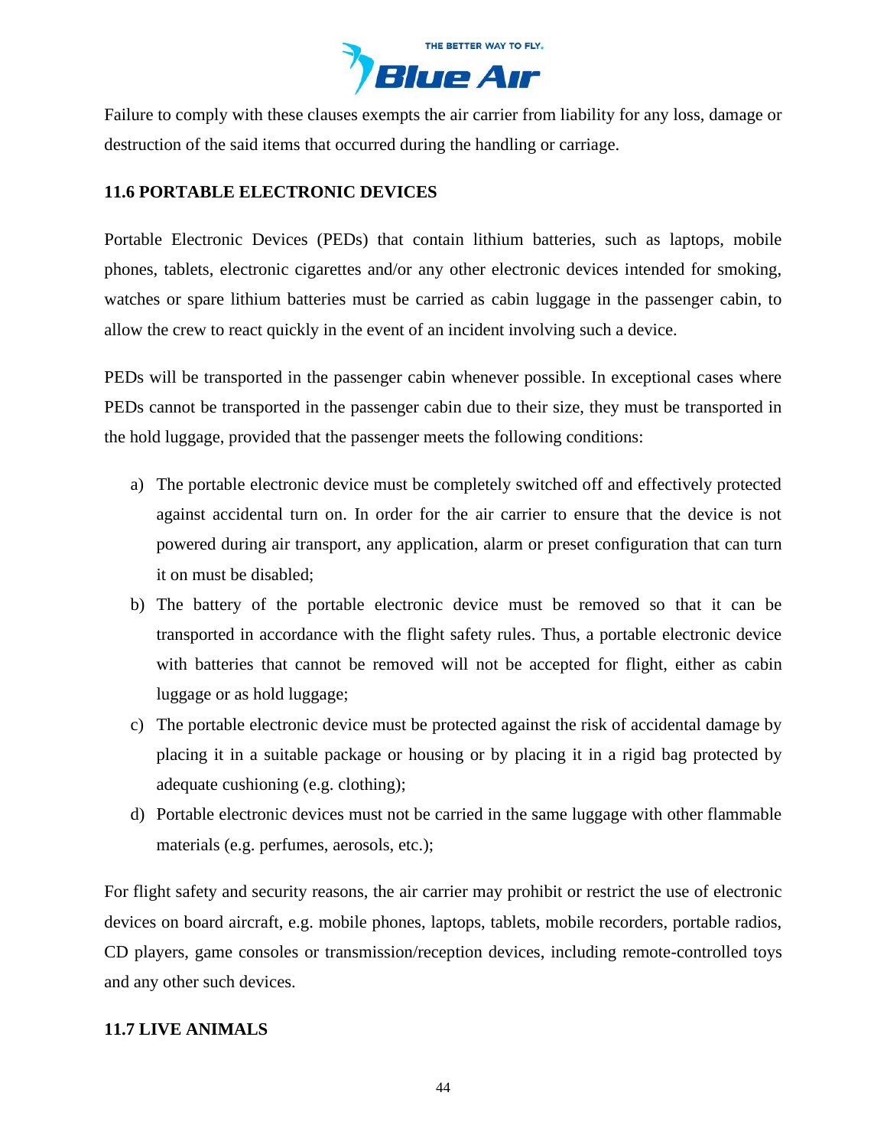

Failure to comply with these clauses exempts the air carrier from liability for any loss, damage or destruction of the said items that occurred during the handling or carriage.

# **11.6 PORTABLE ELECTRONIC DEVICES**

Portable Electronic Devices (PEDs) that contain lithium batteries, such as laptops, mobile phones, tablets, electronic cigarettes and/or any other electronic devices intended for smoking, watches or spare lithium batteries must be carried as cabin luggage in the passenger cabin, to allow the crew to react quickly in the event of an incident involving such a device.

PEDs will be transported in the passenger cabin whenever possible. In exceptional cases where PEDs cannot be transported in the passenger cabin due to their size, they must be transported in the hold luggage, provided that the passenger meets the following conditions:

- a) The portable electronic device must be completely switched off and effectively protected against accidental turn on. In order for the air carrier to ensure that the device is not powered during air transport, any application, alarm or preset configuration that can turn it on must be disabled;
- b) The battery of the portable electronic device must be removed so that it can be transported in accordance with the flight safety rules. Thus, a portable electronic device with batteries that cannot be removed will not be accepted for flight, either as cabin luggage or as hold luggage;
- c) The portable electronic device must be protected against the risk of accidental damage by placing it in a suitable package or housing or by placing it in a rigid bag protected by adequate cushioning (e.g. clothing);
- d) Portable electronic devices must not be carried in the same luggage with other flammable materials (e.g. perfumes, aerosols, etc.);

For flight safety and security reasons, the air carrier may prohibit or restrict the use of electronic devices on board aircraft, e.g. mobile phones, laptops, tablets, mobile recorders, portable radios, CD players, game consoles or transmission/reception devices, including remote-controlled toys and any other such devices.

### **11.7 LIVE ANIMALS**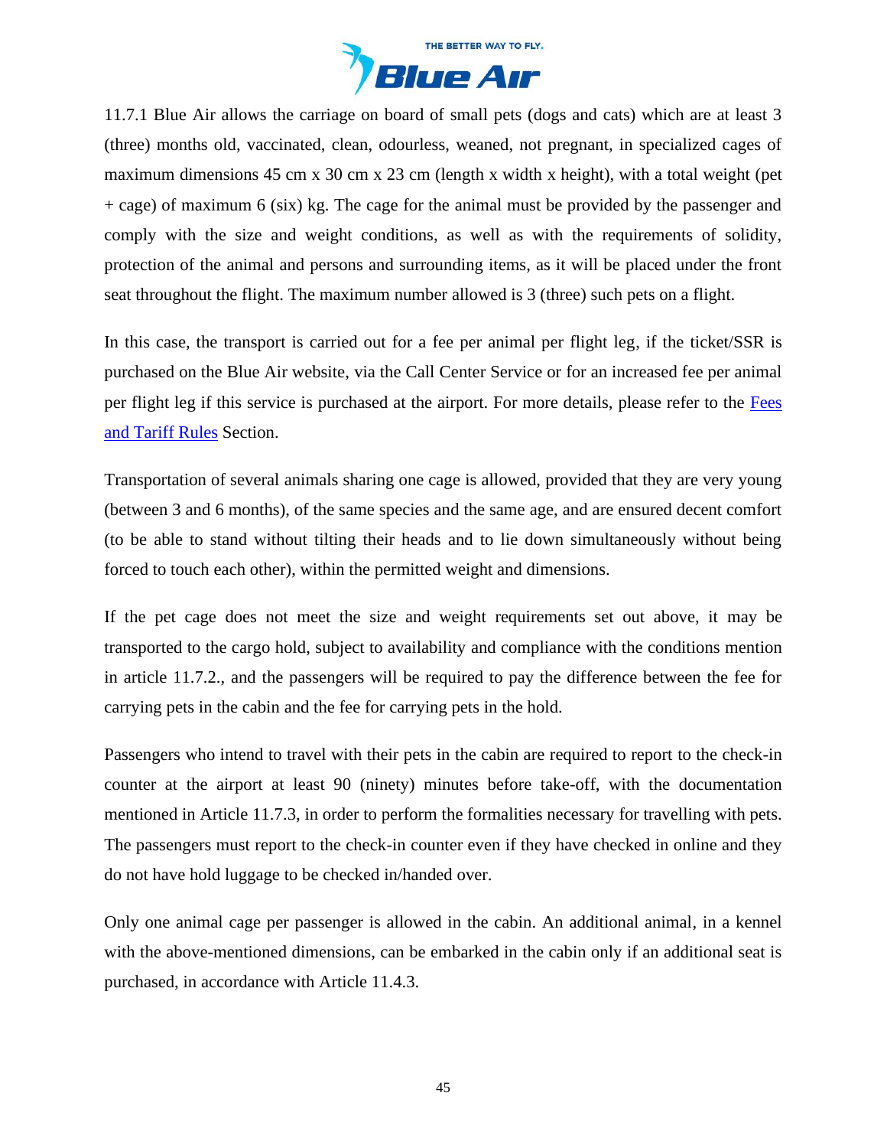

11.7.1 Blue Air allows the carriage on board of small pets (dogs and cats) which are at least 3 (three) months old, vaccinated, clean, odourless, weaned, not pregnant, in specialized cages of maximum dimensions 45 cm x 30 cm x 23 cm (length x width x height), with a total weight (pet + cage) of maximum 6 (six) kg. The cage for the animal must be provided by the passenger and comply with the size and weight conditions, as well as with the requirements of solidity, protection of the animal and persons and surrounding items, as it will be placed under the front seat throughout the flight. The maximum number allowed is 3 (three) such pets on a flight.

In this case, the transport is carried out for a fee per animal per flight leg, if the ticket/SSR is purchased on the Blue Air website, via the Call Center Service or for an increased fee per animal per flight leg if this service is purchased at the airport. For more details, please refer to the [Fees](https://www.flyblueair.com/en/gb/fees-and-tariff-rules/)  [and Tariff](https://www.flyblueair.com/en/gb/fees-and-tariff-rules/) Rules Section.

Transportation of several animals sharing one cage is allowed, provided that they are very young (between 3 and 6 months), of the same species and the same age, and are ensured decent comfort (to be able to stand without tilting their heads and to lie down simultaneously without being forced to touch each other), within the permitted weight and dimensions.

If the pet cage does not meet the size and weight requirements set out above, it may be transported to the cargo hold, subject to availability and compliance with the conditions mention in article 11.7.2., and the passengers will be required to pay the difference between the fee for carrying pets in the cabin and the fee for carrying pets in the hold.

Passengers who intend to travel with their pets in the cabin are required to report to the check-in counter at the airport at least 90 (ninety) minutes before take-off, with the documentation mentioned in Article 11.7.3, in order to perform the formalities necessary for travelling with pets. The passengers must report to the check-in counter even if they have checked in online and they do not have hold luggage to be checked in/handed over.

Only one animal cage per passenger is allowed in the cabin. An additional animal, in a kennel with the above-mentioned dimensions, can be embarked in the cabin only if an additional seat is purchased, in accordance with Article 11.4.3.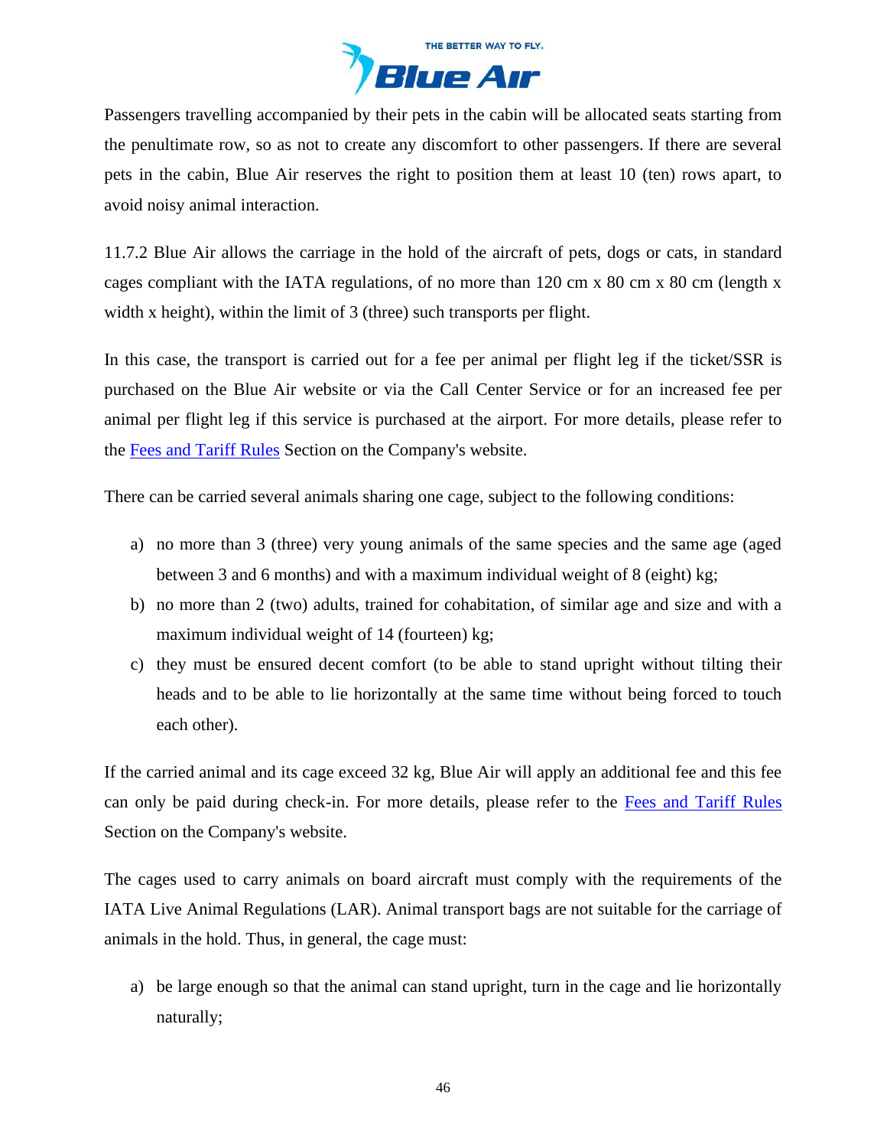

Passengers travelling accompanied by their pets in the cabin will be allocated seats starting from the penultimate row, so as not to create any discomfort to other passengers. If there are several pets in the cabin, Blue Air reserves the right to position them at least 10 (ten) rows apart, to avoid noisy animal interaction.

11.7.2 Blue Air allows the carriage in the hold of the aircraft of pets, dogs or cats, in standard cages compliant with the IATA regulations, of no more than 120 cm x 80 cm x 80 cm (length x width x height), within the limit of 3 (three) such transports per flight.

In this case, the transport is carried out for a fee per animal per flight leg if the ticket/SSR is purchased on the Blue Air website or via the Call Center Service or for an increased fee per animal per flight leg if this service is purchased at the airport. For more details, please refer to the [Fees and Tariff](https://www.flyblueair.com/en/gb/fees-and-tariff-rules/) Rules Section on the Company's website.

There can be carried several animals sharing one cage, subject to the following conditions:

- a) no more than 3 (three) very young animals of the same species and the same age (aged between 3 and 6 months) and with a maximum individual weight of 8 (eight) kg;
- b) no more than 2 (two) adults, trained for cohabitation, of similar age and size and with a maximum individual weight of 14 (fourteen) kg;
- c) they must be ensured decent comfort (to be able to stand upright without tilting their heads and to be able to lie horizontally at the same time without being forced to touch each other).

If the carried animal and its cage exceed 32 kg, Blue Air will apply an additional fee and this fee can only be paid during check-in. For more details, please refer to the [Fees and Tariff](https://www.flyblueair.com/en/gb/fees-and-tariff-rules/) Rules Section on the Company's website.

The cages used to carry animals on board aircraft must comply with the requirements of the IATA Live Animal Regulations (LAR). Animal transport bags are not suitable for the carriage of animals in the hold. Thus, in general, the cage must:

a) be large enough so that the animal can stand upright, turn in the cage and lie horizontally naturally;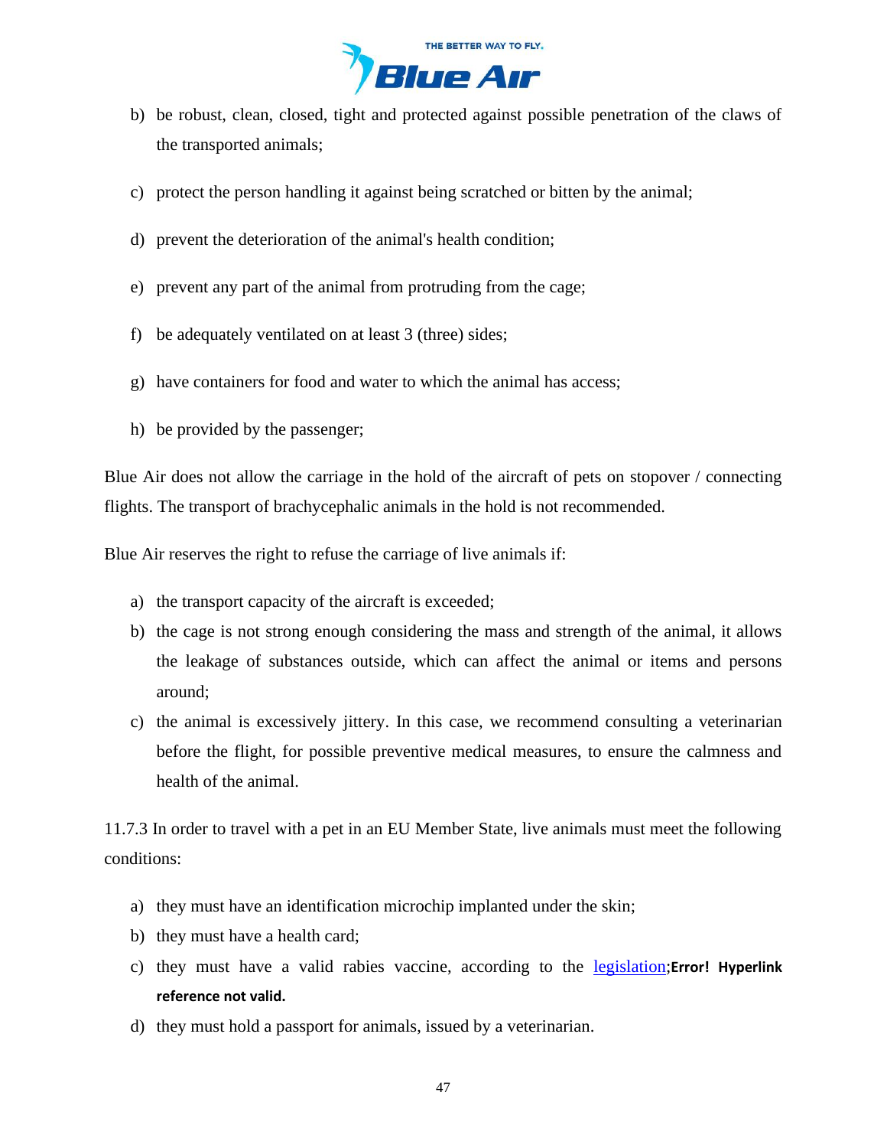

- b) be robust, clean, closed, tight and protected against possible penetration of the claws of the transported animals;
- c) protect the person handling it against being scratched or bitten by the animal;
- d) prevent the deterioration of the animal's health condition;
- e) prevent any part of the animal from protruding from the cage;
- f) be adequately ventilated on at least 3 (three) sides;
- g) have containers for food and water to which the animal has access;
- h) be provided by the passenger;

Blue Air does not allow the carriage in the hold of the aircraft of pets on stopover / connecting flights. The transport of brachycephalic animals in the hold is not recommended.

Blue Air reserves the right to refuse the carriage of live animals if:

- a) the transport capacity of the aircraft is exceeded;
- b) the cage is not strong enough considering the mass and strength of the animal, it allows the leakage of substances outside, which can affect the animal or items and persons around;
- c) the animal is excessively jittery. In this case, we recommend consulting a veterinarian before the flight, for possible preventive medical measures, to ensure the calmness and health of the animal.

11.7.3 In order to travel with a pet in an EU Member State, live animals must meet the following conditions:

- a) they must have an identification microchip implanted under the skin;
- b) they must have a health card;
- c) they must have a valid rabies vaccine, according to the [legislation;](https://ec.europa.eu/food/animals/movement-pets/eu-legislation/non-commercial-movement-within-eu_en)**Error! Hyperlink reference not valid.**
- d) they must hold a passport for animals, issued by a veterinarian.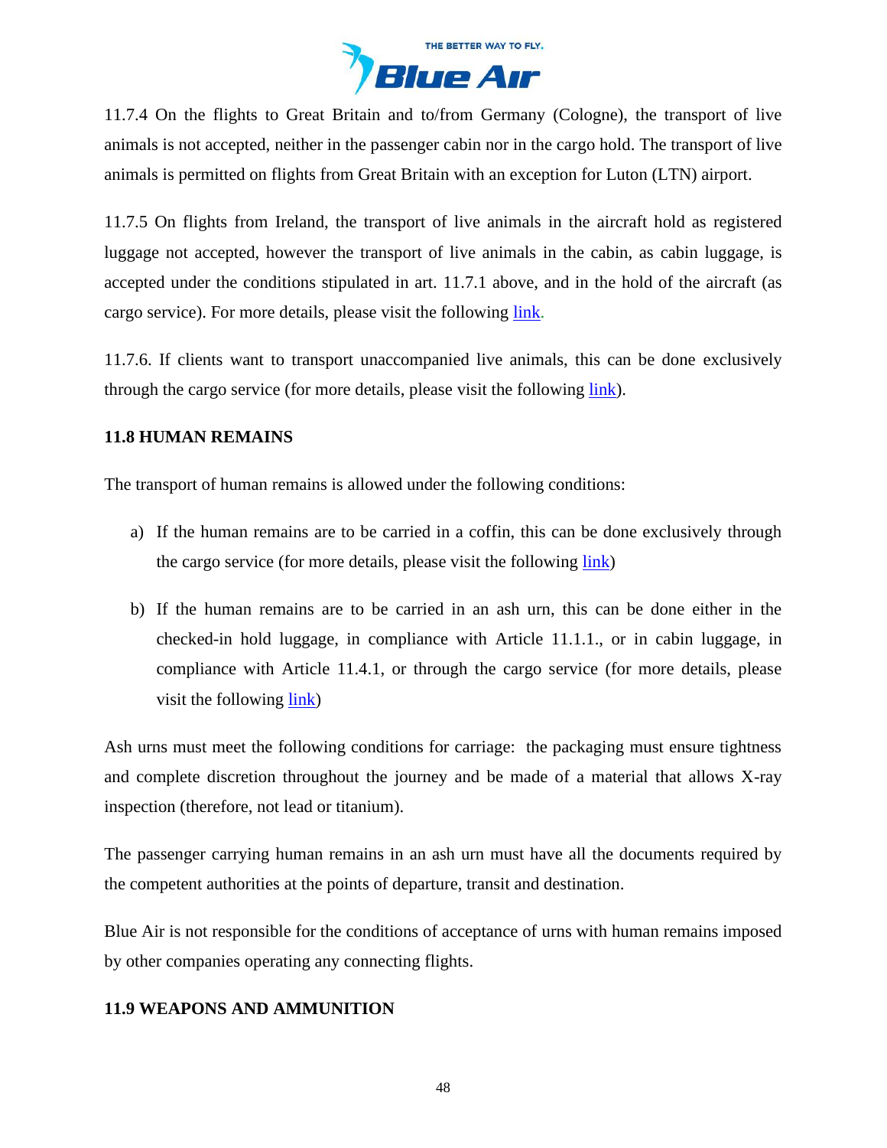

11.7.4 On the flights to Great Britain and to/from Germany (Cologne), the transport of live animals is not accepted, neither in the passenger cabin nor in the cargo hold. The transport of live animals is permitted on flights from Great Britain with an exception for Luton (LTN) airport.

11.7.5 On flights from Ireland, the transport of live animals in the aircraft hold as registered luggage not accepted, however the transport of live animals in the cabin, as cabin luggage, is accepted under the conditions stipulated in art. 11.7.1 above, and in the hold of the aircraft (as cargo service). For more details, please visit the following [link.](https://ec.europa.eu/food/animals/movement-pets/eu-legislation/non-commercial-movement-within-eu_en)

11.7.6. If clients want to transport unaccompanied live animals, this can be done exclusively through the cargo service (for more details, please visit the following [link\)](https://www.flyblueair.com/en/gb/cargo/).

## **11.8 HUMAN REMAINS**

The transport of human remains is allowed under the following conditions:

- a) If the human remains are to be carried in a coffin, this can be done exclusively through the cargo service (for more details, please visit the following [link\)](https://www.flyblueair.com/en/gb/cargo/)
- b) If the human remains are to be carried in an ash urn, this can be done either in the checked-in hold luggage, in compliance with Article 11.1.1., or in cabin luggage, in compliance with Article 11.4.1, or through the cargo service (for more details, please visit the following <u>link</u>)

Ash urns must meet the following conditions for carriage: the packaging must ensure tightness and complete discretion throughout the journey and be made of a material that allows X-ray inspection (therefore, not lead or titanium).

The passenger carrying human remains in an ash urn must have all the documents required by the competent authorities at the points of departure, transit and destination.

Blue Air is not responsible for the conditions of acceptance of urns with human remains imposed by other companies operating any connecting flights.

# **11.9 WEAPONS AND AMMUNITION**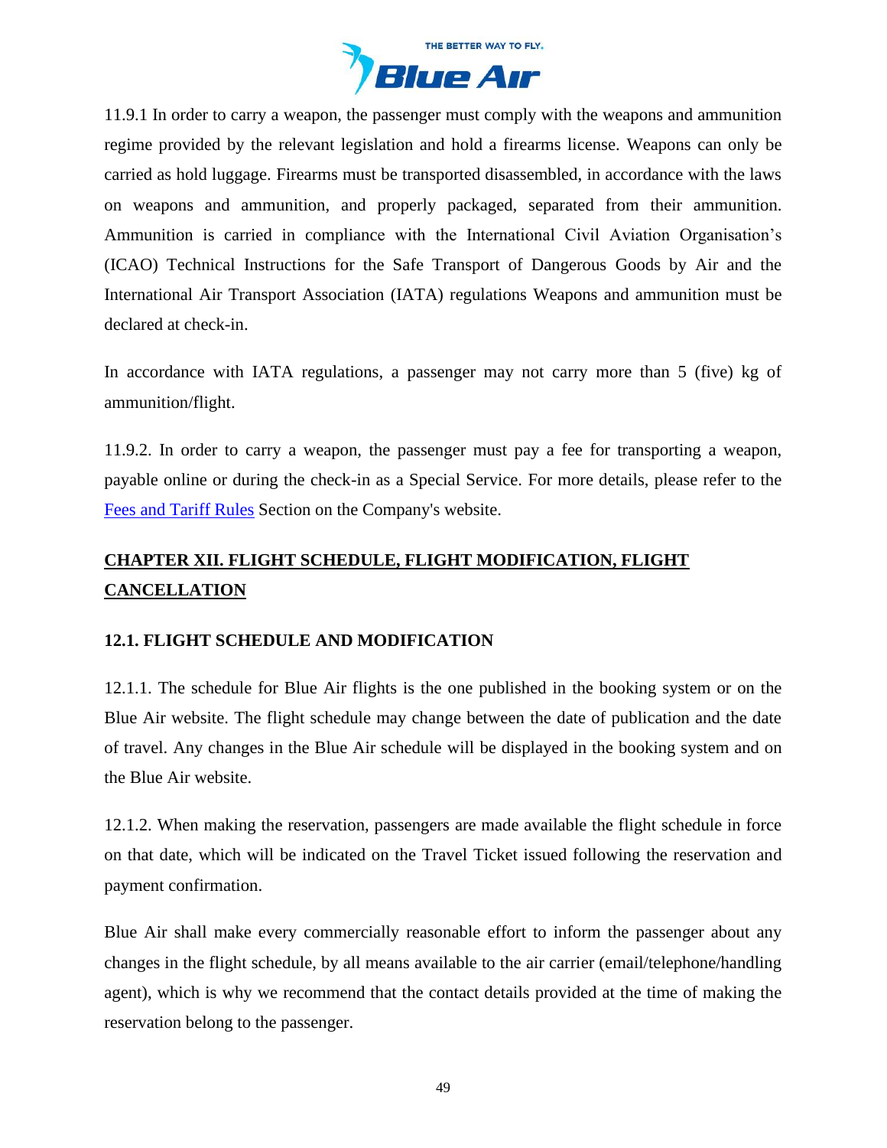

11.9.1 In order to carry a weapon, the passenger must comply with the weapons and ammunition regime provided by the relevant legislation and hold a firearms license. Weapons can only be carried as hold luggage. Firearms must be transported disassembled, in accordance with the laws on weapons and ammunition, and properly packaged, separated from their ammunition. Ammunition is carried in compliance with the International Civil Aviation Organisation's (ICAO) Technical Instructions for the Safe Transport of Dangerous Goods by Air and the International Air Transport Association (IATA) regulations Weapons and ammunition must be declared at check-in.

In accordance with IATA regulations, a passenger may not carry more than 5 (five) kg of ammunition/flight.

11.9.2. In order to carry a weapon, the passenger must pay a fee for transporting a weapon, payable online or during the check-in as a Special Service. For more details, please refer to the [Fees and Tariff](https://www.flyblueair.com/en/gb/fees-and-tariff-rules/) Rules Section on the Company's website.

# <span id="page-48-0"></span>**CHAPTER XII. FLIGHT SCHEDULE, FLIGHT MODIFICATION, FLIGHT CANCELLATION**

# **12.1. FLIGHT SCHEDULE AND MODIFICATION**

12.1.1. The schedule for Blue Air flights is the one published in the booking system or on the Blue Air website. The flight schedule may change between the date of publication and the date of travel. Any changes in the Blue Air schedule will be displayed in the booking system and on the Blue Air website.

12.1.2. When making the reservation, passengers are made available the flight schedule in force on that date, which will be indicated on the Travel Ticket issued following the reservation and payment confirmation.

Blue Air shall make every commercially reasonable effort to inform the passenger about any changes in the flight schedule, by all means available to the air carrier (email/telephone/handling agent), which is why we recommend that the contact details provided at the time of making the reservation belong to the passenger.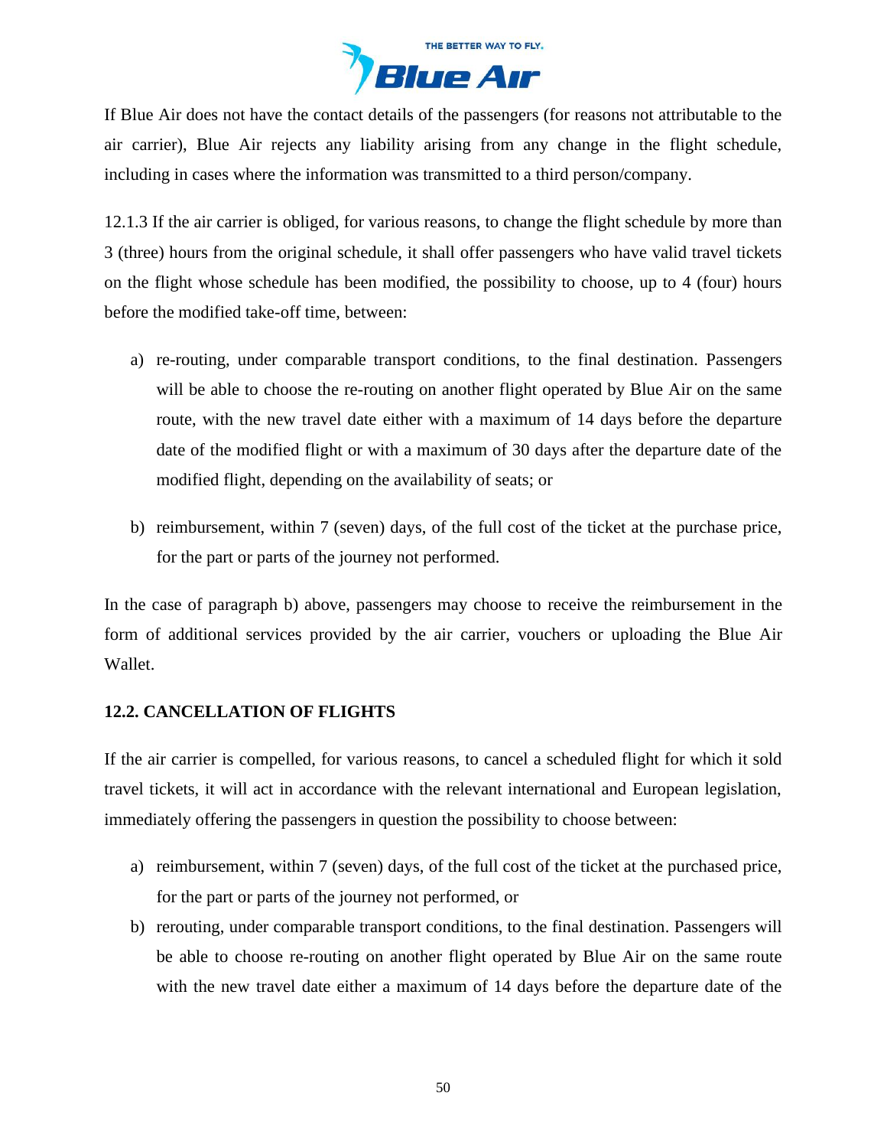

If Blue Air does not have the contact details of the passengers (for reasons not attributable to the air carrier), Blue Air rejects any liability arising from any change in the flight schedule, including in cases where the information was transmitted to a third person/company.

12.1.3 If the air carrier is obliged, for various reasons, to change the flight schedule by more than 3 (three) hours from the original schedule, it shall offer passengers who have valid travel tickets on the flight whose schedule has been modified, the possibility to choose, up to 4 (four) hours before the modified take-off time, between:

- a) re-routing, under comparable transport conditions, to the final destination. Passengers will be able to choose the re-routing on another flight operated by Blue Air on the same route, with the new travel date either with a maximum of 14 days before the departure date of the modified flight or with a maximum of 30 days after the departure date of the modified flight, depending on the availability of seats; or
- b) reimbursement, within 7 (seven) days, of the full cost of the ticket at the purchase price, for the part or parts of the journey not performed.

In the case of paragraph b) above, passengers may choose to receive the reimbursement in the form of additional services provided by the air carrier, vouchers or uploading the Blue Air Wallet.

### **12.2. CANCELLATION OF FLIGHTS**

If the air carrier is compelled, for various reasons, to cancel a scheduled flight for which it sold travel tickets, it will act in accordance with the relevant international and European legislation, immediately offering the passengers in question the possibility to choose between:

- a) reimbursement, within 7 (seven) days, of the full cost of the ticket at the purchased price, for the part or parts of the journey not performed, or
- b) rerouting, under comparable transport conditions, to the final destination. Passengers will be able to choose re-routing on another flight operated by Blue Air on the same route with the new travel date either a maximum of 14 days before the departure date of the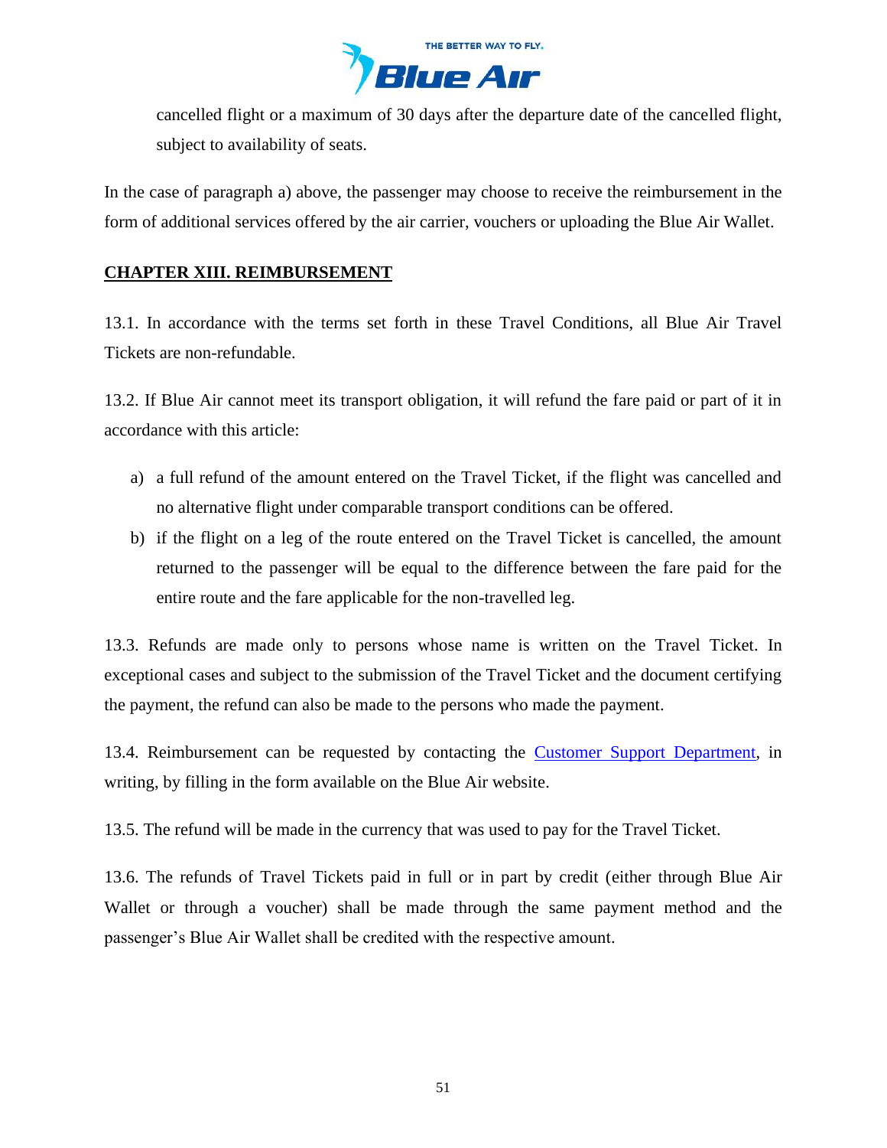

cancelled flight or a maximum of 30 days after the departure date of the cancelled flight, subject to availability of seats.

In the case of paragraph a) above, the passenger may choose to receive the reimbursement in the form of additional services offered by the air carrier, vouchers or uploading the Blue Air Wallet.

# <span id="page-50-0"></span>**CHAPTER XIII. REIMBURSEMENT**

13.1. In accordance with the terms set forth in these Travel Conditions, all Blue Air Travel Tickets are non-refundable.

13.2. If Blue Air cannot meet its transport obligation, it will refund the fare paid or part of it in accordance with this article:

- a) a full refund of the amount entered on the Travel Ticket, if the flight was cancelled and no alternative flight under comparable transport conditions can be offered.
- b) if the flight on a leg of the route entered on the Travel Ticket is cancelled, the amount returned to the passenger will be equal to the difference between the fare paid for the entire route and the fare applicable for the non-travelled leg.

13.3. Refunds are made only to persons whose name is written on the Travel Ticket. In exceptional cases and subject to the submission of the Travel Ticket and the document certifying the payment, the refund can also be made to the persons who made the payment.

13.4. Reimbursement can be requested by contacting the [Customer Support Department,](https://www.flyblueair.com/en/gb/contact/) in writing, by filling in the form available on the Blue Air website.

13.5. The refund will be made in the currency that was used to pay for the Travel Ticket.

13.6. The refunds of Travel Tickets paid in full or in part by credit (either through Blue Air Wallet or through a voucher) shall be made through the same payment method and the passenger's Blue Air Wallet shall be credited with the respective amount.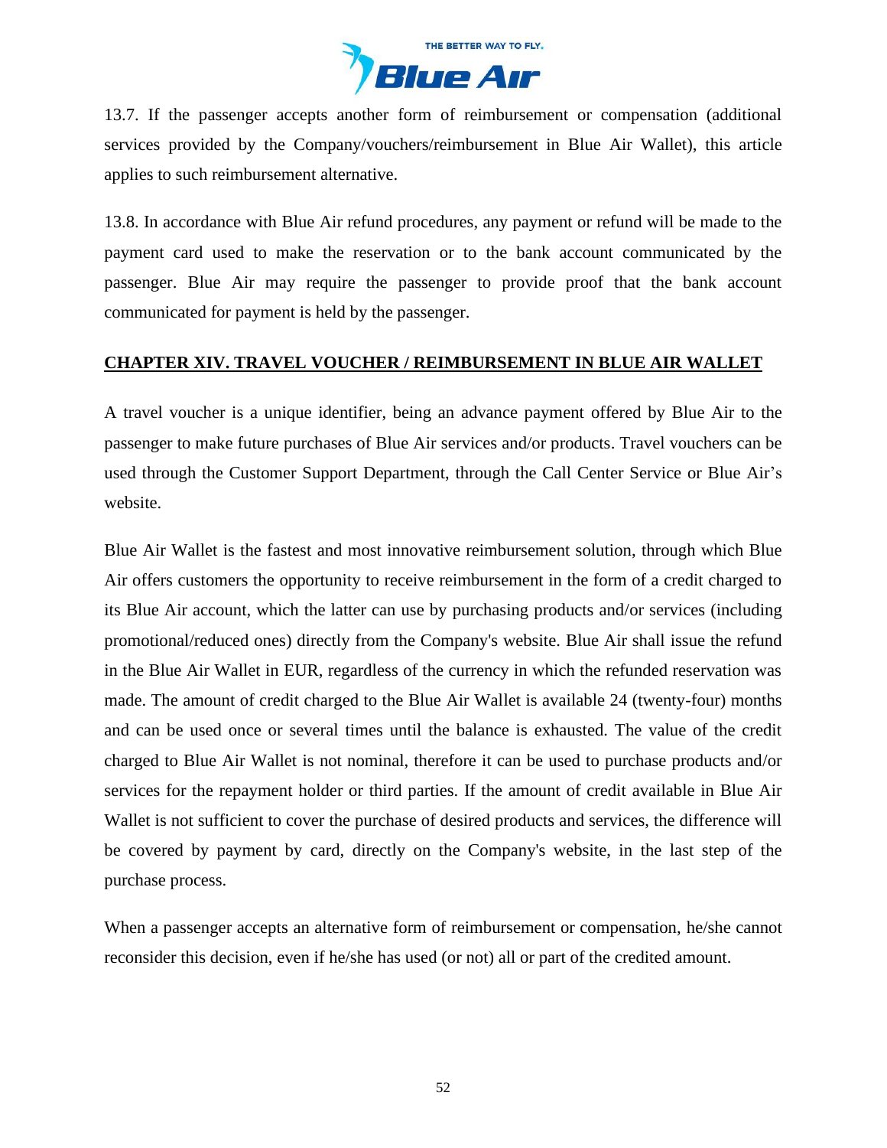

13.7. If the passenger accepts another form of reimbursement or compensation (additional services provided by the Company/vouchers/reimbursement in Blue Air Wallet), this article applies to such reimbursement alternative.

13.8. In accordance with Blue Air refund procedures, any payment or refund will be made to the payment card used to make the reservation or to the bank account communicated by the passenger. Blue Air may require the passenger to provide proof that the bank account communicated for payment is held by the passenger.

### <span id="page-51-0"></span>**CHAPTER XIV. TRAVEL VOUCHER / REIMBURSEMENT IN BLUE AIR WALLET**

A travel voucher is a unique identifier, being an advance payment offered by Blue Air to the passenger to make future purchases of Blue Air services and/or products. Travel vouchers can be used through the Customer Support Department, through the Call Center Service or Blue Air's website.

Blue Air Wallet is the fastest and most innovative reimbursement solution, through which Blue Air offers customers the opportunity to receive reimbursement in the form of a credit charged to its Blue Air account, which the latter can use by purchasing products and/or services (including promotional/reduced ones) directly from the Company's website. Blue Air shall issue the refund in the Blue Air Wallet in EUR, regardless of the currency in which the refunded reservation was made. The amount of credit charged to the Blue Air Wallet is available 24 (twenty-four) months and can be used once or several times until the balance is exhausted. The value of the credit charged to Blue Air Wallet is not nominal, therefore it can be used to purchase products and/or services for the repayment holder or third parties. If the amount of credit available in Blue Air Wallet is not sufficient to cover the purchase of desired products and services, the difference will be covered by payment by card, directly on the Company's website, in the last step of the purchase process.

When a passenger accepts an alternative form of reimbursement or compensation, he/she cannot reconsider this decision, even if he/she has used (or not) all or part of the credited amount.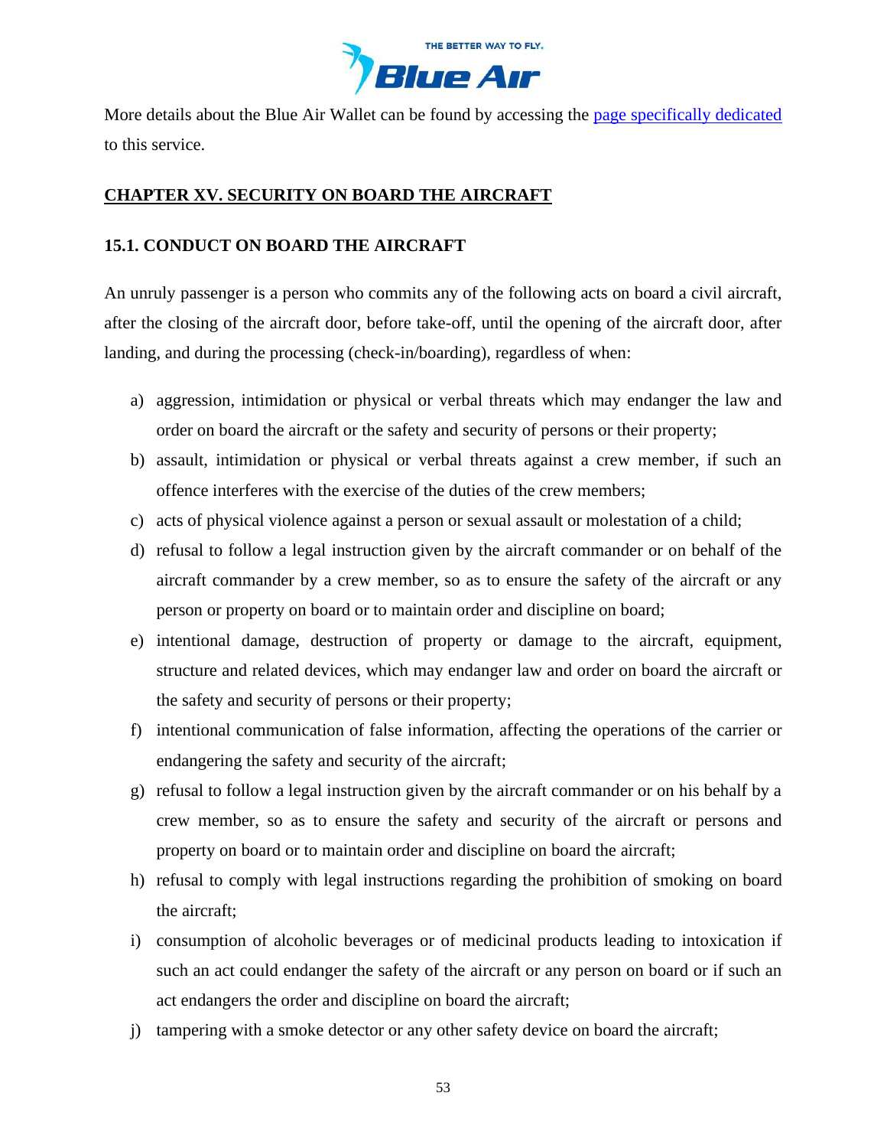

More details about the Blue Air Wallet can be found by accessing the [page specifically dedicated](https://www.flyblueair.com/en/gb/terms-and-conditions-blue-air-account-blue-wallet-wtv/) to this service.

# <span id="page-52-0"></span>**CHAPTER XV. SECURITY ON BOARD THE AIRCRAFT**

# **15.1. CONDUCT ON BOARD THE AIRCRAFT**

An unruly passenger is a person who commits any of the following acts on board a civil aircraft, after the closing of the aircraft door, before take-off, until the opening of the aircraft door, after landing, and during the processing (check-in/boarding), regardless of when:

- a) aggression, intimidation or physical or verbal threats which may endanger the law and order on board the aircraft or the safety and security of persons or their property;
- b) assault, intimidation or physical or verbal threats against a crew member, if such an offence interferes with the exercise of the duties of the crew members;
- c) acts of physical violence against a person or sexual assault or molestation of a child;
- d) refusal to follow a legal instruction given by the aircraft commander or on behalf of the aircraft commander by a crew member, so as to ensure the safety of the aircraft or any person or property on board or to maintain order and discipline on board;
- e) intentional damage, destruction of property or damage to the aircraft, equipment, structure and related devices, which may endanger law and order on board the aircraft or the safety and security of persons or their property;
- f) intentional communication of false information, affecting the operations of the carrier or endangering the safety and security of the aircraft;
- g) refusal to follow a legal instruction given by the aircraft commander or on his behalf by a crew member, so as to ensure the safety and security of the aircraft or persons and property on board or to maintain order and discipline on board the aircraft;
- h) refusal to comply with legal instructions regarding the prohibition of smoking on board the aircraft;
- i) consumption of alcoholic beverages or of medicinal products leading to intoxication if such an act could endanger the safety of the aircraft or any person on board or if such an act endangers the order and discipline on board the aircraft;
- j) tampering with a smoke detector or any other safety device on board the aircraft;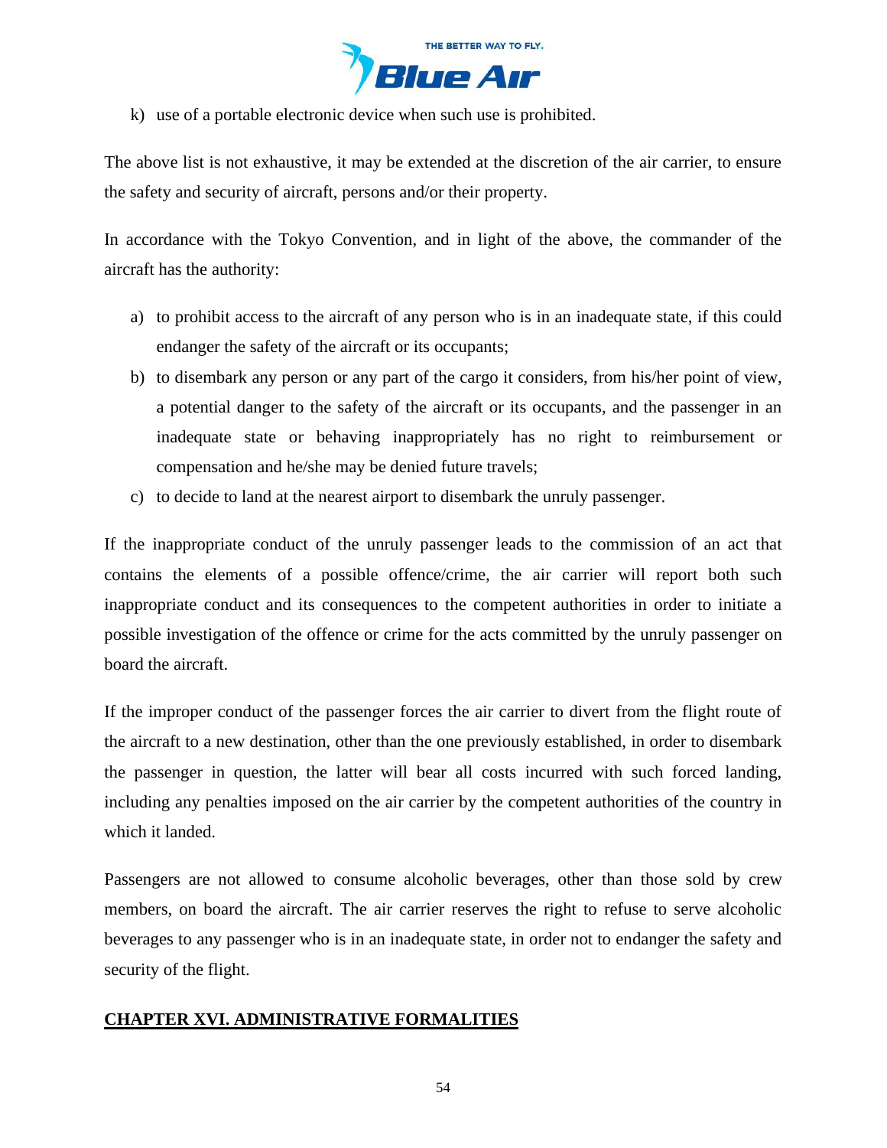

k) use of a portable electronic device when such use is prohibited.

The above list is not exhaustive, it may be extended at the discretion of the air carrier, to ensure the safety and security of aircraft, persons and/or their property.

In accordance with the Tokyo Convention, and in light of the above, the commander of the aircraft has the authority:

- a) to prohibit access to the aircraft of any person who is in an inadequate state, if this could endanger the safety of the aircraft or its occupants;
- b) to disembark any person or any part of the cargo it considers, from his/her point of view, a potential danger to the safety of the aircraft or its occupants, and the passenger in an inadequate state or behaving inappropriately has no right to reimbursement or compensation and he/she may be denied future travels;
- c) to decide to land at the nearest airport to disembark the unruly passenger.

If the inappropriate conduct of the unruly passenger leads to the commission of an act that contains the elements of a possible offence/crime, the air carrier will report both such inappropriate conduct and its consequences to the competent authorities in order to initiate a possible investigation of the offence or crime for the acts committed by the unruly passenger on board the aircraft.

If the improper conduct of the passenger forces the air carrier to divert from the flight route of the aircraft to a new destination, other than the one previously established, in order to disembark the passenger in question, the latter will bear all costs incurred with such forced landing, including any penalties imposed on the air carrier by the competent authorities of the country in which it landed.

Passengers are not allowed to consume alcoholic beverages, other than those sold by crew members, on board the aircraft. The air carrier reserves the right to refuse to serve alcoholic beverages to any passenger who is in an inadequate state, in order not to endanger the safety and security of the flight.

### <span id="page-53-0"></span>**CHAPTER XVI. ADMINISTRATIVE FORMALITIES**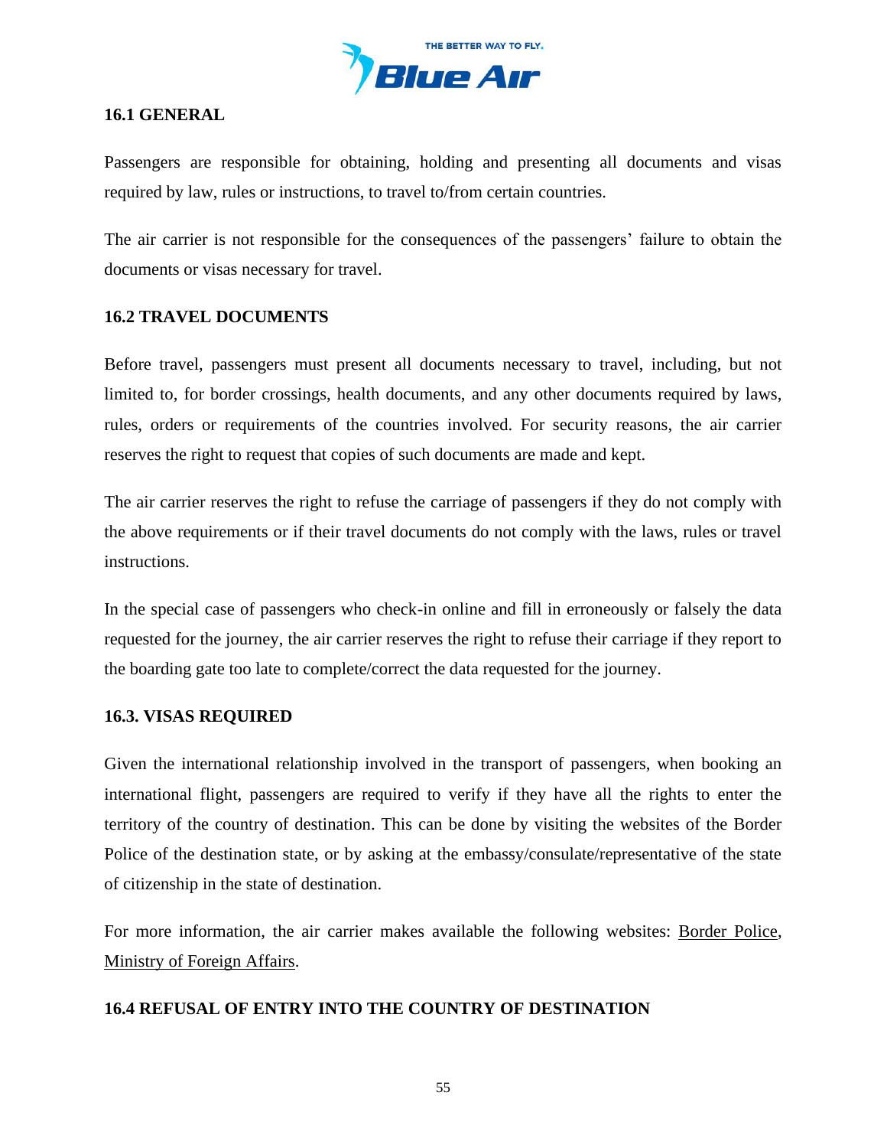

## **16.1 GENERAL**

Passengers are responsible for obtaining, holding and presenting all documents and visas required by law, rules or instructions, to travel to/from certain countries.

The air carrier is not responsible for the consequences of the passengers' failure to obtain the documents or visas necessary for travel.

## **16.2 TRAVEL DOCUMENTS**

Before travel, passengers must present all documents necessary to travel, including, but not limited to, for border crossings, health documents, and any other documents required by laws, rules, orders or requirements of the countries involved. For security reasons, the air carrier reserves the right to request that copies of such documents are made and kept.

The air carrier reserves the right to refuse the carriage of passengers if they do not comply with the above requirements or if their travel documents do not comply with the laws, rules or travel instructions.

In the special case of passengers who check-in online and fill in erroneously or falsely the data requested for the journey, the air carrier reserves the right to refuse their carriage if they report to the boarding gate too late to complete/correct the data requested for the journey.

### **16.3. VISAS REQUIRED**

Given the international relationship involved in the transport of passengers, when booking an international flight, passengers are required to verify if they have all the rights to enter the territory of the country of destination. This can be done by visiting the websites of the Border Police of the destination state, or by asking at the embassy/consulate/representative of the state of citizenship in the state of destination.

For more information, the air carrier makes available the following websites: [Border Police,](https://www.politiadefrontiera.ro/en/main/home.html) [Ministry of Foreign Affairs.](https://www.mae.ro/en)

### **16.4 REFUSAL OF ENTRY INTO THE COUNTRY OF DESTINATION**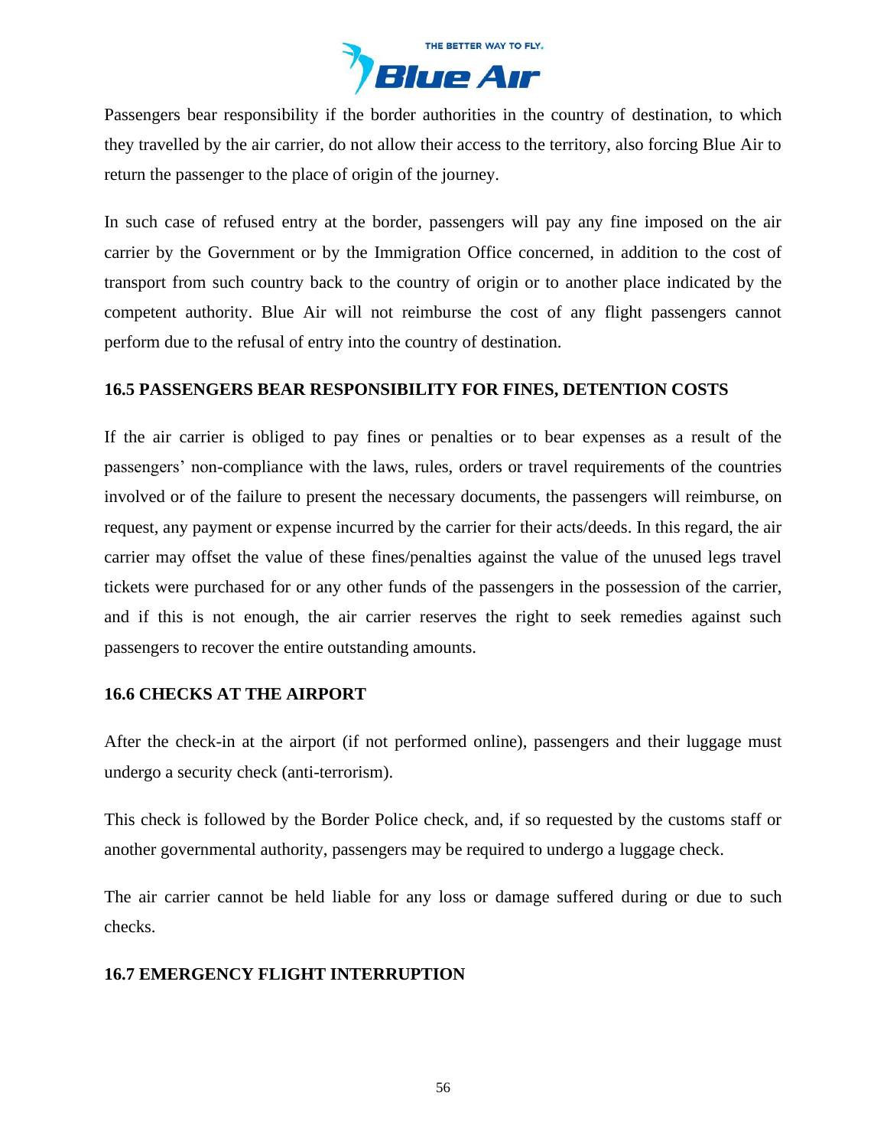

Passengers bear responsibility if the border authorities in the country of destination, to which they travelled by the air carrier, do not allow their access to the territory, also forcing Blue Air to return the passenger to the place of origin of the journey.

In such case of refused entry at the border, passengers will pay any fine imposed on the air carrier by the Government or by the Immigration Office concerned, in addition to the cost of transport from such country back to the country of origin or to another place indicated by the competent authority. Blue Air will not reimburse the cost of any flight passengers cannot perform due to the refusal of entry into the country of destination.

### **16.5 PASSENGERS BEAR RESPONSIBILITY FOR FINES, DETENTION COSTS**

If the air carrier is obliged to pay fines or penalties or to bear expenses as a result of the passengers' non-compliance with the laws, rules, orders or travel requirements of the countries involved or of the failure to present the necessary documents, the passengers will reimburse, on request, any payment or expense incurred by the carrier for their acts/deeds. In this regard, the air carrier may offset the value of these fines/penalties against the value of the unused legs travel tickets were purchased for or any other funds of the passengers in the possession of the carrier, and if this is not enough, the air carrier reserves the right to seek remedies against such passengers to recover the entire outstanding amounts.

# **16.6 CHECKS AT THE AIRPORT**

After the check-in at the airport (if not performed online), passengers and their luggage must undergo a security check (anti-terrorism).

This check is followed by the Border Police check, and, if so requested by the customs staff or another governmental authority, passengers may be required to undergo a luggage check.

The air carrier cannot be held liable for any loss or damage suffered during or due to such checks.

# **16.7 EMERGENCY FLIGHT INTERRUPTION**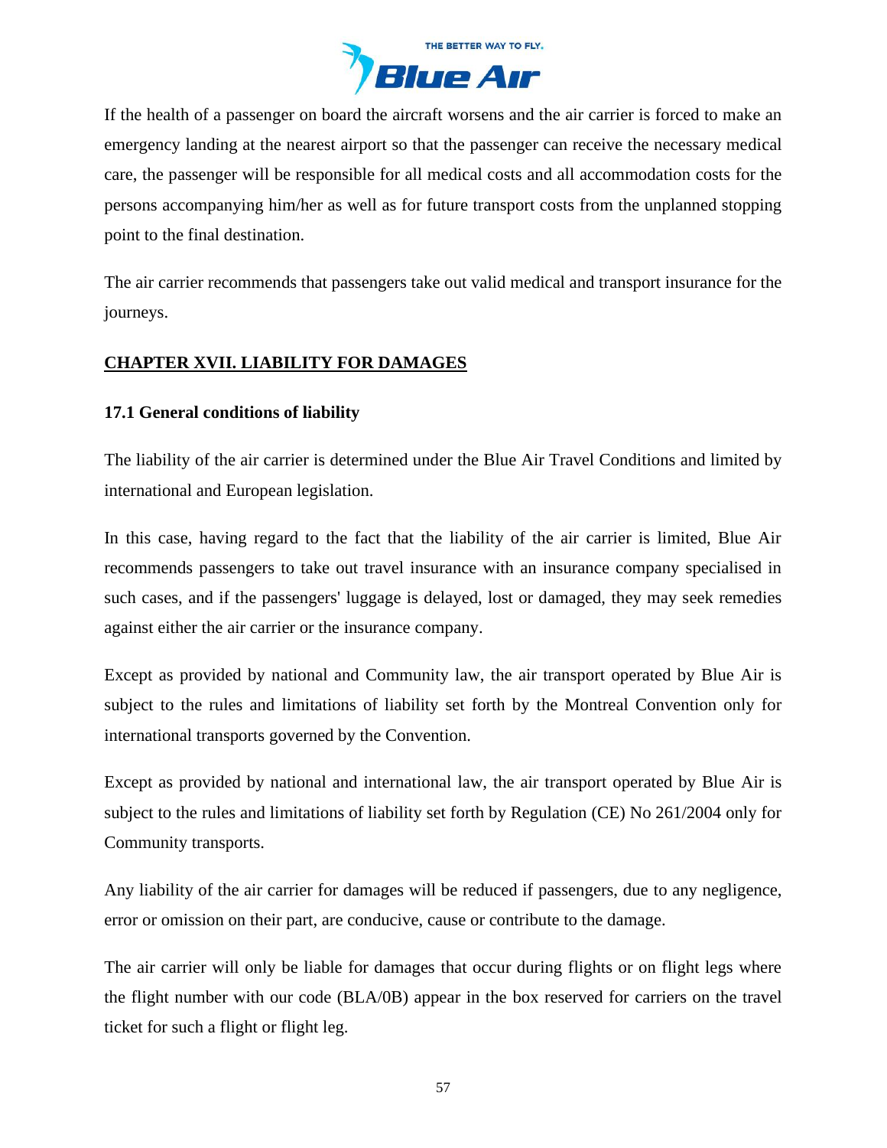

If the health of a passenger on board the aircraft worsens and the air carrier is forced to make an emergency landing at the nearest airport so that the passenger can receive the necessary medical care, the passenger will be responsible for all medical costs and all accommodation costs for the persons accompanying him/her as well as for future transport costs from the unplanned stopping point to the final destination.

The air carrier recommends that passengers take out valid medical and transport insurance for the journeys.

# <span id="page-56-0"></span>**CHAPTER XVII. LIABILITY FOR DAMAGES**

## **17.1 General conditions of liability**

The liability of the air carrier is determined under the Blue Air Travel Conditions and limited by international and European legislation.

In this case, having regard to the fact that the liability of the air carrier is limited, Blue Air recommends passengers to take out travel insurance with an insurance company specialised in such cases, and if the passengers' luggage is delayed, lost or damaged, they may seek remedies against either the air carrier or the insurance company.

Except as provided by national and Community law, the air transport operated by Blue Air is subject to the rules and limitations of liability set forth by the Montreal Convention only for international transports governed by the Convention.

Except as provided by national and international law, the air transport operated by Blue Air is subject to the rules and limitations of liability set forth by Regulation (CE) No 261/2004 only for Community transports.

Any liability of the air carrier for damages will be reduced if passengers, due to any negligence, error or omission on their part, are conducive, cause or contribute to the damage.

The air carrier will only be liable for damages that occur during flights or on flight legs where the flight number with our code (BLA/0B) appear in the box reserved for carriers on the travel ticket for such a flight or flight leg.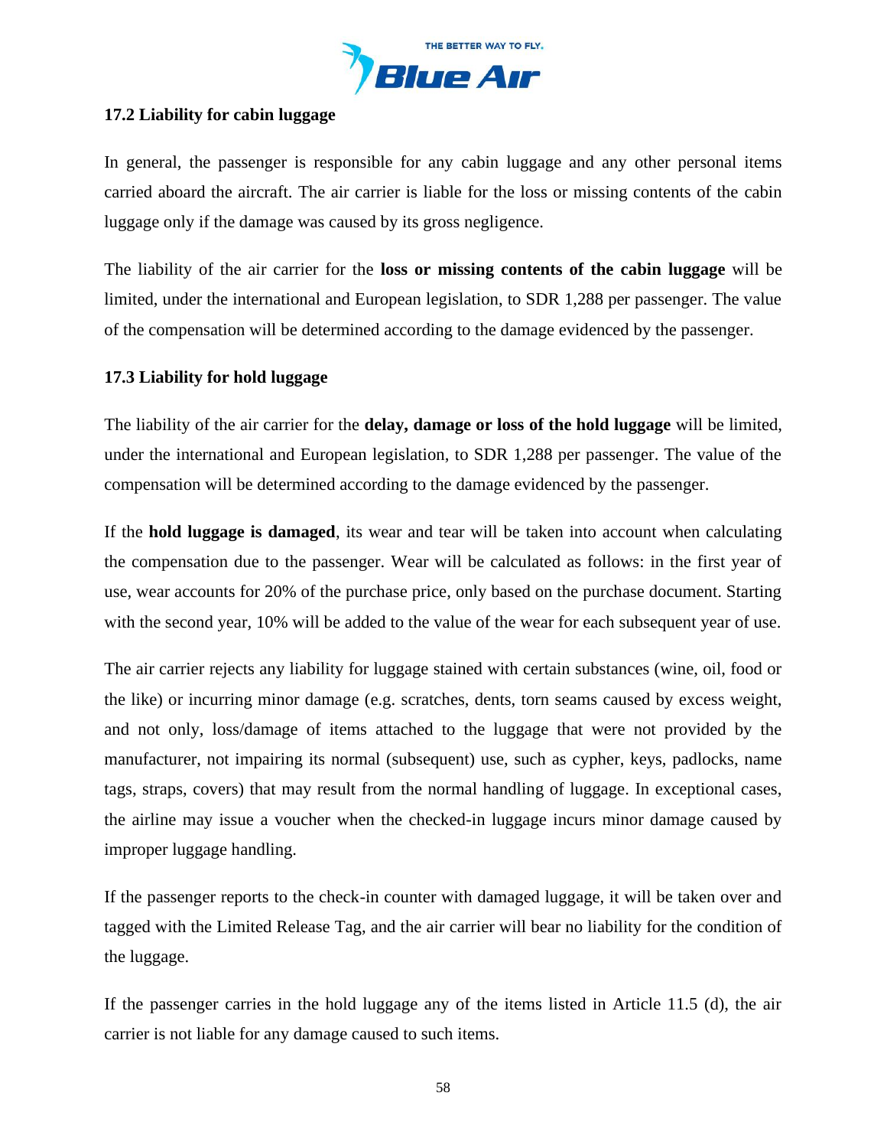

## **17.2 Liability for cabin luggage**

In general, the passenger is responsible for any cabin luggage and any other personal items carried aboard the aircraft. The air carrier is liable for the loss or missing contents of the cabin luggage only if the damage was caused by its gross negligence.

The liability of the air carrier for the **loss or missing contents of the cabin luggage** will be limited, under the international and European legislation, to SDR 1,288 per passenger. The value of the compensation will be determined according to the damage evidenced by the passenger.

### **17.3 Liability for hold luggage**

The liability of the air carrier for the **delay, damage or loss of the hold luggage** will be limited, under the international and European legislation, to SDR 1,288 per passenger. The value of the compensation will be determined according to the damage evidenced by the passenger.

If the **hold luggage is damaged**, its wear and tear will be taken into account when calculating the compensation due to the passenger. Wear will be calculated as follows: in the first year of use, wear accounts for 20% of the purchase price, only based on the purchase document. Starting with the second year, 10% will be added to the value of the wear for each subsequent year of use.

The air carrier rejects any liability for luggage stained with certain substances (wine, oil, food or the like) or incurring minor damage (e.g. scratches, dents, torn seams caused by excess weight, and not only, loss/damage of items attached to the luggage that were not provided by the manufacturer, not impairing its normal (subsequent) use, such as cypher, keys, padlocks, name tags, straps, covers) that may result from the normal handling of luggage. In exceptional cases, the airline may issue a voucher when the checked-in luggage incurs minor damage caused by improper luggage handling.

If the passenger reports to the check-in counter with damaged luggage, it will be taken over and tagged with the Limited Release Tag, and the air carrier will bear no liability for the condition of the luggage.

If the passenger carries in the hold luggage any of the items listed in Article 11.5 (d), the air carrier is not liable for any damage caused to such items.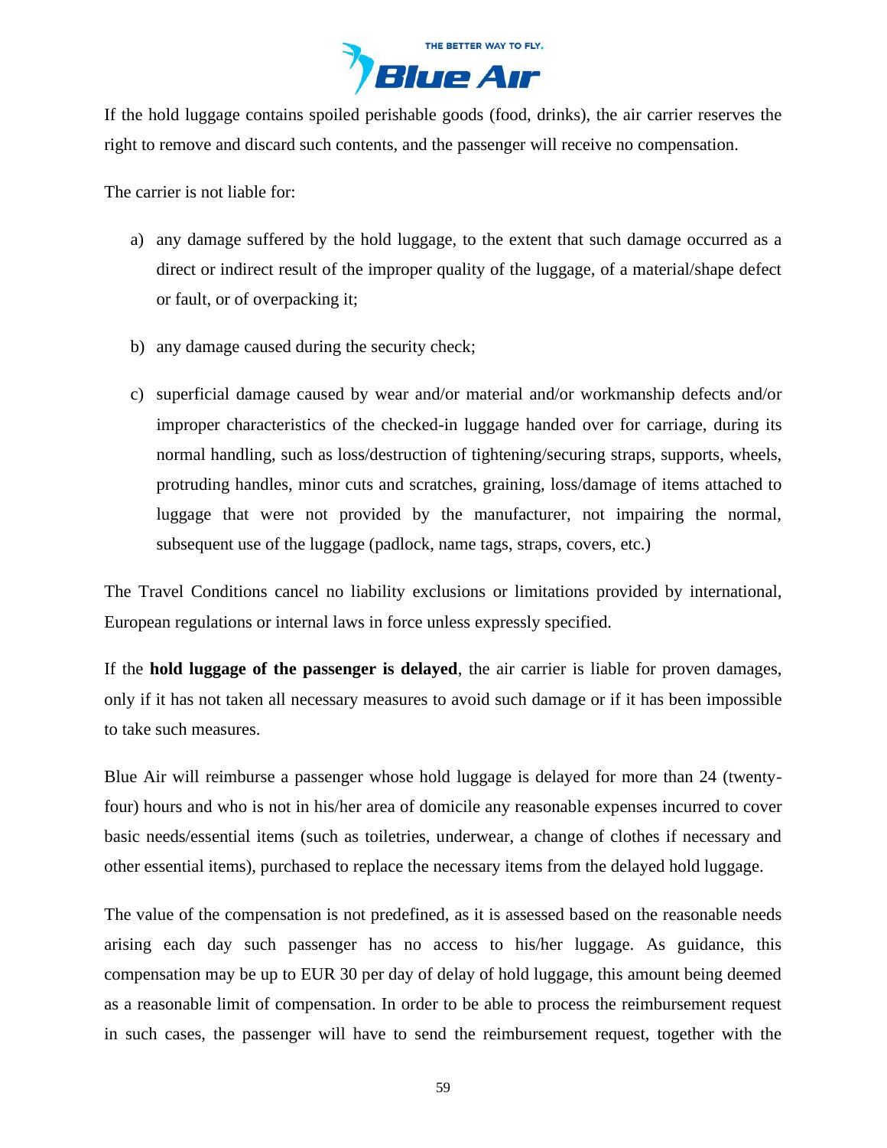

If the hold luggage contains spoiled perishable goods (food, drinks), the air carrier reserves the right to remove and discard such contents, and the passenger will receive no compensation.

The carrier is not liable for:

- a) any damage suffered by the hold luggage, to the extent that such damage occurred as a direct or indirect result of the improper quality of the luggage, of a material/shape defect or fault, or of overpacking it;
- b) any damage caused during the security check;
- c) superficial damage caused by wear and/or material and/or workmanship defects and/or improper characteristics of the checked-in luggage handed over for carriage, during its normal handling, such as loss/destruction of tightening/securing straps, supports, wheels, protruding handles, minor cuts and scratches, graining, loss/damage of items attached to luggage that were not provided by the manufacturer, not impairing the normal, subsequent use of the luggage (padlock, name tags, straps, covers, etc.)

The Travel Conditions cancel no liability exclusions or limitations provided by international, European regulations or internal laws in force unless expressly specified.

If the **hold luggage of the passenger is delayed**, the air carrier is liable for proven damages, only if it has not taken all necessary measures to avoid such damage or if it has been impossible to take such measures.

Blue Air will reimburse a passenger whose hold luggage is delayed for more than 24 (twentyfour) hours and who is not in his/her area of domicile any reasonable expenses incurred to cover basic needs/essential items (such as toiletries, underwear, a change of clothes if necessary and other essential items), purchased to replace the necessary items from the delayed hold luggage.

The value of the compensation is not predefined, as it is assessed based on the reasonable needs arising each day such passenger has no access to his/her luggage. As guidance, this compensation may be up to EUR 30 per day of delay of hold luggage, this amount being deemed as a reasonable limit of compensation. In order to be able to process the reimbursement request in such cases, the passenger will have to send the reimbursement request, together with the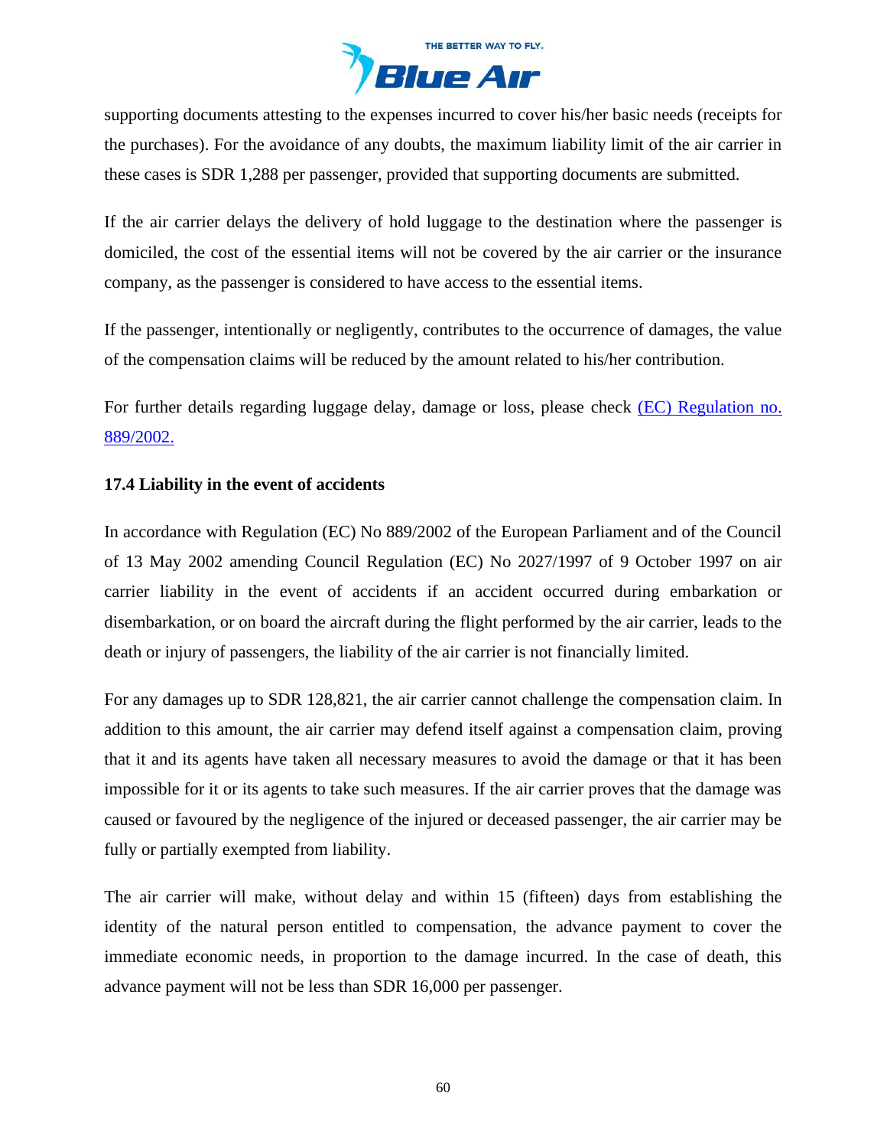

supporting documents attesting to the expenses incurred to cover his/her basic needs (receipts for the purchases). For the avoidance of any doubts, the maximum liability limit of the air carrier in these cases is SDR 1,288 per passenger, provided that supporting documents are submitted.

If the air carrier delays the delivery of hold luggage to the destination where the passenger is domiciled, the cost of the essential items will not be covered by the air carrier or the insurance company, as the passenger is considered to have access to the essential items.

If the passenger, intentionally or negligently, contributes to the occurrence of damages, the value of the compensation claims will be reduced by the amount related to his/her contribution.

For further details regarding luggage delay, damage or loss, please check [\(EC\) Regulation no.](https://eur-lex.europa.eu/legal-content/EN/TXT/?uri=celex%3A32002R0889)  [889/2002.](https://eur-lex.europa.eu/legal-content/EN/TXT/?uri=celex%3A32002R0889)

### **17.4 Liability in the event of accidents**

In accordance with Regulation (EC) No 889/2002 of the European Parliament and of the Council of 13 May 2002 amending Council Regulation (EC) No 2027/1997 of 9 October 1997 on air carrier liability in the event of accidents if an accident occurred during embarkation or disembarkation, or on board the aircraft during the flight performed by the air carrier, leads to the death or injury of passengers, the liability of the air carrier is not financially limited.

For any damages up to SDR 128,821, the air carrier cannot challenge the compensation claim. In addition to this amount, the air carrier may defend itself against a compensation claim, proving that it and its agents have taken all necessary measures to avoid the damage or that it has been impossible for it or its agents to take such measures. If the air carrier proves that the damage was caused or favoured by the negligence of the injured or deceased passenger, the air carrier may be fully or partially exempted from liability.

The air carrier will make, without delay and within 15 (fifteen) days from establishing the identity of the natural person entitled to compensation, the advance payment to cover the immediate economic needs, in proportion to the damage incurred. In the case of death, this advance payment will not be less than SDR 16,000 per passenger.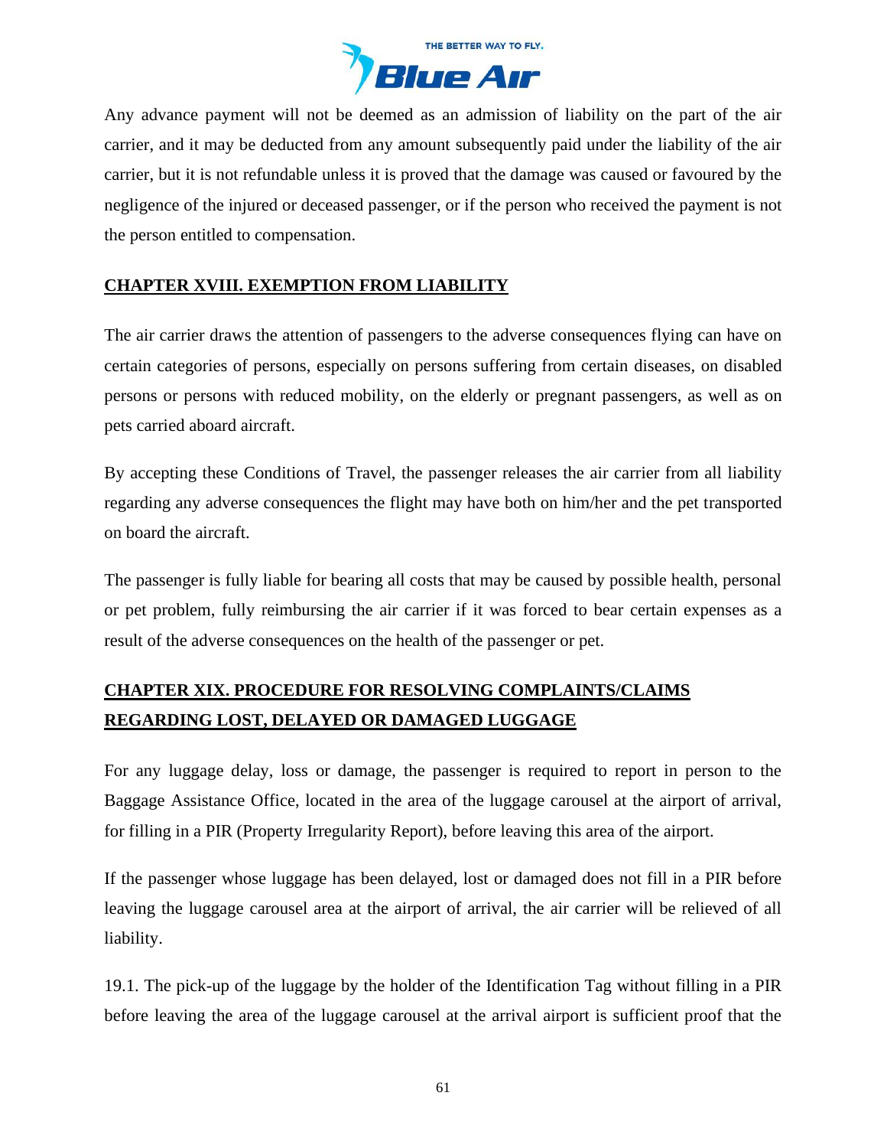

Any advance payment will not be deemed as an admission of liability on the part of the air carrier, and it may be deducted from any amount subsequently paid under the liability of the air carrier, but it is not refundable unless it is proved that the damage was caused or favoured by the negligence of the injured or deceased passenger, or if the person who received the payment is not the person entitled to compensation.

## <span id="page-60-0"></span>**CHAPTER XVIII. EXEMPTION FROM LIABILITY**

The air carrier draws the attention of passengers to the adverse consequences flying can have on certain categories of persons, especially on persons suffering from certain diseases, on disabled persons or persons with reduced mobility, on the elderly or pregnant passengers, as well as on pets carried aboard aircraft.

By accepting these Conditions of Travel, the passenger releases the air carrier from all liability regarding any adverse consequences the flight may have both on him/her and the pet transported on board the aircraft.

The passenger is fully liable for bearing all costs that may be caused by possible health, personal or pet problem, fully reimbursing the air carrier if it was forced to bear certain expenses as a result of the adverse consequences on the health of the passenger or pet.

# <span id="page-60-1"></span>**CHAPTER XIX. PROCEDURE FOR RESOLVING COMPLAINTS/CLAIMS REGARDING LOST, DELAYED OR DAMAGED LUGGAGE**

For any luggage delay, loss or damage, the passenger is required to report in person to the Baggage Assistance Office, located in the area of the luggage carousel at the airport of arrival, for filling in a PIR (Property Irregularity Report), before leaving this area of the airport.

If the passenger whose luggage has been delayed, lost or damaged does not fill in a PIR before leaving the luggage carousel area at the airport of arrival, the air carrier will be relieved of all liability.

19.1. The pick-up of the luggage by the holder of the Identification Tag without filling in a PIR before leaving the area of the luggage carousel at the arrival airport is sufficient proof that the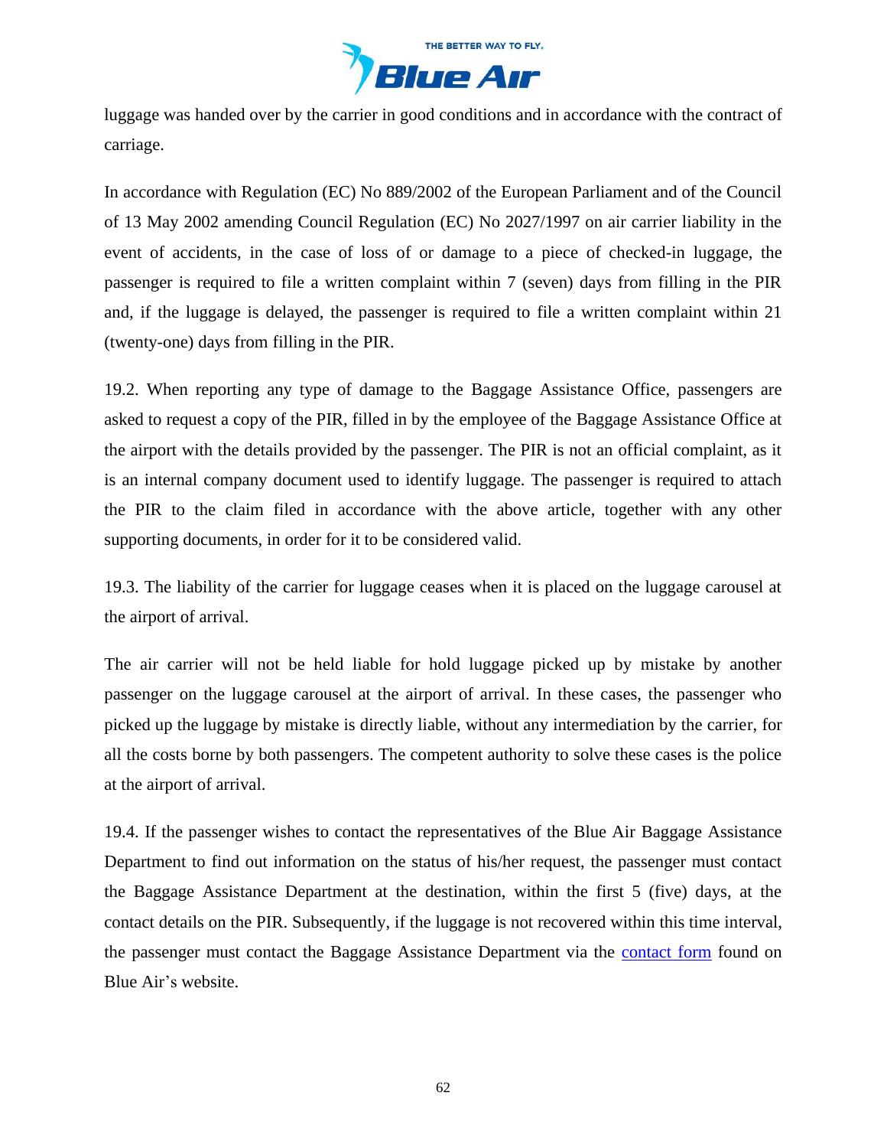

luggage was handed over by the carrier in good conditions and in accordance with the contract of carriage.

In accordance with Regulation (EC) No 889/2002 of the European Parliament and of the Council of 13 May 2002 amending Council Regulation (EC) No 2027/1997 on air carrier liability in the event of accidents, in the case of loss of or damage to a piece of checked-in luggage, the passenger is required to file a written complaint within 7 (seven) days from filling in the PIR and, if the luggage is delayed, the passenger is required to file a written complaint within 21 (twenty-one) days from filling in the PIR.

19.2. When reporting any type of damage to the Baggage Assistance Office, passengers are asked to request a copy of the PIR, filled in by the employee of the Baggage Assistance Office at the airport with the details provided by the passenger. The PIR is not an official complaint, as it is an internal company document used to identify luggage. The passenger is required to attach the PIR to the claim filed in accordance with the above article, together with any other supporting documents, in order for it to be considered valid.

19.3. The liability of the carrier for luggage ceases when it is placed on the luggage carousel at the airport of arrival.

The air carrier will not be held liable for hold luggage picked up by mistake by another passenger on the luggage carousel at the airport of arrival. In these cases, the passenger who picked up the luggage by mistake is directly liable, without any intermediation by the carrier, for all the costs borne by both passengers. The competent authority to solve these cases is the police at the airport of arrival.

19.4. If the passenger wishes to contact the representatives of the Blue Air Baggage Assistance Department to find out information on the status of his/her request, the passenger must contact the Baggage Assistance Department at the destination, within the first 5 (five) days, at the contact details on the PIR. Subsequently, if the luggage is not recovered within this time interval, the passenger must contact the Baggage Assistance Department via the [contact form](https://www.flyblueair.com/en/gb/contact/) found on Blue Air's website.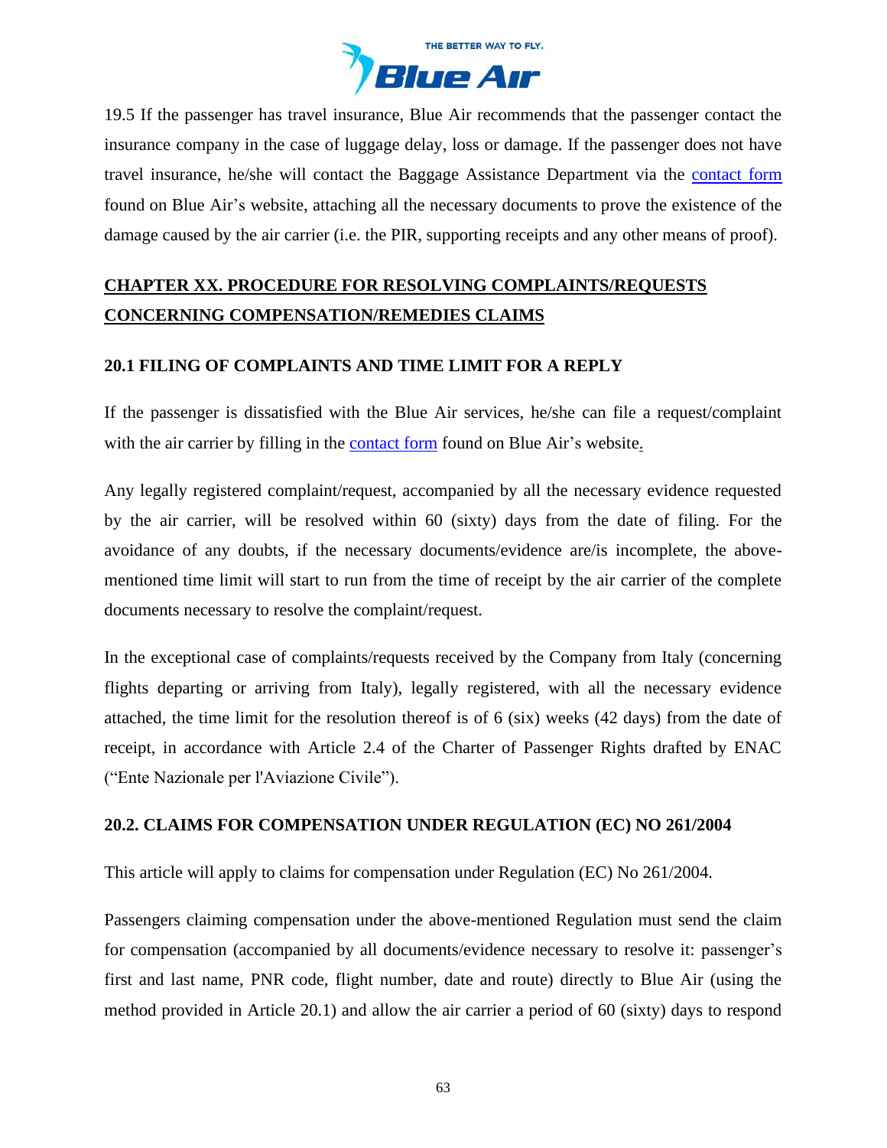

19.5 If the passenger has travel insurance, Blue Air recommends that the passenger contact the insurance company in the case of luggage delay, loss or damage. If the passenger does not have travel insurance, he/she will contact the Baggage Assistance Department via the [contact form](https://www.flyblueair.com/en/gb/contact/) found on Blue Air's website, attaching all the necessary documents to prove the existence of the damage caused by the air carrier (i.e. the PIR, supporting receipts and any other means of proof).

# <span id="page-62-0"></span>**CHAPTER XX. PROCEDURE FOR RESOLVING COMPLAINTS/REQUESTS CONCERNING COMPENSATION/REMEDIES CLAIMS**

# **20.1 FILING OF COMPLAINTS AND TIME LIMIT FOR A REPLY**

If the passenger is dissatisfied with the Blue Air services, he/she can file a request/complaint with the air carrier by filling in the [contact form](https://www.flyblueair.com/en/gb/contact/) found on Blue Air's website.

Any legally registered complaint/request, accompanied by all the necessary evidence requested by the air carrier, will be resolved within 60 (sixty) days from the date of filing. For the avoidance of any doubts, if the necessary documents/evidence are/is incomplete, the abovementioned time limit will start to run from the time of receipt by the air carrier of the complete documents necessary to resolve the complaint/request.

In the exceptional case of complaints/requests received by the Company from Italy (concerning flights departing or arriving from Italy), legally registered, with all the necessary evidence attached, the time limit for the resolution thereof is of 6 (six) weeks (42 days) from the date of receipt, in accordance with Article 2.4 of the Charter of Passenger Rights drafted by ENAC ("Ente Nazionale per l'Aviazione Civile").

# **20.2. CLAIMS FOR COMPENSATION UNDER REGULATION (EC) NO 261/2004**

This article will apply to claims for compensation under Regulation (EC) No 261/2004.

Passengers claiming compensation under the above-mentioned Regulation must send the claim for compensation (accompanied by all documents/evidence necessary to resolve it: passenger's first and last name, PNR code, flight number, date and route) directly to Blue Air (using the method provided in Article 20.1) and allow the air carrier a period of 60 (sixty) days to respond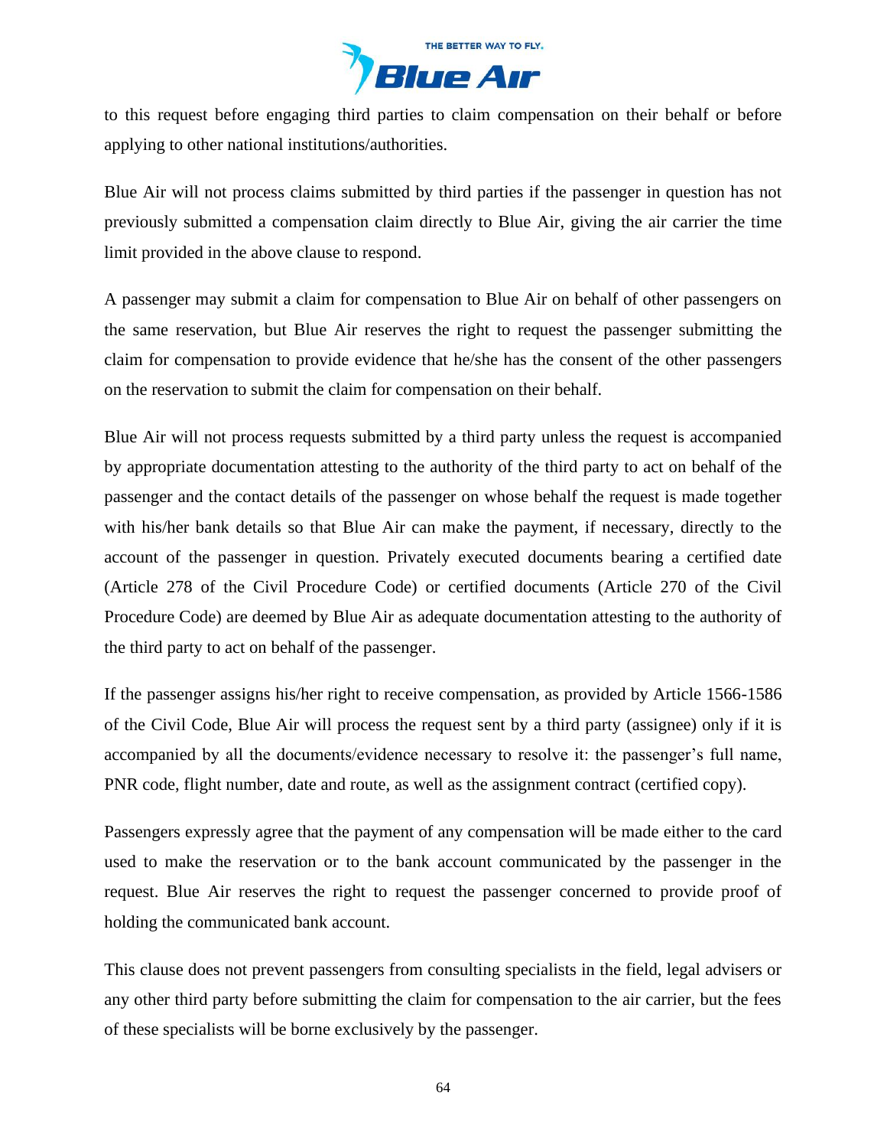

to this request before engaging third parties to claim compensation on their behalf or before applying to other national institutions/authorities.

Blue Air will not process claims submitted by third parties if the passenger in question has not previously submitted a compensation claim directly to Blue Air, giving the air carrier the time limit provided in the above clause to respond.

A passenger may submit a claim for compensation to Blue Air on behalf of other passengers on the same reservation, but Blue Air reserves the right to request the passenger submitting the claim for compensation to provide evidence that he/she has the consent of the other passengers on the reservation to submit the claim for compensation on their behalf.

Blue Air will not process requests submitted by a third party unless the request is accompanied by appropriate documentation attesting to the authority of the third party to act on behalf of the passenger and the contact details of the passenger on whose behalf the request is made together with his/her bank details so that Blue Air can make the payment, if necessary, directly to the account of the passenger in question. Privately executed documents bearing a certified date (Article 278 of the Civil Procedure Code) or certified documents (Article 270 of the Civil Procedure Code) are deemed by Blue Air as adequate documentation attesting to the authority of the third party to act on behalf of the passenger.

If the passenger assigns his/her right to receive compensation, as provided by Article 1566-1586 of the Civil Code, Blue Air will process the request sent by a third party (assignee) only if it is accompanied by all the documents/evidence necessary to resolve it: the passenger's full name, PNR code, flight number, date and route, as well as the assignment contract (certified copy).

Passengers expressly agree that the payment of any compensation will be made either to the card used to make the reservation or to the bank account communicated by the passenger in the request. Blue Air reserves the right to request the passenger concerned to provide proof of holding the communicated bank account.

This clause does not prevent passengers from consulting specialists in the field, legal advisers or any other third party before submitting the claim for compensation to the air carrier, but the fees of these specialists will be borne exclusively by the passenger.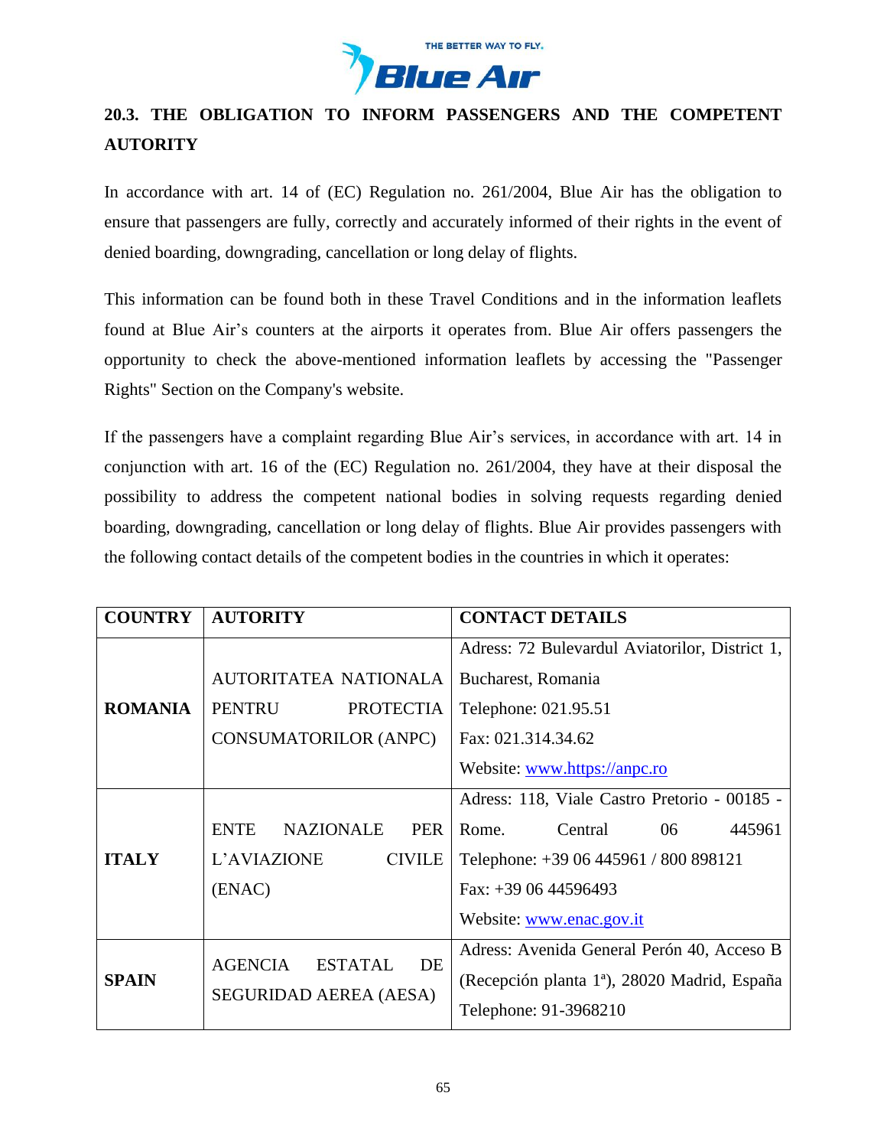

# **20.3. THE OBLIGATION TO INFORM PASSENGERS AND THE COMPETENT AUTORITY**

In accordance with art. 14 of (EC) Regulation no. 261/2004, Blue Air has the obligation to ensure that passengers are fully, correctly and accurately informed of their rights in the event of denied boarding, downgrading, cancellation or long delay of flights.

This information can be found both in these Travel Conditions and in the information leaflets found at Blue Air's counters at the airports it operates from. Blue Air offers passengers the opportunity to check the above-mentioned information leaflets by accessing the "Passenger Rights" Section on the Company's website.

If the passengers have a complaint regarding Blue Air's services, in accordance with art. 14 in conjunction with art. 16 of the (EC) Regulation no. 261/2004, they have at their disposal the possibility to address the competent national bodies in solving requests regarding denied boarding, downgrading, cancellation or long delay of flights. Blue Air provides passengers with the following contact details of the competent bodies in the countries in which it operates:

| <b>COUNTRY</b> | <b>AUTORITY</b>                               | <b>CONTACT DETAILS</b>                                   |  |
|----------------|-----------------------------------------------|----------------------------------------------------------|--|
|                |                                               | Adress: 72 Bulevardul Aviatorilor, District 1,           |  |
| <b>ROMANIA</b> | <b>AUTORITATEA NATIONALA</b>                  | Bucharest, Romania                                       |  |
|                | <b>PENTRU</b><br><b>PROTECTIA</b>             | Telephone: 021.95.51                                     |  |
|                | <b>CONSUMATORILOR (ANPC)</b>                  | Fax: 021.314.34.62                                       |  |
|                |                                               | Website: www.https://anpc.ro                             |  |
| <b>ITALY</b>   |                                               | Adress: 118, Viale Castro Pretorio - 00185 -             |  |
|                | <b>ENTE</b><br><b>NAZIONALE</b><br><b>PER</b> | 445961<br>Central<br>Rome.<br>06                         |  |
|                | L'AVIAZIONE<br><b>CIVILE</b>                  | Telephone: +39 06 445961 / 800 898121                    |  |
|                | (ENAC)                                        | Fax: $+390644596493$                                     |  |
|                |                                               | Website: www.enac.gov.it                                 |  |
| <b>SPAIN</b>   | <b>AGENCIA</b><br><b>ESTATAL</b><br>DE        | Adress: Avenida General Perón 40, Acceso B               |  |
|                |                                               | (Recepción planta 1 <sup>ª</sup> ), 28020 Madrid, España |  |
|                | SEGURIDAD AEREA (AESA)                        | Telephone: 91-3968210                                    |  |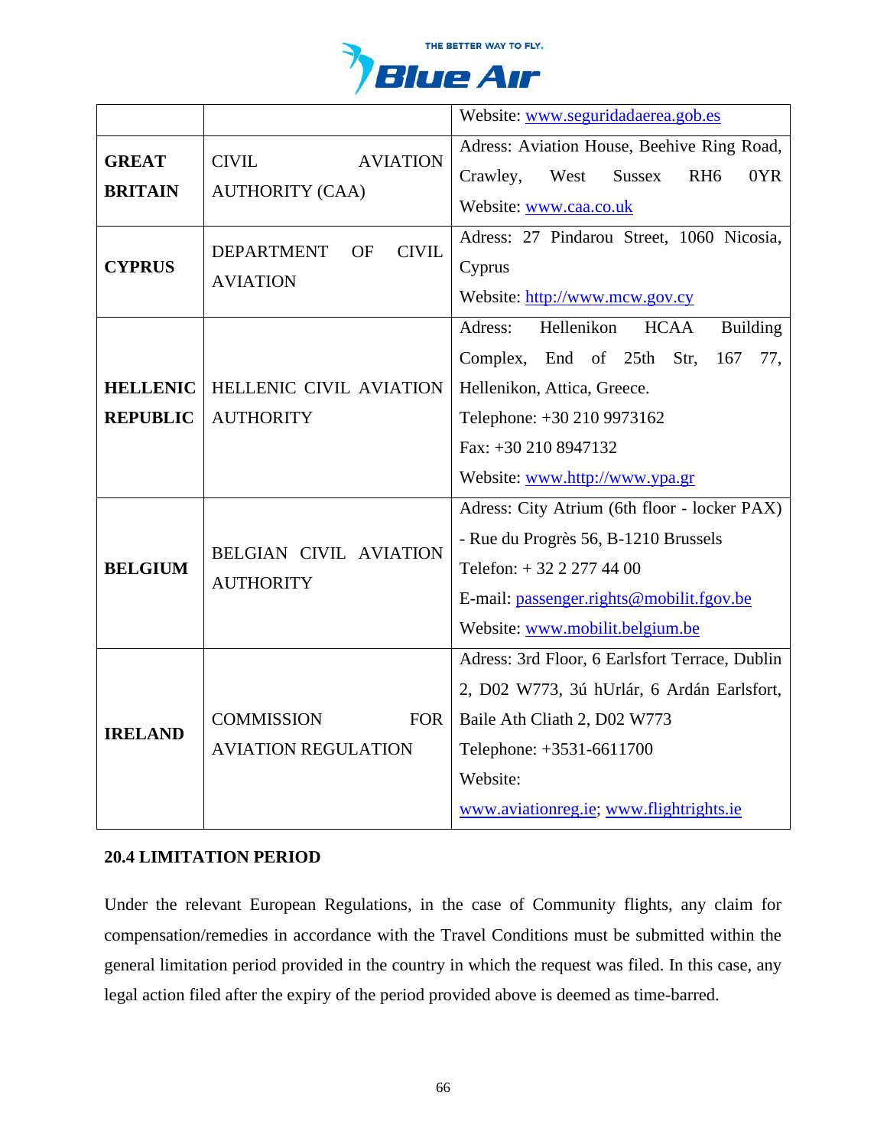

|                                    |                                                               | Website: www.seguridadaerea.gob.es                                                                                                                                                                                        |
|------------------------------------|---------------------------------------------------------------|---------------------------------------------------------------------------------------------------------------------------------------------------------------------------------------------------------------------------|
| <b>GREAT</b><br><b>BRITAIN</b>     | <b>AVIATION</b><br><b>CIVIL</b><br><b>AUTHORITY (CAA)</b>     | Adress: Aviation House, Beehive Ring Road,<br>Sussex<br>RH <sub>6</sub><br>0YR<br>Crawley,<br>West<br>Website: www.caa.co.uk                                                                                              |
| <b>CYPRUS</b>                      | <b>DEPARTMENT</b><br><b>CIVIL</b><br>OF<br><b>AVIATION</b>    | Adress: 27 Pindarou Street, 1060 Nicosia,<br>Cyprus<br>Website: http://www.mcw.gov.cy                                                                                                                                     |
| <b>HELLENIC</b><br><b>REPUBLIC</b> | HELLENIC CIVIL AVIATION<br><b>AUTHORITY</b>                   | Hellenikon<br>Adress:<br><b>Building</b><br><b>HCAA</b><br>Complex, End of 25th Str,<br>167<br>77,<br>Hellenikon, Attica, Greece.<br>Telephone: +30 210 9973162<br>Fax: +30 210 8947132<br>Website: www.http://www.ypa.gr |
| <b>BELGIUM</b>                     | <b>BELGIAN CIVIL AVIATION</b><br><b>AUTHORITY</b>             | Adress: City Atrium (6th floor - locker PAX)<br>- Rue du Progrès 56, B-1210 Brussels<br>Telefon: +32 2 277 44 00<br>E-mail: passenger.rights@mobilit.fgov.be<br>Website: www.mobilit.belgium.be                           |
| <b>IRELAND</b>                     | <b>COMMISSION</b><br><b>FOR</b><br><b>AVIATION REGULATION</b> | Adress: 3rd Floor, 6 Earlsfort Terrace, Dublin<br>2, D02 W773, 3ú hUrlár, 6 Ardán Earlsfort,<br>Baile Ath Cliath 2, D02 W773<br>Telephone: +3531-6611700<br>Website:<br>www.aviationreg.ie; www.flightrights.ie           |

# **20.4 LIMITATION PERIOD**

Under the relevant European Regulations, in the case of Community flights, any claim for compensation/remedies in accordance with the Travel Conditions must be submitted within the general limitation period provided in the country in which the request was filed. In this case, any legal action filed after the expiry of the period provided above is deemed as time-barred.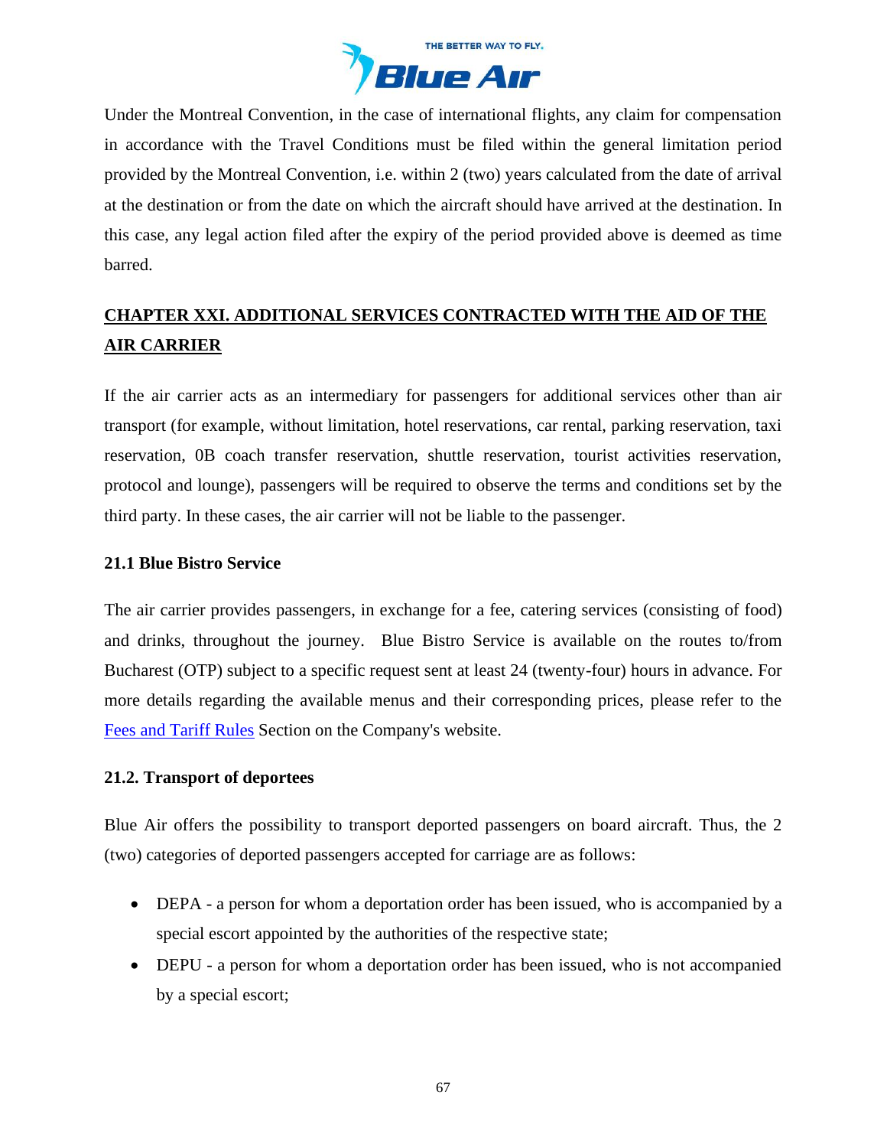

Under the Montreal Convention, in the case of international flights, any claim for compensation in accordance with the Travel Conditions must be filed within the general limitation period provided by the Montreal Convention, i.e. within 2 (two) years calculated from the date of arrival at the destination or from the date on which the aircraft should have arrived at the destination. In this case, any legal action filed after the expiry of the period provided above is deemed as time barred.

# <span id="page-66-0"></span>**CHAPTER XXI. ADDITIONAL SERVICES CONTRACTED WITH THE AID OF THE AIR CARRIER**

If the air carrier acts as an intermediary for passengers for additional services other than air transport (for example, without limitation, hotel reservations, car rental, parking reservation, taxi reservation, 0B coach transfer reservation, shuttle reservation, tourist activities reservation, protocol and lounge), passengers will be required to observe the terms and conditions set by the third party. In these cases, the air carrier will not be liable to the passenger.

## **21.1 Blue Bistro Service**

The air carrier provides passengers, in exchange for a fee, catering services (consisting of food) and drinks, throughout the journey. Blue Bistro Service is available on the routes to/from Bucharest (OTP) subject to a specific request sent at least 24 (twenty-four) hours in advance. For more details regarding the available menus and their corresponding prices, please refer to the [Fees and Tariff](https://www.flyblueair.com/en/gb/fees-and-tariff-rules/) Rules Section on the Company's website.

### **21.2. Transport of deportees**

Blue Air offers the possibility to transport deported passengers on board aircraft. Thus, the 2 (two) categories of deported passengers accepted for carriage are as follows:

- DEPA a person for whom a deportation order has been issued, who is accompanied by a special escort appointed by the authorities of the respective state;
- DEPU a person for whom a deportation order has been issued, who is not accompanied by a special escort;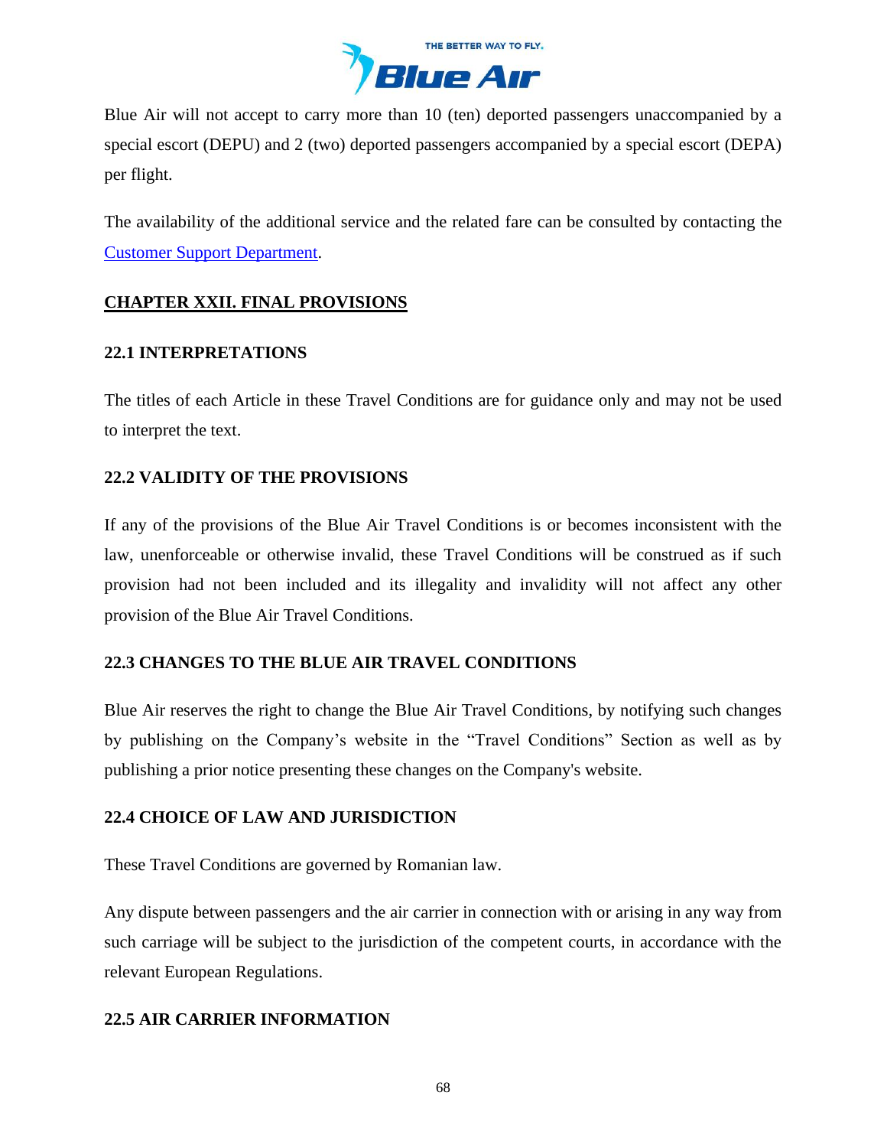

Blue Air will not accept to carry more than 10 (ten) deported passengers unaccompanied by a special escort (DEPU) and 2 (two) deported passengers accompanied by a special escort (DEPA) per flight.

The availability of the additional service and the related fare can be consulted by contacting the [Customer Support Department.](https://www.flyblueair.com/en/gb/contact/)

# <span id="page-67-0"></span>**CHAPTER XXII. FINAL PROVISIONS**

## **22.1 INTERPRETATIONS**

The titles of each Article in these Travel Conditions are for guidance only and may not be used to interpret the text.

# **22.2 VALIDITY OF THE PROVISIONS**

If any of the provisions of the Blue Air Travel Conditions is or becomes inconsistent with the law, unenforceable or otherwise invalid, these Travel Conditions will be construed as if such provision had not been included and its illegality and invalidity will not affect any other provision of the Blue Air Travel Conditions.

# **22.3 CHANGES TO THE BLUE AIR TRAVEL CONDITIONS**

Blue Air reserves the right to change the Blue Air Travel Conditions, by notifying such changes by publishing on the Company's website in the "Travel Conditions" Section as well as by publishing a prior notice presenting these changes on the Company's website.

# **22.4 CHOICE OF LAW AND JURISDICTION**

These Travel Conditions are governed by Romanian law.

Any dispute between passengers and the air carrier in connection with or arising in any way from such carriage will be subject to the jurisdiction of the competent courts, in accordance with the relevant European Regulations.

# **22.5 AIR CARRIER INFORMATION**